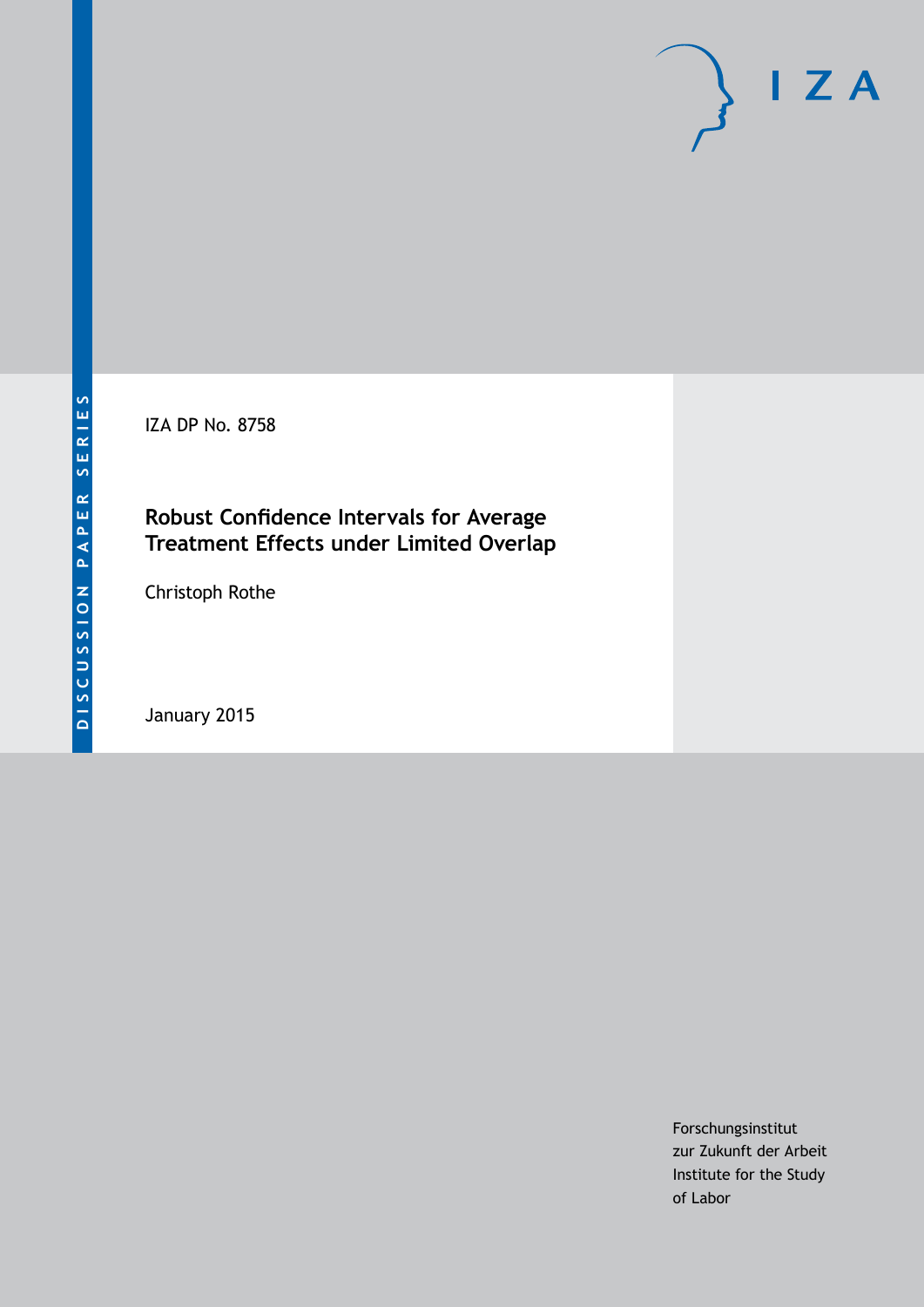IZA DP No. 8758

## **Robust Confidence Intervals for Average Treatment Effects under Limited Overlap**

Christoph Rothe

January 2015

Forschungsinstitut zur Zukunft der Arbeit Institute for the Study of Labor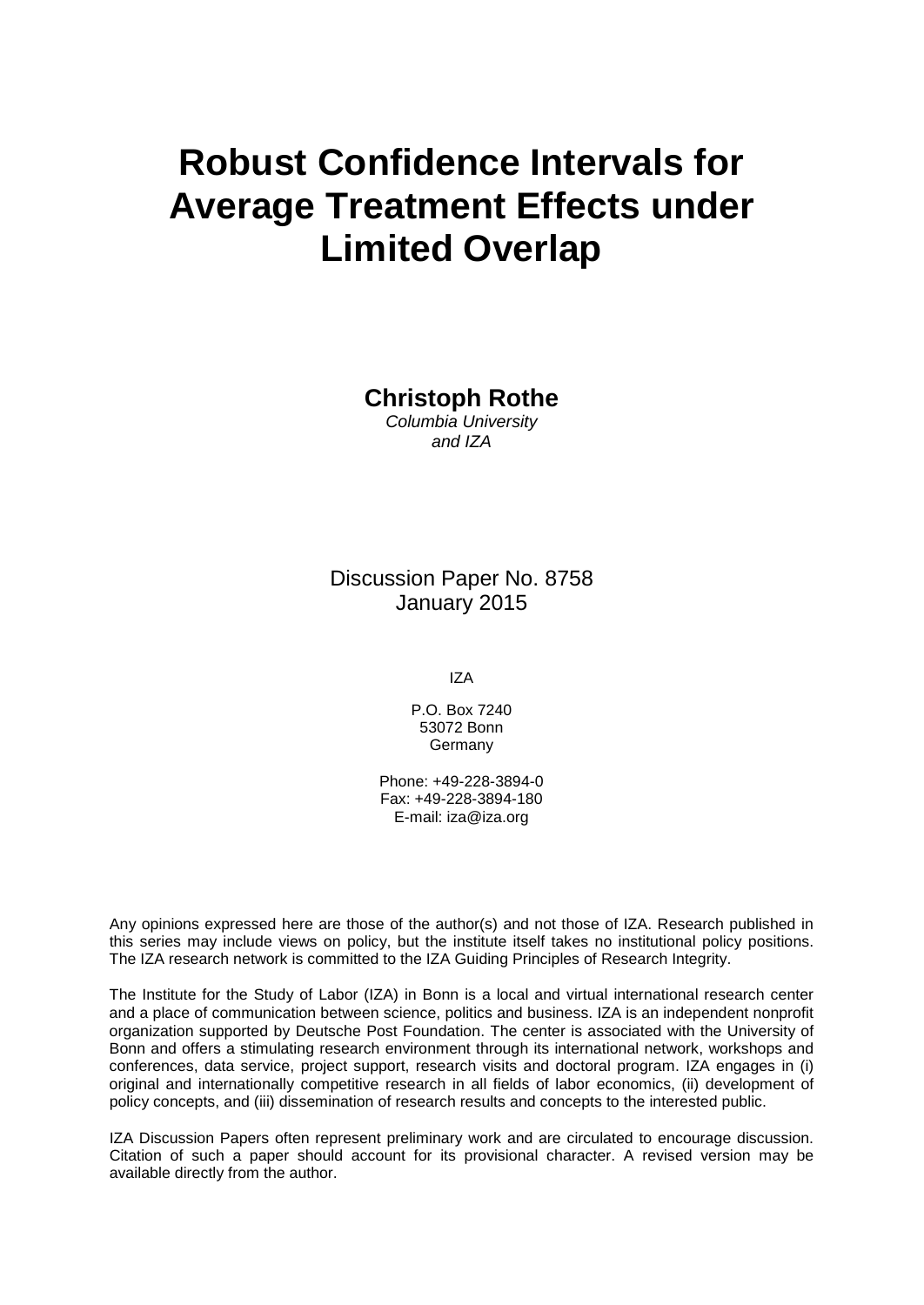# **Robust Confidence Intervals for Average Treatment Effects under Limited Overlap**

**Christoph Rothe**

*Columbia University and IZA*

Discussion Paper No. 8758 January 2015

IZA

P.O. Box 7240 53072 Bonn **Germany** 

Phone: +49-228-3894-0 Fax: +49-228-3894-180 E-mail: [iza@iza.org](mailto:iza@iza.org)

Any opinions expressed here are those of the author(s) and not those of IZA. Research published in this series may include views on policy, but the institute itself takes no institutional policy positions. The IZA research network is committed to the IZA Guiding Principles of Research Integrity.

The Institute for the Study of Labor (IZA) in Bonn is a local and virtual international research center and a place of communication between science, politics and business. IZA is an independent nonprofit organization supported by Deutsche Post Foundation. The center is associated with the University of Bonn and offers a stimulating research environment through its international network, workshops and conferences, data service, project support, research visits and doctoral program. IZA engages in (i) original and internationally competitive research in all fields of labor economics, (ii) development of policy concepts, and (iii) dissemination of research results and concepts to the interested public.

<span id="page-1-0"></span>IZA Discussion Papers often represent preliminary work and are circulated to encourage discussion. Citation of such a paper should account for its provisional character. A revised version may be available directly from the author.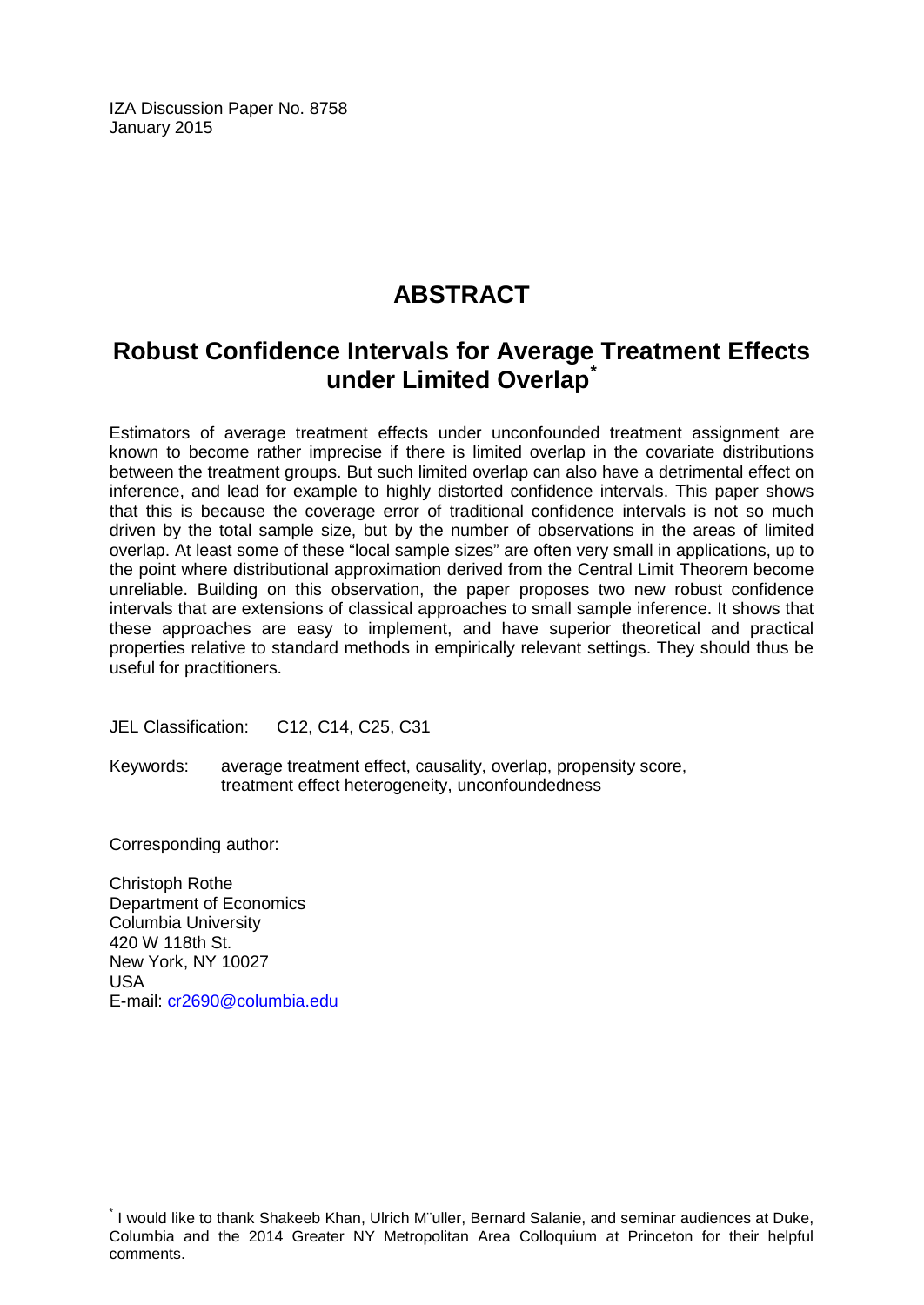IZA Discussion Paper No. 8758 January 2015

# **ABSTRACT**

# **Robust Confidence Intervals for Average Treatment Effects under Limited Overlap[\\*](#page-1-0)**

Estimators of average treatment effects under unconfounded treatment assignment are known to become rather imprecise if there is limited overlap in the covariate distributions between the treatment groups. But such limited overlap can also have a detrimental effect on inference, and lead for example to highly distorted confidence intervals. This paper shows that this is because the coverage error of traditional confidence intervals is not so much driven by the total sample size, but by the number of observations in the areas of limited overlap. At least some of these "local sample sizes" are often very small in applications, up to the point where distributional approximation derived from the Central Limit Theorem become unreliable. Building on this observation, the paper proposes two new robust confidence intervals that are extensions of classical approaches to small sample inference. It shows that these approaches are easy to implement, and have superior theoretical and practical properties relative to standard methods in empirically relevant settings. They should thus be useful for practitioners.

JEL Classification: C12, C14, C25, C31

Keywords: average treatment effect, causality, overlap, propensity score, treatment effect heterogeneity, unconfoundedness

Corresponding author:

Christoph Rothe Department of Economics Columbia University 420 W 118th St. New York, NY 10027 USA E-mail: [cr2690@columbia.edu](mailto:cr2690@columbia.edu)

\* I would like to thank Shakeeb Khan, Ulrich M¨uller, Bernard Salanie, and seminar audiences at Duke, Columbia and the 2014 Greater NY Metropolitan Area Colloquium at Princeton for their helpful comments.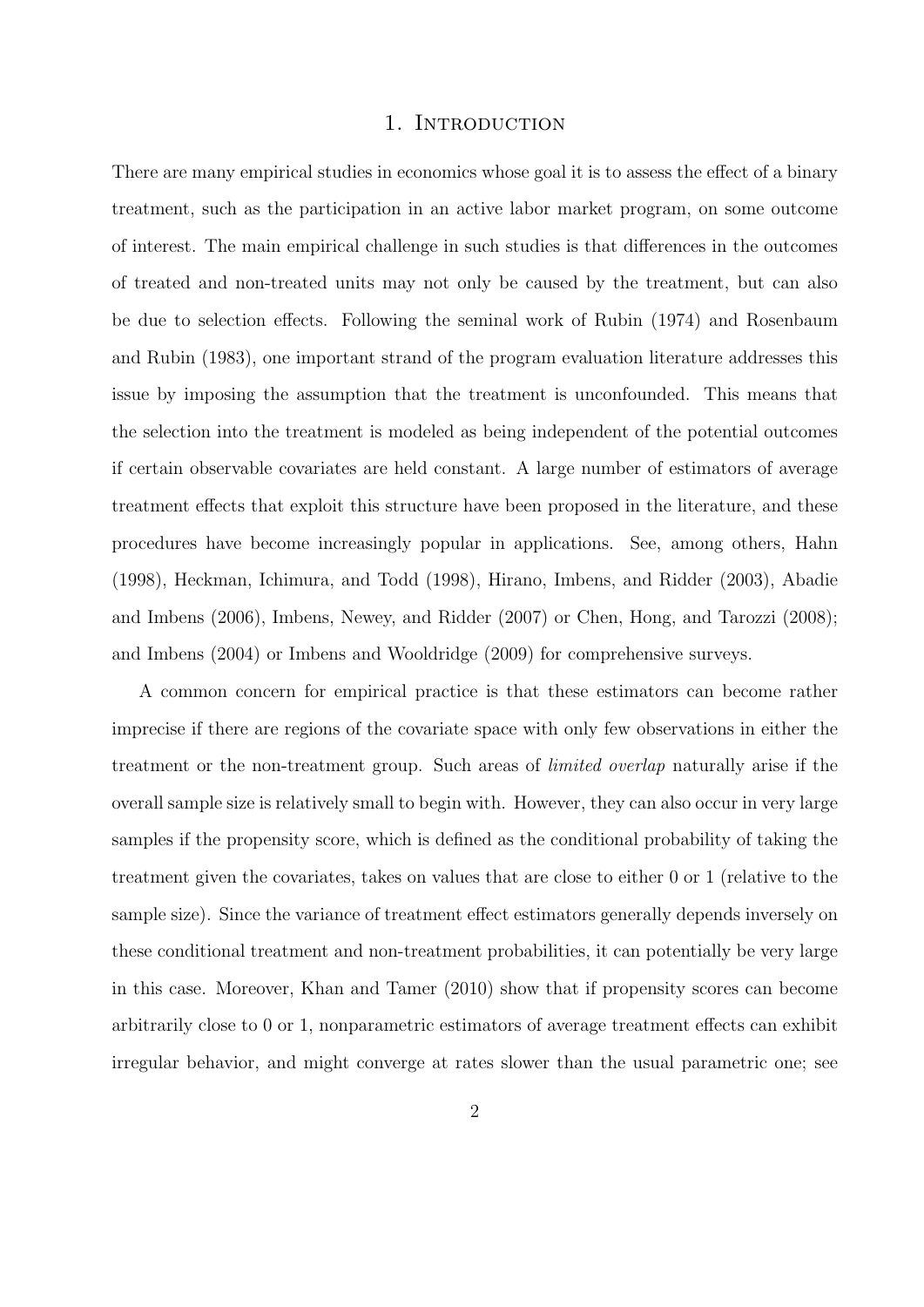#### 1. INTRODUCTION

There are many empirical studies in economics whose goal it is to assess the effect of a binary treatment, such as the participation in an active labor market program, on some outcome of interest. The main empirical challenge in such studies is that differences in the outcomes of treated and non-treated units may not only be caused by the treatment, but can also be due to selection effects. Following the seminal work of Rubin (1974) and Rosenbaum and Rubin (1983), one important strand of the program evaluation literature addresses this issue by imposing the assumption that the treatment is unconfounded. This means that the selection into the treatment is modeled as being independent of the potential outcomes if certain observable covariates are held constant. A large number of estimators of average treatment effects that exploit this structure have been proposed in the literature, and these procedures have become increasingly popular in applications. See, among others, Hahn (1998), Heckman, Ichimura, and Todd (1998), Hirano, Imbens, and Ridder (2003), Abadie and Imbens (2006), Imbens, Newey, and Ridder (2007) or Chen, Hong, and Tarozzi (2008); and Imbens (2004) or Imbens and Wooldridge (2009) for comprehensive surveys.

A common concern for empirical practice is that these estimators can become rather imprecise if there are regions of the covariate space with only few observations in either the treatment or the non-treatment group. Such areas of *limited overlap* naturally arise if the overall sample size is relatively small to begin with. However, they can also occur in very large samples if the propensity score, which is defined as the conditional probability of taking the treatment given the covariates, takes on values that are close to either 0 or 1 (relative to the sample size). Since the variance of treatment effect estimators generally depends inversely on these conditional treatment and non-treatment probabilities, it can potentially be very large in this case. Moreover, Khan and Tamer (2010) show that if propensity scores can become arbitrarily close to 0 or 1, nonparametric estimators of average treatment effects can exhibit irregular behavior, and might converge at rates slower than the usual parametric one; see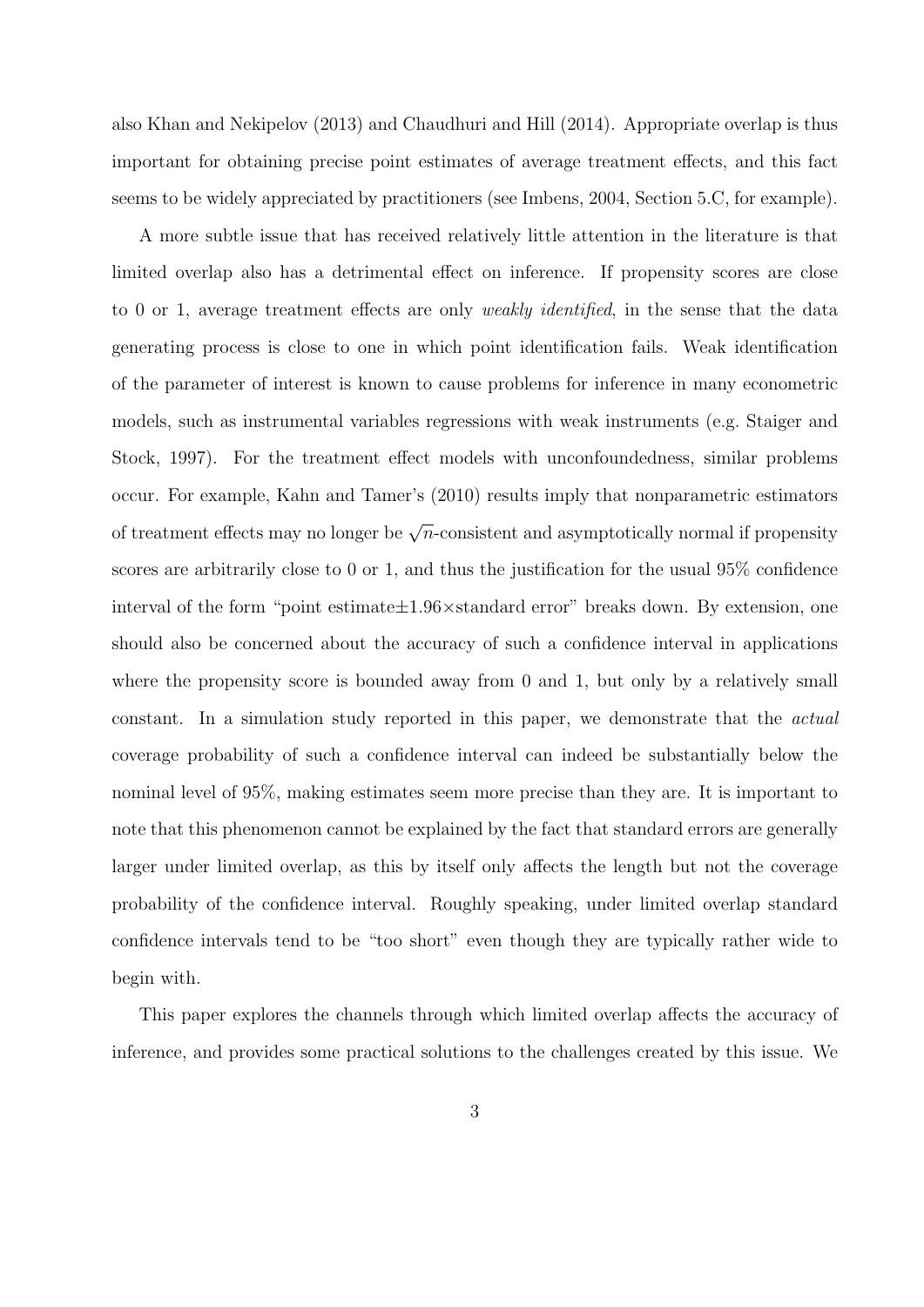also Khan and Nekipelov (2013) and Chaudhuri and Hill (2014). Appropriate overlap is thus important for obtaining precise point estimates of average treatment effects, and this fact seems to be widely appreciated by practitioners (see Imbens, 2004, Section 5.C, for example).

A more subtle issue that has received relatively little attention in the literature is that limited overlap also has a detrimental effect on inference. If propensity scores are close to 0 or 1, average treatment effects are only *weakly identified*, in the sense that the data generating process is close to one in which point identification fails. Weak identification of the parameter of interest is known to cause problems for inference in many econometric models, such as instrumental variables regressions with weak instruments (e.g. Staiger and Stock, 1997). For the treatment effect models with unconfoundedness, similar problems occur. For example, Kahn and Tamer's (2010) results imply that nonparametric estimators of treatment effects may no longer be *<sup>√</sup> n*-consistent and asymptotically normal if propensity scores are arbitrarily close to 0 or 1, and thus the justification for the usual 95% confidence interval of the form "point estimate*±*1*.*96*×*standard error" breaks down. By extension, one should also be concerned about the accuracy of such a confidence interval in applications where the propensity score is bounded away from 0 and 1, but only by a relatively small constant. In a simulation study reported in this paper, we demonstrate that the *actual* coverage probability of such a confidence interval can indeed be substantially below the nominal level of 95%, making estimates seem more precise than they are. It is important to note that this phenomenon cannot be explained by the fact that standard errors are generally larger under limited overlap, as this by itself only affects the length but not the coverage probability of the confidence interval. Roughly speaking, under limited overlap standard confidence intervals tend to be "too short" even though they are typically rather wide to begin with.

This paper explores the channels through which limited overlap affects the accuracy of inference, and provides some practical solutions to the challenges created by this issue. We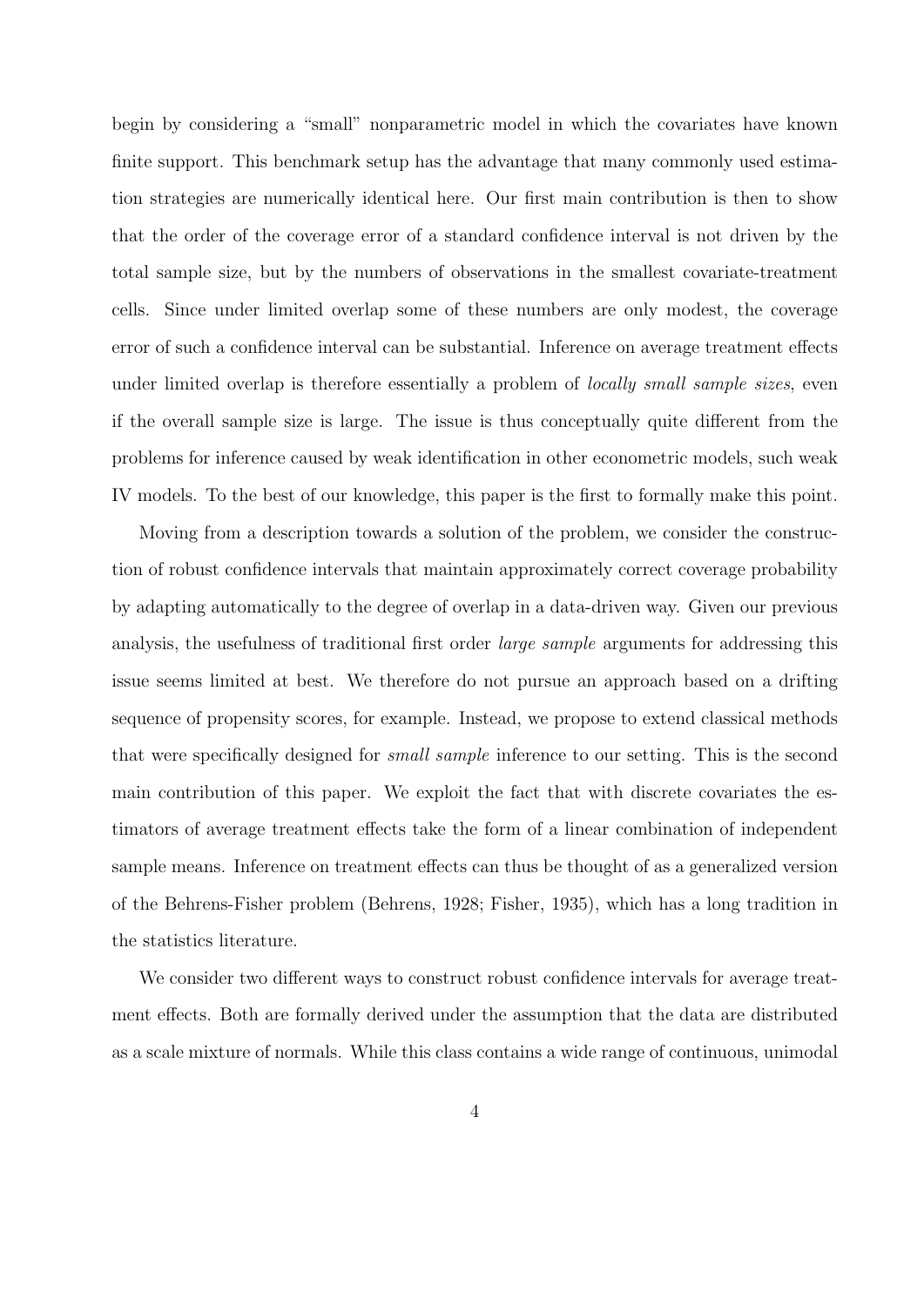begin by considering a "small" nonparametric model in which the covariates have known finite support. This benchmark setup has the advantage that many commonly used estimation strategies are numerically identical here. Our first main contribution is then to show that the order of the coverage error of a standard confidence interval is not driven by the total sample size, but by the numbers of observations in the smallest covariate-treatment cells. Since under limited overlap some of these numbers are only modest, the coverage error of such a confidence interval can be substantial. Inference on average treatment effects under limited overlap is therefore essentially a problem of *locally small sample sizes*, even if the overall sample size is large. The issue is thus conceptually quite different from the problems for inference caused by weak identification in other econometric models, such weak IV models. To the best of our knowledge, this paper is the first to formally make this point.

Moving from a description towards a solution of the problem, we consider the construction of robust confidence intervals that maintain approximately correct coverage probability by adapting automatically to the degree of overlap in a data-driven way. Given our previous analysis, the usefulness of traditional first order *large sample* arguments for addressing this issue seems limited at best. We therefore do not pursue an approach based on a drifting sequence of propensity scores, for example. Instead, we propose to extend classical methods that were specifically designed for *small sample* inference to our setting. This is the second main contribution of this paper. We exploit the fact that with discrete covariates the estimators of average treatment effects take the form of a linear combination of independent sample means. Inference on treatment effects can thus be thought of as a generalized version of the Behrens-Fisher problem (Behrens, 1928; Fisher, 1935), which has a long tradition in the statistics literature.

We consider two different ways to construct robust confidence intervals for average treatment effects. Both are formally derived under the assumption that the data are distributed as a scale mixture of normals. While this class contains a wide range of continuous, unimodal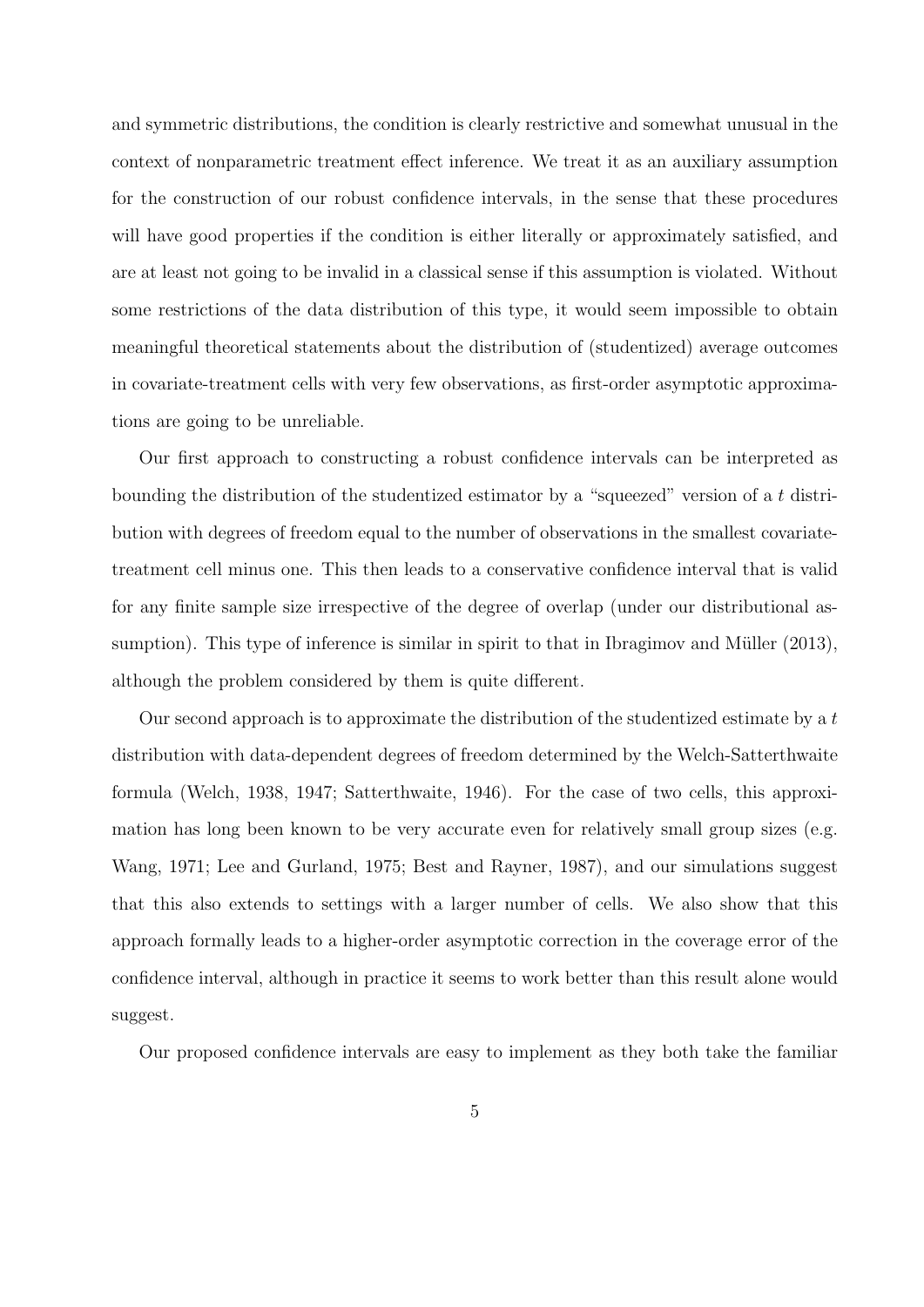and symmetric distributions, the condition is clearly restrictive and somewhat unusual in the context of nonparametric treatment effect inference. We treat it as an auxiliary assumption for the construction of our robust confidence intervals, in the sense that these procedures will have good properties if the condition is either literally or approximately satisfied, and are at least not going to be invalid in a classical sense if this assumption is violated. Without some restrictions of the data distribution of this type, it would seem impossible to obtain meaningful theoretical statements about the distribution of (studentized) average outcomes in covariate-treatment cells with very few observations, as first-order asymptotic approximations are going to be unreliable.

Our first approach to constructing a robust confidence intervals can be interpreted as bounding the distribution of the studentized estimator by a "squeezed" version of a *t* distribution with degrees of freedom equal to the number of observations in the smallest covariatetreatment cell minus one. This then leads to a conservative confidence interval that is valid for any finite sample size irrespective of the degree of overlap (under our distributional assumption). This type of inference is similar in spirit to that in Ibragimov and Müller  $(2013)$ , although the problem considered by them is quite different.

Our second approach is to approximate the distribution of the studentized estimate by a *t* distribution with data-dependent degrees of freedom determined by the Welch-Satterthwaite formula (Welch, 1938, 1947; Satterthwaite, 1946). For the case of two cells, this approximation has long been known to be very accurate even for relatively small group sizes (e.g. Wang, 1971; Lee and Gurland, 1975; Best and Rayner, 1987), and our simulations suggest that this also extends to settings with a larger number of cells. We also show that this approach formally leads to a higher-order asymptotic correction in the coverage error of the confidence interval, although in practice it seems to work better than this result alone would suggest.

Our proposed confidence intervals are easy to implement as they both take the familiar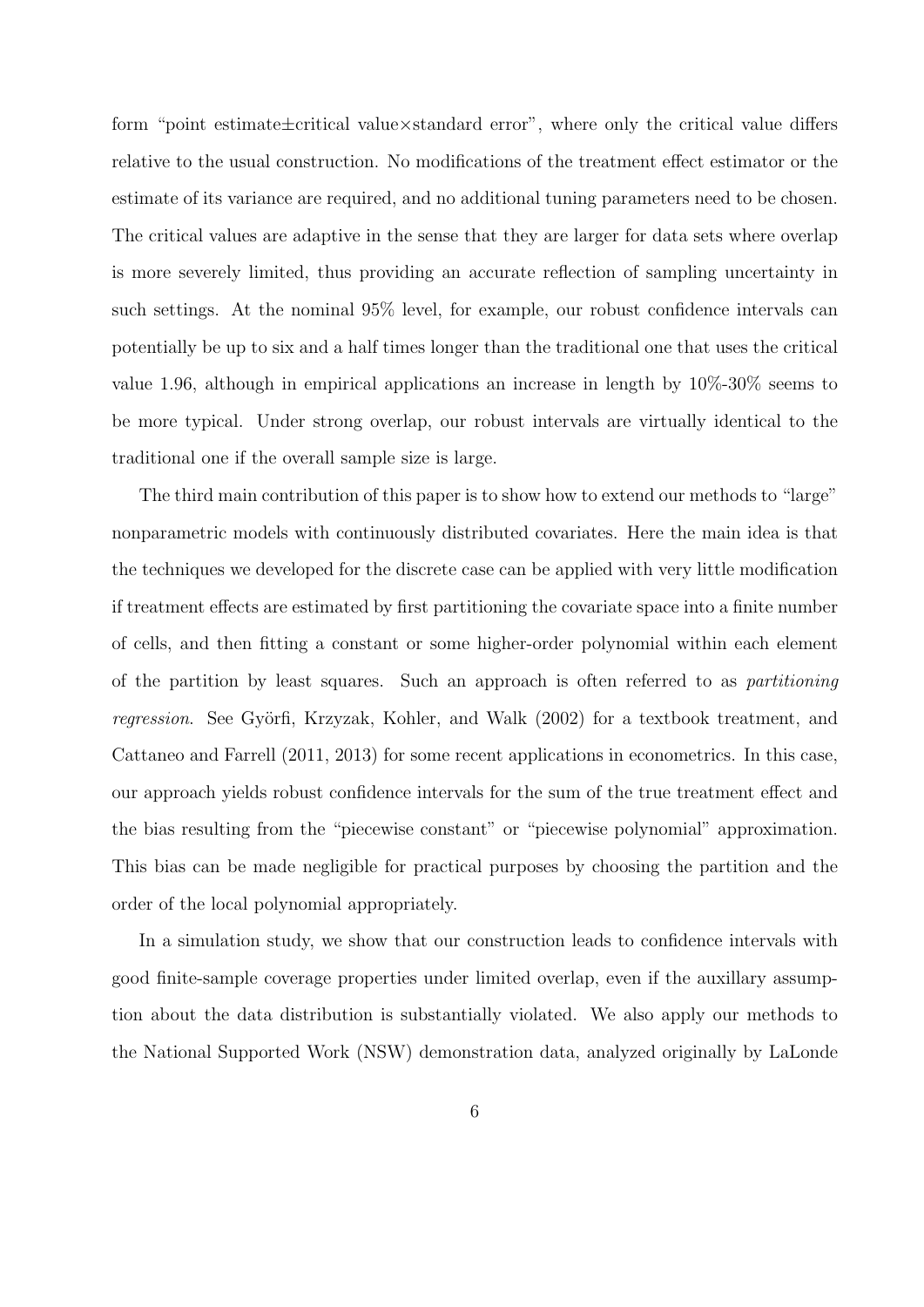form "point estimate*±*critical value*×*standard error", where only the critical value differs relative to the usual construction. No modifications of the treatment effect estimator or the estimate of its variance are required, and no additional tuning parameters need to be chosen. The critical values are adaptive in the sense that they are larger for data sets where overlap is more severely limited, thus providing an accurate reflection of sampling uncertainty in such settings. At the nominal 95% level, for example, our robust confidence intervals can potentially be up to six and a half times longer than the traditional one that uses the critical value 1.96, although in empirical applications an increase in length by 10%-30% seems to be more typical. Under strong overlap, our robust intervals are virtually identical to the traditional one if the overall sample size is large.

The third main contribution of this paper is to show how to extend our methods to "large" nonparametric models with continuously distributed covariates. Here the main idea is that the techniques we developed for the discrete case can be applied with very little modification if treatment effects are estimated by first partitioning the covariate space into a finite number of cells, and then fitting a constant or some higher-order polynomial within each element of the partition by least squares. Such an approach is often referred to as *partitioning regression*. See Györfi, Krzyzak, Kohler, and Walk (2002) for a textbook treatment, and Cattaneo and Farrell (2011, 2013) for some recent applications in econometrics. In this case, our approach yields robust confidence intervals for the sum of the true treatment effect and the bias resulting from the "piecewise constant" or "piecewise polynomial" approximation. This bias can be made negligible for practical purposes by choosing the partition and the order of the local polynomial appropriately.

In a simulation study, we show that our construction leads to confidence intervals with good finite-sample coverage properties under limited overlap, even if the auxillary assumption about the data distribution is substantially violated. We also apply our methods to the National Supported Work (NSW) demonstration data, analyzed originally by LaLonde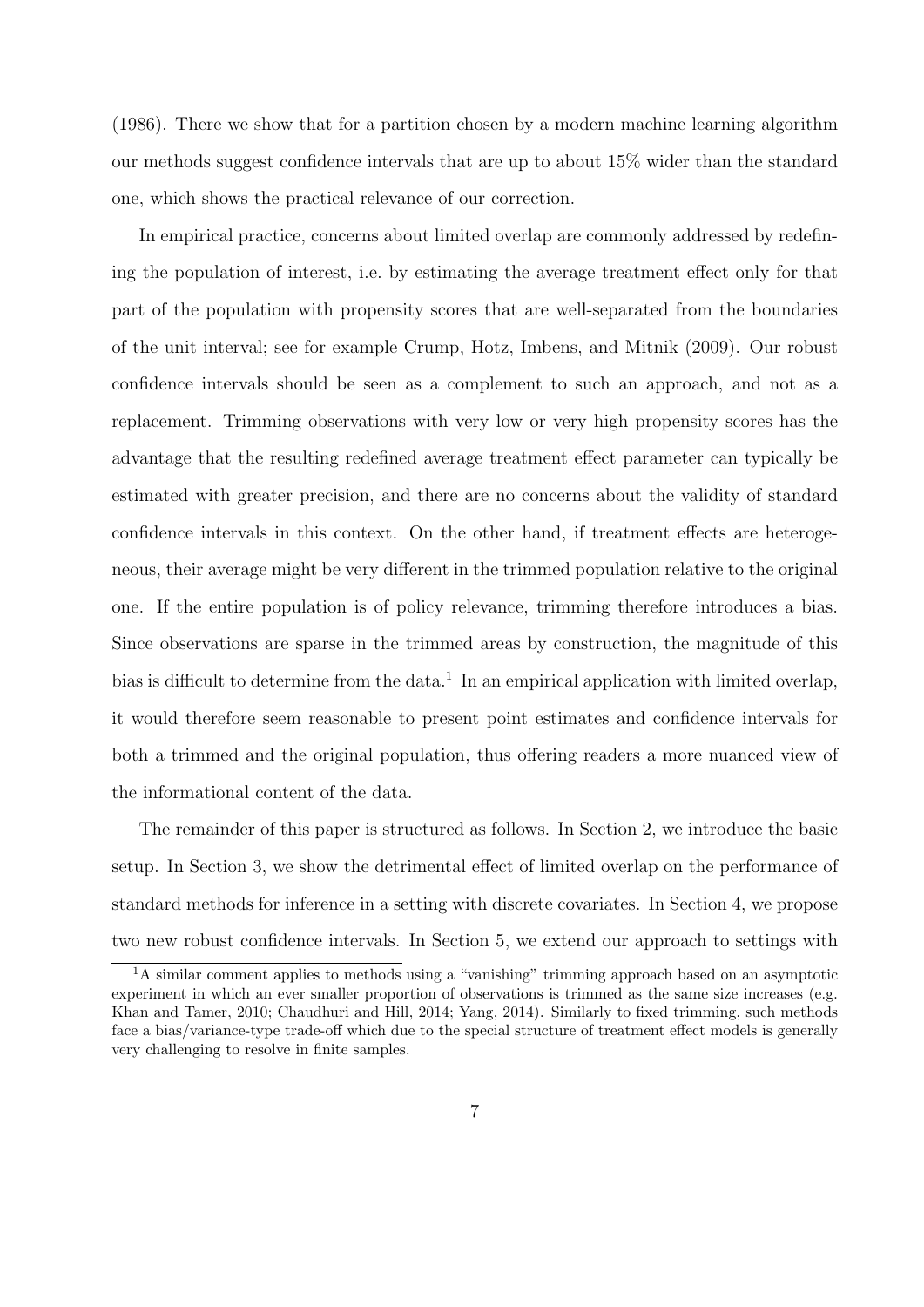(1986). There we show that for a partition chosen by a modern machine learning algorithm our methods suggest confidence intervals that are up to about 15% wider than the standard one, which shows the practical relevance of our correction.

In empirical practice, concerns about limited overlap are commonly addressed by redefining the population of interest, i.e. by estimating the average treatment effect only for that part of the population with propensity scores that are well-separated from the boundaries of the unit interval; see for example Crump, Hotz, Imbens, and Mitnik (2009). Our robust confidence intervals should be seen as a complement to such an approach, and not as a replacement. Trimming observations with very low or very high propensity scores has the advantage that the resulting redefined average treatment effect parameter can typically be estimated with greater precision, and there are no concerns about the validity of standard confidence intervals in this context. On the other hand, if treatment effects are heterogeneous, their average might be very different in the trimmed population relative to the original one. If the entire population is of policy relevance, trimming therefore introduces a bias. Since observations are sparse in the trimmed areas by construction, the magnitude of this bias is difficult to determine from the data.<sup>1</sup> In an empirical application with limited overlap, it would therefore seem reasonable to present point estimates and confidence intervals for both a trimmed and the original population, thus offering readers a more nuanced view of the informational content of the data.

The remainder of this paper is structured as follows. In Section 2, we introduce the basic setup. In Section 3, we show the detrimental effect of limited overlap on the performance of standard methods for inference in a setting with discrete covariates. In Section 4, we propose two new robust confidence intervals. In Section 5, we extend our approach to settings with

<sup>&</sup>lt;sup>1</sup>A similar comment applies to methods using a "vanishing" trimming approach based on an asymptotic experiment in which an ever smaller proportion of observations is trimmed as the same size increases (e.g. Khan and Tamer, 2010; Chaudhuri and Hill, 2014; Yang, 2014). Similarly to fixed trimming, such methods face a bias/variance-type trade-off which due to the special structure of treatment effect models is generally very challenging to resolve in finite samples.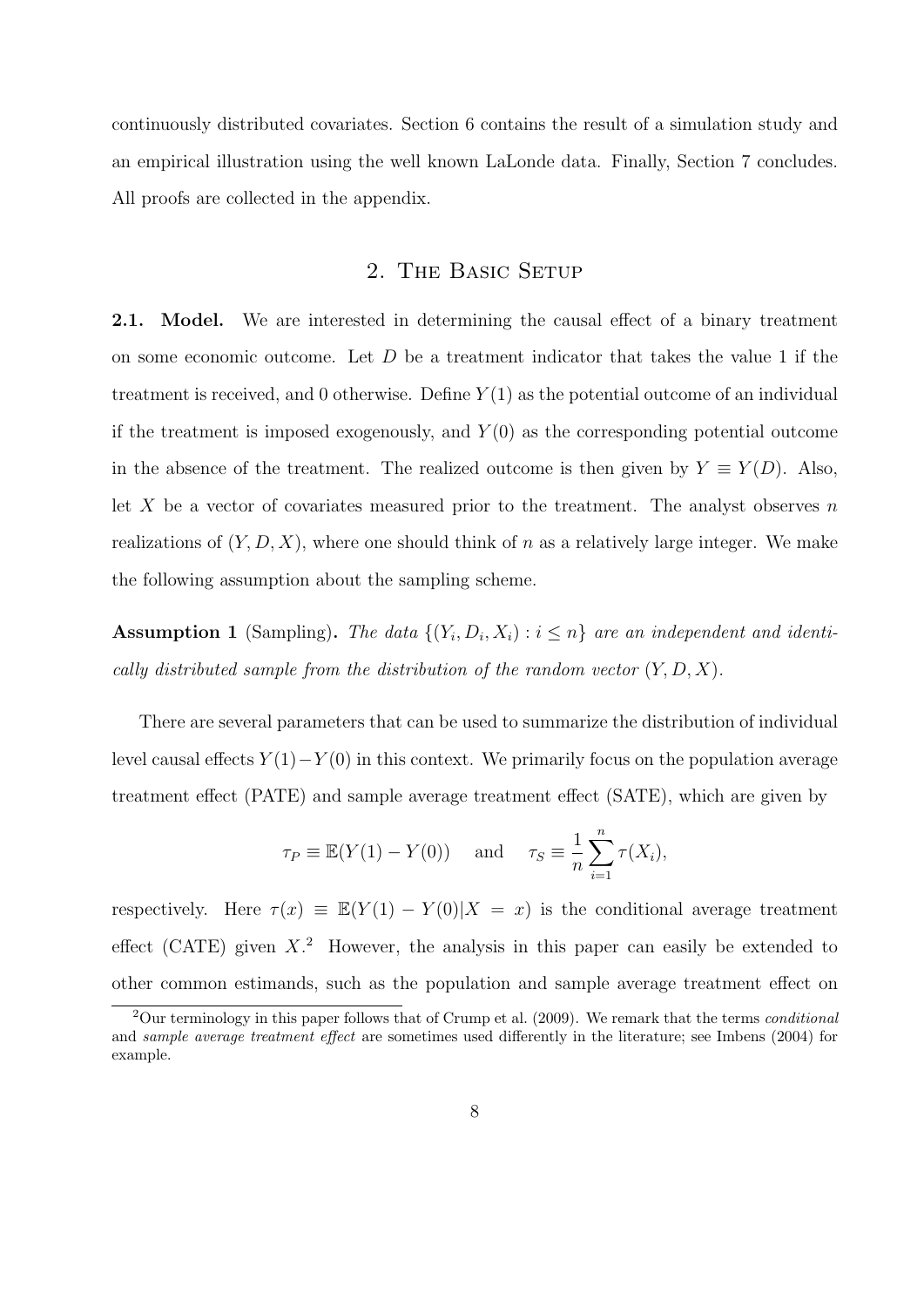continuously distributed covariates. Section 6 contains the result of a simulation study and an empirical illustration using the well known LaLonde data. Finally, Section 7 concludes. All proofs are collected in the appendix.

### 2. THE BASIC SETUP

**2.1. Model.** We are interested in determining the causal effect of a binary treatment on some economic outcome. Let *D* be a treatment indicator that takes the value 1 if the treatment is received, and 0 otherwise. Define *Y* (1) as the potential outcome of an individual if the treatment is imposed exogenously, and  $Y(0)$  as the corresponding potential outcome in the absence of the treatment. The realized outcome is then given by  $Y \equiv Y(D)$ . Also, let *X* be a vector of covariates measured prior to the treatment. The analyst observes *n* realizations of  $(Y, D, X)$ , where one should think of *n* as a relatively large integer. We make the following assumption about the sampling scheme.

**Assumption 1** (Sampling). The data  $\{(Y_i, D_i, X_i) : i \leq n\}$  are an independent and identi*cally distributed sample from the distribution of the random vector* (*Y, D, X*)*.*

There are several parameters that can be used to summarize the distribution of individual level causal effects *Y* (1)*−Y* (0) in this context. We primarily focus on the population average treatment effect (PATE) and sample average treatment effect (SATE), which are given by

$$
\tau_P \equiv \mathbb{E}(Y(1) - Y(0))
$$
 and  $\tau_S \equiv \frac{1}{n} \sum_{i=1}^n \tau(X_i)$ ,

respectively. Here  $\tau(x) \equiv \mathbb{E}(Y(1) - Y(0)|X = x)$  is the conditional average treatment effect (CATE) given  $X<sup>2</sup>$  However, the analysis in this paper can easily be extended to other common estimands, such as the population and sample average treatment effect on

<sup>2</sup>Our terminology in this paper follows that of Crump et al. (2009). We remark that the terms *conditional* and *sample average treatment effect* are sometimes used differently in the literature; see Imbens (2004) for example.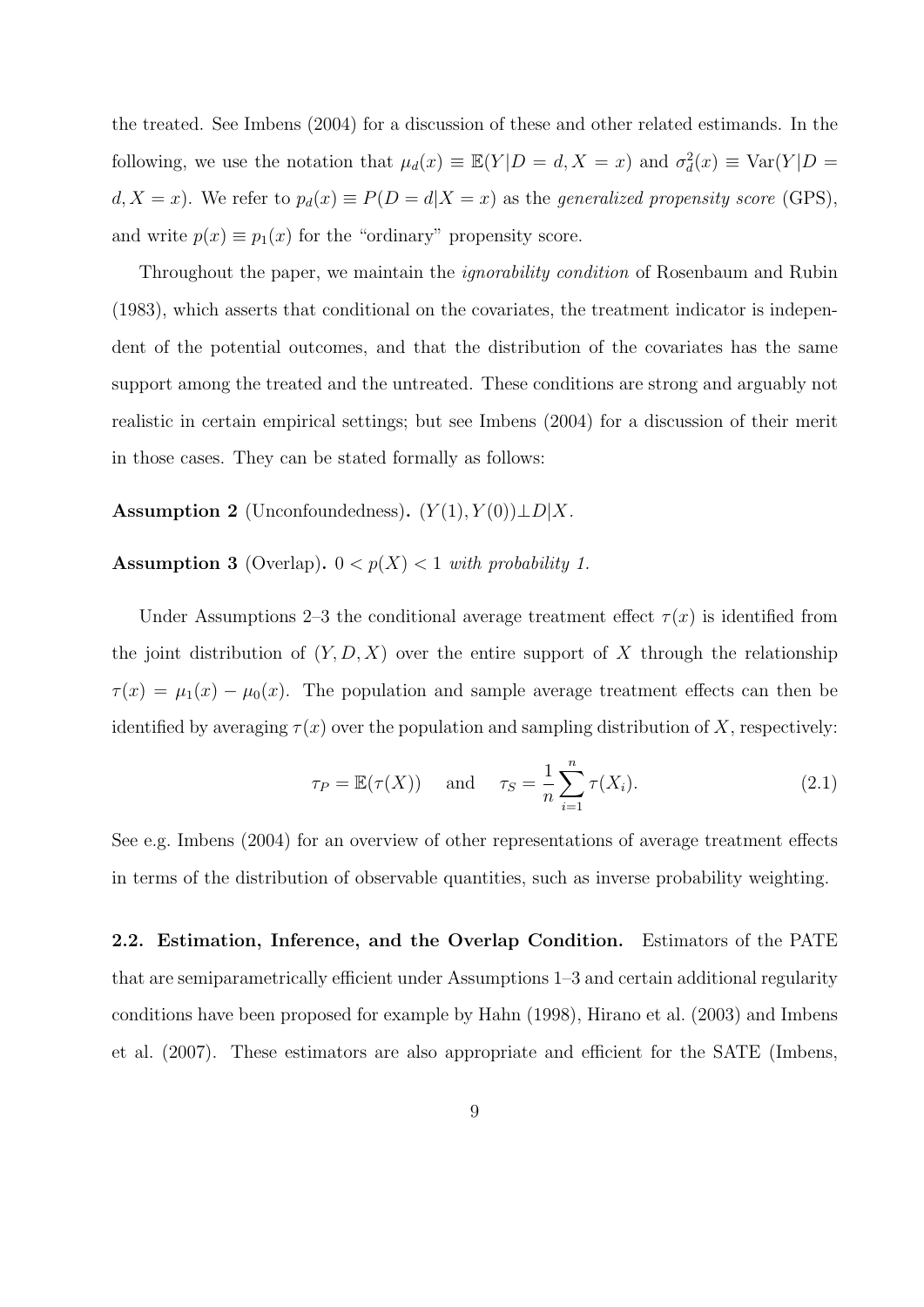the treated. See Imbens (2004) for a discussion of these and other related estimands. In the following, we use the notation that  $\mu_d(x) \equiv \mathbb{E}(Y|D=d, X=x)$  and  $\sigma_d^2(x) \equiv \text{Var}(Y|D=x)$ *d, X* = *x*). We refer to  $p_d(x) \equiv P(D = d|X = x)$  as the *generalized propensity score* (GPS), and write  $p(x) \equiv p_1(x)$  for the "ordinary" propensity score.

Throughout the paper, we maintain the *ignorability condition* of Rosenbaum and Rubin (1983), which asserts that conditional on the covariates, the treatment indicator is independent of the potential outcomes, and that the distribution of the covariates has the same support among the treated and the untreated. These conditions are strong and arguably not realistic in certain empirical settings; but see Imbens (2004) for a discussion of their merit in those cases. They can be stated formally as follows:

**Assumption 2** (Unconfoundedness).  $(Y(1), Y(0)) \perp D|X$ .

**Assumption 3** (Overlap).  $0 < p(X) < 1$  *with probability 1.* 

Under Assumptions 2–3 the conditional average treatment effect  $\tau(x)$  is identified from the joint distribution of  $(Y, D, X)$  over the entire support of X through the relationship  $\tau(x) = \mu_1(x) - \mu_0(x)$ . The population and sample average treatment effects can then be identified by averaging  $\tau(x)$  over the population and sampling distribution of X, respectively:

$$
\tau_P = \mathbb{E}(\tau(X)) \quad \text{and} \quad \tau_S = \frac{1}{n} \sum_{i=1}^n \tau(X_i). \tag{2.1}
$$

See e.g. Imbens (2004) for an overview of other representations of average treatment effects in terms of the distribution of observable quantities, such as inverse probability weighting.

**2.2. Estimation, Inference, and the Overlap Condition.** Estimators of the PATE that are semiparametrically efficient under Assumptions 1–3 and certain additional regularity conditions have been proposed for example by Hahn (1998), Hirano et al. (2003) and Imbens et al. (2007). These estimators are also appropriate and efficient for the SATE (Imbens,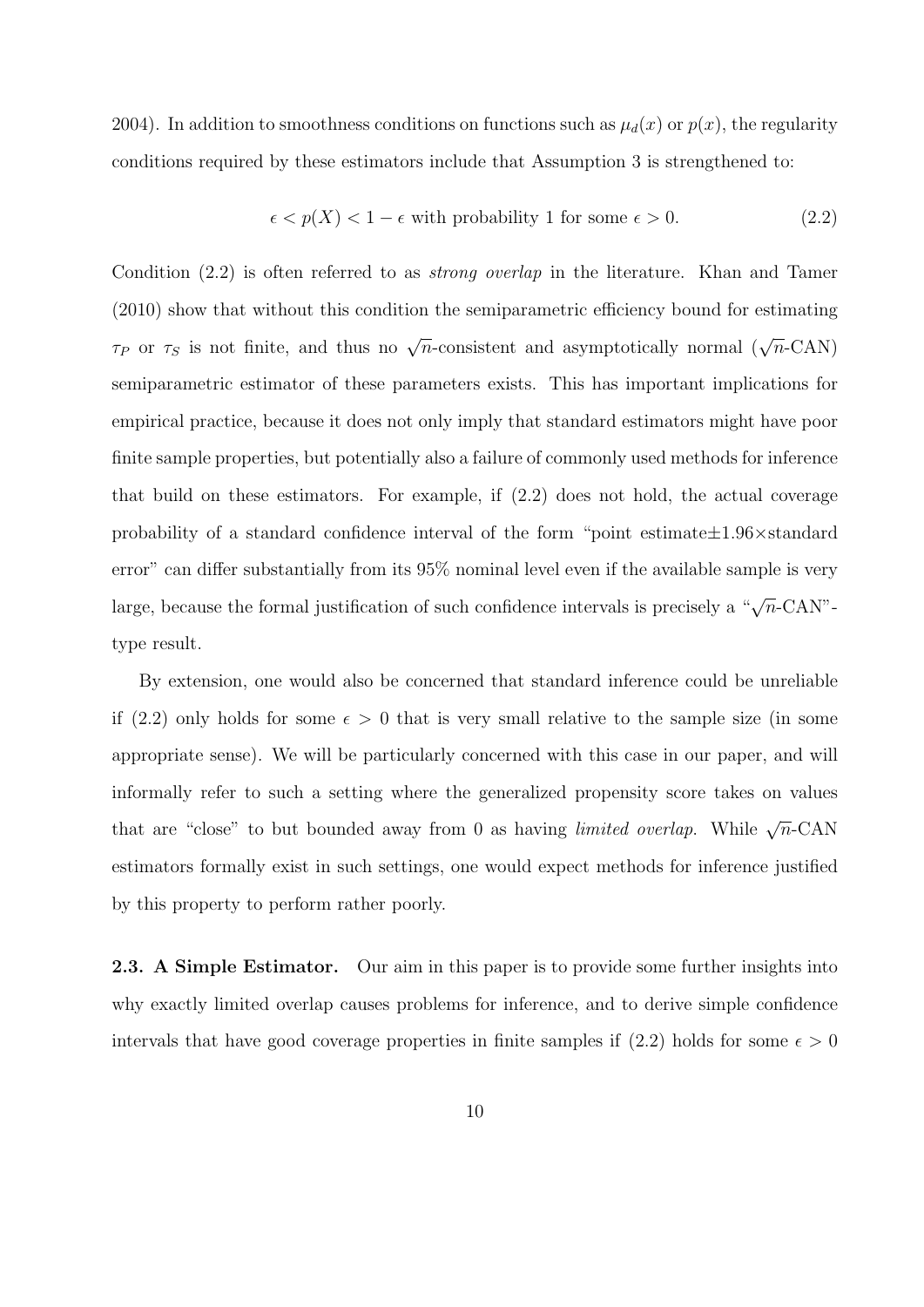2004). In addition to smoothness conditions on functions such as  $\mu_d(x)$  or  $p(x)$ , the regularity conditions required by these estimators include that Assumption 3 is strengthened to:

$$
\epsilon < p(X) < 1 - \epsilon \text{ with probability 1 for some } \epsilon > 0. \tag{2.2}
$$

Condition (2.2) is often referred to as *strong overlap* in the literature. Khan and Tamer (2010) show that without this condition the semiparametric efficiency bound for estimating *τP* or *τ<sub>S</sub>* is not finite, and thus no *√*<sup>*n*</sup>-consistent and asymptotically normal (*√n*-CAN) semiparametric estimator of these parameters exists. This has important implications for empirical practice, because it does not only imply that standard estimators might have poor finite sample properties, but potentially also a failure of commonly used methods for inference that build on these estimators. For example, if (2.2) does not hold, the actual coverage probability of a standard confidence interval of the form "point estimate*±*1.96*×*standard error" can differ substantially from its 95% nominal level even if the available sample is very large, because the formal justification of such confidence intervals is precisely a " $\sqrt{n}$ -CAN"type result.

By extension, one would also be concerned that standard inference could be unreliable if  $(2.2)$  only holds for some  $\epsilon > 0$  that is very small relative to the sample size (in some appropriate sense). We will be particularly concerned with this case in our paper, and will informally refer to such a setting where the generalized propensity score takes on values that are "close" to but bounded away from 0 as having *limited overlap*. While  $\sqrt{n}$ -CAN estimators formally exist in such settings, one would expect methods for inference justified by this property to perform rather poorly.

**2.3. A Simple Estimator.** Our aim in this paper is to provide some further insights into why exactly limited overlap causes problems for inference, and to derive simple confidence intervals that have good coverage properties in finite samples if  $(2.2)$  holds for some  $\epsilon > 0$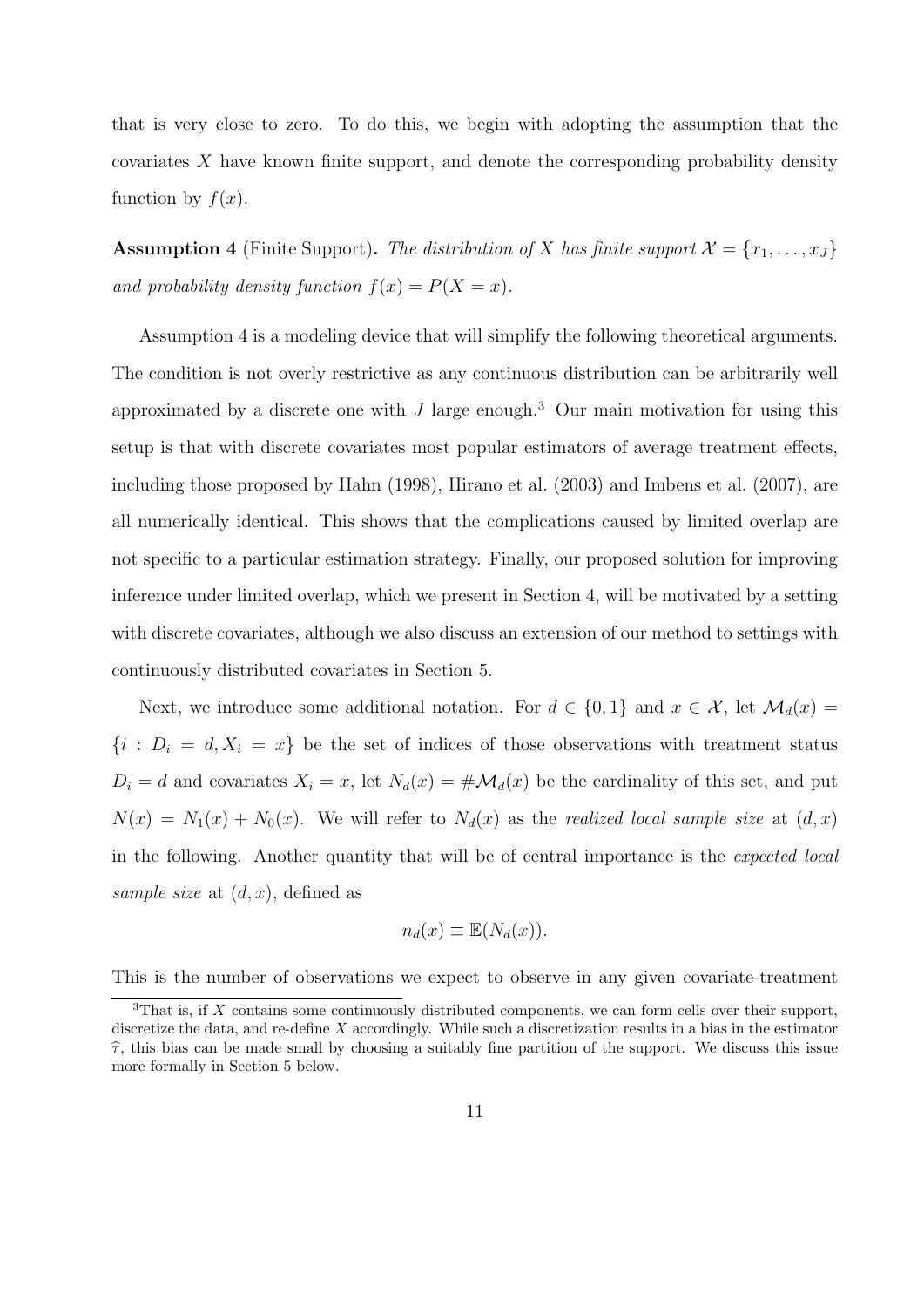that is very close to zero. To do this, we begin with adopting the assumption that the covariates *X* have known finite support, and denote the corresponding probability density function by  $f(x)$ .

**Assumption 4** (Finite Support). The distribution of *X* has finite support  $\mathcal{X} = \{x_1, \ldots, x_J\}$ *and probability density function*  $f(x) = P(X = x)$ *.* 

Assumption 4 is a modeling device that will simplify the following theoretical arguments. The condition is not overly restrictive as any continuous distribution can be arbitrarily well approximated by a discrete one with  $J$  large enough.<sup>3</sup> Our main motivation for using this setup is that with discrete covariates most popular estimators of average treatment effects, including those proposed by Hahn (1998), Hirano et al. (2003) and Imbens et al. (2007), are all numerically identical. This shows that the complications caused by limited overlap are not specific to a particular estimation strategy. Finally, our proposed solution for improving inference under limited overlap, which we present in Section 4, will be motivated by a setting with discrete covariates, although we also discuss an extension of our method to settings with continuously distributed covariates in Section 5.

Next, we introduce some additional notation. For  $d \in \{0,1\}$  and  $x \in \mathcal{X}$ , let  $\mathcal{M}_d(x)$  ${i : D_i = d, X_i = x}$  be the set of indices of those observations with treatment status  $D_i = d$  and covariates  $X_i = x$ , let  $N_d(x) = #\mathcal{M}_d(x)$  be the cardinality of this set, and put  $N(x) = N_1(x) + N_0(x)$ . We will refer to  $N_d(x)$  as the *realized local sample size* at  $(d, x)$ in the following. Another quantity that will be of central importance is the *expected local sample size* at (*d, x*), defined as

$$
n_d(x) \equiv \mathbb{E}(N_d(x)).
$$

This is the number of observations we expect to observe in any given covariate-treatment

 $3$ That is, if *X* contains some continuously distributed components, we can form cells over their support, discretize the data, and re-define *X* accordingly. While such a discretization results in a bias in the estimator  $\hat{\tau}$ , this bias can be made small by choosing a suitably fine partition of the support. We discuss this issue more formally in Section 5 below.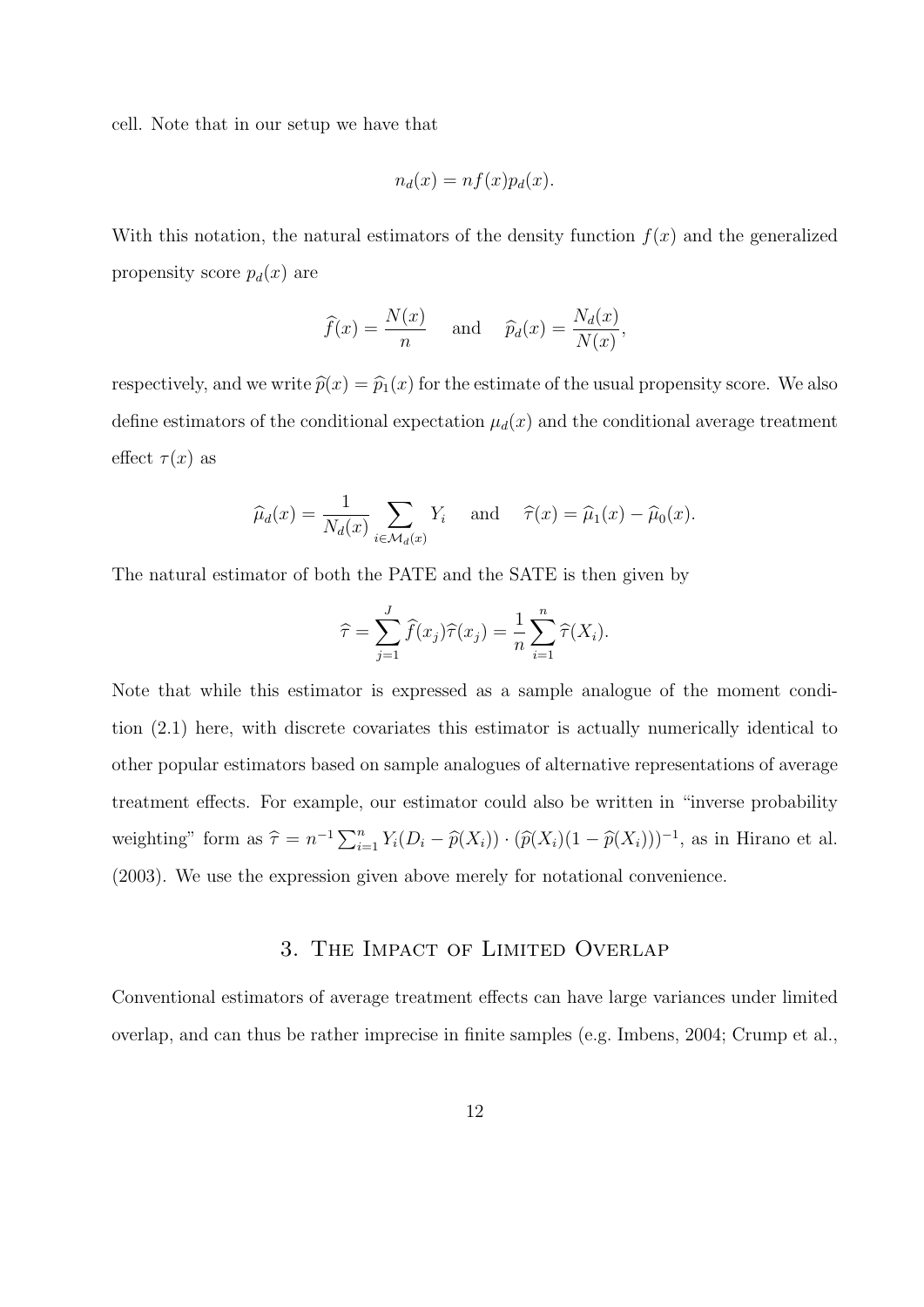cell. Note that in our setup we have that

$$
n_d(x) = n f(x) p_d(x).
$$

With this notation, the natural estimators of the density function  $f(x)$  and the generalized propensity score  $p_d(x)$  are

$$
\widehat{f}(x) = \frac{N(x)}{n}
$$
 and  $\widehat{p}_d(x) = \frac{N_d(x)}{N(x)}$ ,

respectively, and we write  $\hat{p}(x) = \hat{p}_1(x)$  for the estimate of the usual propensity score. We also define estimators of the conditional expectation  $\mu_d(x)$  and the conditional average treatment effect  $\tau(x)$  as

$$
\widehat{\mu}_d(x) = \frac{1}{N_d(x)} \sum_{i \in \mathcal{M}_d(x)} Y_i
$$
 and  $\widehat{\tau}(x) = \widehat{\mu}_1(x) - \widehat{\mu}_0(x)$ .

The natural estimator of both the PATE and the SATE is then given by

$$
\widehat{\tau} = \sum_{j=1}^{J} \widehat{f}(x_j)\widehat{\tau}(x_j) = \frac{1}{n}\sum_{i=1}^{n} \widehat{\tau}(X_i).
$$

Note that while this estimator is expressed as a sample analogue of the moment condition (2.1) here, with discrete covariates this estimator is actually numerically identical to other popular estimators based on sample analogues of alternative representations of average treatment effects. For example, our estimator could also be written in "inverse probability weighting" form as  $\hat{\tau} = n^{-1} \sum_{i=1}^n Y_i (D_i - \hat{p}(X_i)) \cdot (\hat{p}(X_i)(1 - \hat{p}(X_i)))^{-1}$ , as in Hirano et al. (2003). We use the expression given above merely for notational convenience.

## 3. The Impact of Limited Overlap

Conventional estimators of average treatment effects can have large variances under limited overlap, and can thus be rather imprecise in finite samples (e.g. Imbens, 2004; Crump et al.,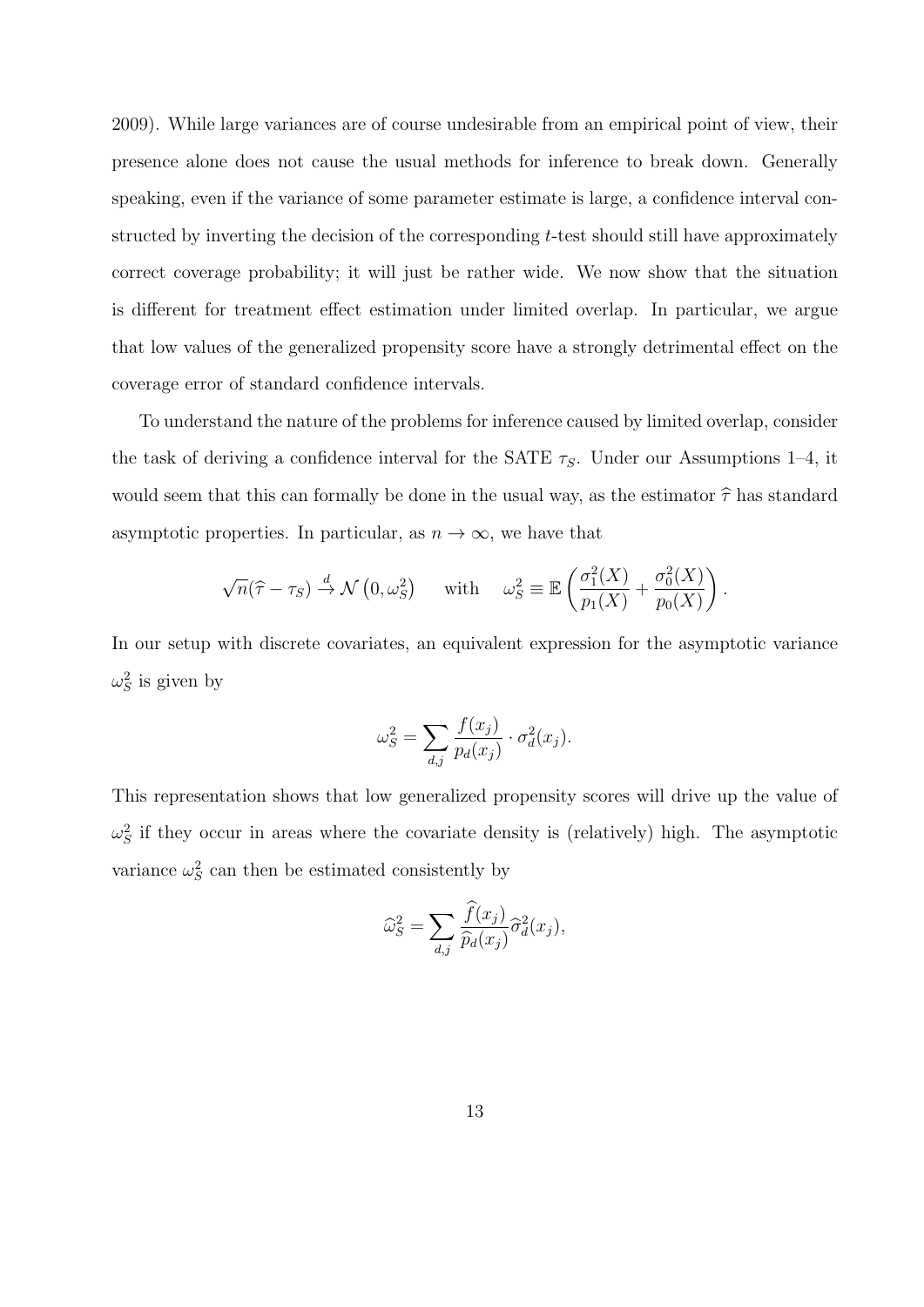2009). While large variances are of course undesirable from an empirical point of view, their presence alone does not cause the usual methods for inference to break down. Generally speaking, even if the variance of some parameter estimate is large, a confidence interval constructed by inverting the decision of the corresponding *t*-test should still have approximately correct coverage probability; it will just be rather wide. We now show that the situation is different for treatment effect estimation under limited overlap. In particular, we argue that low values of the generalized propensity score have a strongly detrimental effect on the coverage error of standard confidence intervals.

To understand the nature of the problems for inference caused by limited overlap, consider the task of deriving a confidence interval for the SATE  $\tau_S$ . Under our Assumptions 1–4, it would seem that this can formally be done in the usual way, as the estimator  $\hat{\tau}$  has standard asymptotic properties. In particular, as  $n \to \infty$ , we have that

$$
\sqrt{n}(\widehat{\tau} - \tau_S) \stackrel{d}{\to} \mathcal{N}\left(0, \omega_S^2\right) \quad \text{with} \quad \omega_S^2 \equiv \mathbb{E}\left(\frac{\sigma_1^2(X)}{p_1(X)} + \frac{\sigma_0^2(X)}{p_0(X)}\right).
$$

In our setup with discrete covariates, an equivalent expression for the asymptotic variance  $\omega_S^2$  is given by

$$
\omega_S^2 = \sum_{d,j} \frac{f(x_j)}{p_d(x_j)} \cdot \sigma_d^2(x_j).
$$

This representation shows that low generalized propensity scores will drive up the value of  $\omega_S^2$  if they occur in areas where the covariate density is (relatively) high. The asymptotic variance  $\omega_S^2$  can then be estimated consistently by

$$
\widehat{\omega}_S^2 = \sum_{d,j} \frac{\widehat{f}(x_j)}{\widehat{p}_d(x_j)} \widehat{\sigma}_d^2(x_j),
$$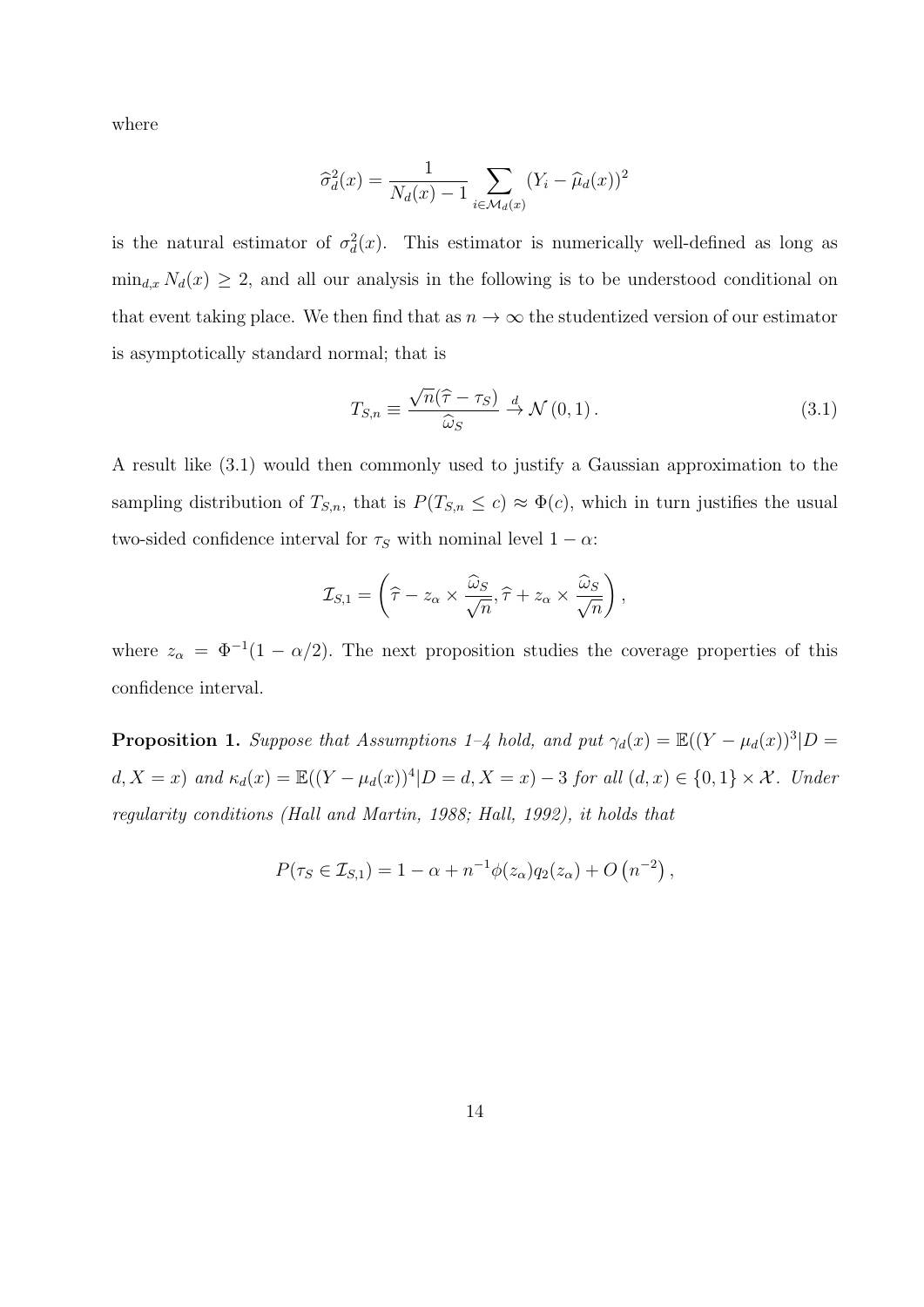where

$$
\widehat{\sigma}_d^2(x) = \frac{1}{N_d(x) - 1} \sum_{i \in \mathcal{M}_d(x)} (Y_i - \widehat{\mu}_d(x))^2
$$

is the natural estimator of  $\sigma_d^2(x)$ . This estimator is numerically well-defined as long as  $\min_{d,x} N_d(x) \geq 2$ , and all our analysis in the following is to be understood conditional on that event taking place. We then find that as  $n \to \infty$  the studentized version of our estimator is asymptotically standard normal; that is

$$
T_{S,n} \equiv \frac{\sqrt{n}(\hat{\tau} - \tau_S)}{\hat{\omega}_S} \stackrel{d}{\rightarrow} \mathcal{N}(0,1).
$$
 (3.1)

A result like (3.1) would then commonly used to justify a Gaussian approximation to the sampling distribution of  $T_{S,n}$ , that is  $P(T_{S,n} \leq c) \approx \Phi(c)$ , which in turn justifies the usual two-sided confidence interval for  $\tau_S$  with nominal level  $1 - \alpha$ :

$$
\mathcal{I}_{S,1} = \left(\widehat{\tau} - z_{\alpha} \times \frac{\widehat{\omega}_S}{\sqrt{n}}, \widehat{\tau} + z_{\alpha} \times \frac{\widehat{\omega}_S}{\sqrt{n}}\right),\,
$$

where  $z_{\alpha} = \Phi^{-1}(1 - \alpha/2)$ . The next proposition studies the coverage properties of this confidence interval.

**Proposition 1.** *Suppose that Assumptions 1–4 hold, and put*  $\gamma_d(x) = \mathbb{E}((Y - \mu_d(x))^3 | D =$  $d, X = x$ ) and  $\kappa_d(x) = \mathbb{E}((Y - \mu_d(x))^4 | D = d, X = x) - 3$  for all  $(d, x) \in \{0, 1\} \times \mathcal{X}$ . Under *regularity conditions (Hall and Martin, 1988; Hall, 1992), it holds that*

$$
P(\tau_S \in \mathcal{I}_{S,1}) = 1 - \alpha + n^{-1} \phi(z_\alpha) q_2(z_\alpha) + O(n^{-2}),
$$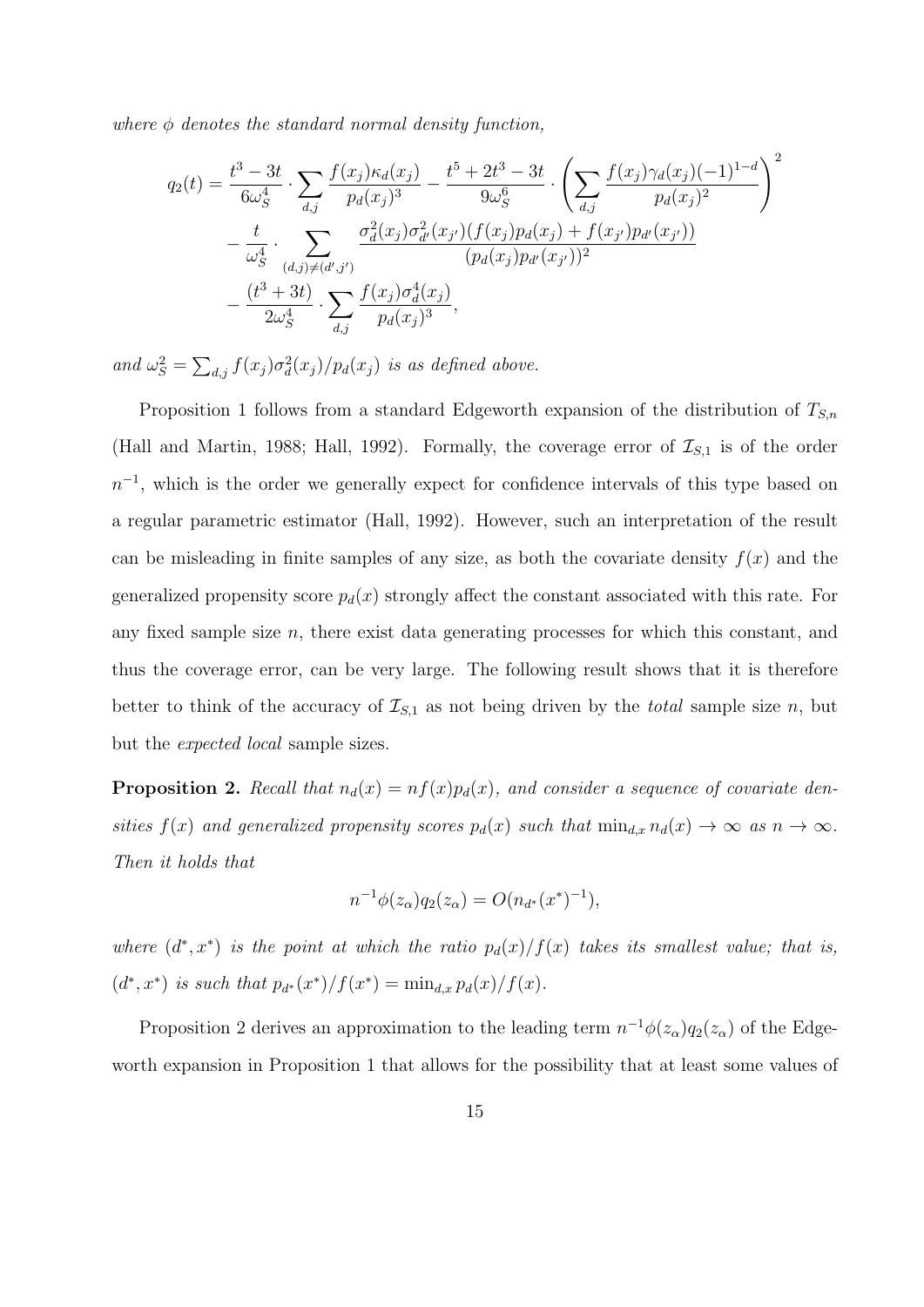*where ϕ denotes the standard normal density function,*

$$
q_2(t) = \frac{t^3 - 3t}{6\omega_S^4} \cdot \sum_{d,j} \frac{f(x_j)\kappa_d(x_j)}{p_d(x_j)^3} - \frac{t^5 + 2t^3 - 3t}{9\omega_S^6} \cdot \left(\sum_{d,j} \frac{f(x_j)\gamma_d(x_j)(-1)^{1-d}}{p_d(x_j)^2}\right)^2
$$

$$
-\frac{t}{\omega_S^4} \cdot \sum_{(d,j)\neq (d',j')} \frac{\sigma_d^2(x_j)\sigma_{d'}^2(x_{j'})(f(x_j)p_d(x_j) + f(x_{j'})p_{d'}(x_{j'}))}{(p_d(x_j)p_{d'}(x_{j'}))^2}
$$

$$
-\frac{(t^3 + 3t)}{2\omega_S^4} \cdot \sum_{d,j} \frac{f(x_j)\sigma_d^4(x_j)}{p_d(x_j)^3},
$$

and  $\omega_S^2 = \sum_{d,j} f(x_j) \sigma_d^2(x_j) / p_d(x_j)$  is as defined above.

Proposition 1 follows from a standard Edgeworth expansion of the distribution of *TS,n* (Hall and Martin, 1988; Hall, 1992). Formally, the coverage error of  $\mathcal{I}_{S,1}$  is of the order  $n^{-1}$ , which is the order we generally expect for confidence intervals of this type based on a regular parametric estimator (Hall, 1992). However, such an interpretation of the result can be misleading in finite samples of any size, as both the covariate density  $f(x)$  and the generalized propensity score  $p_d(x)$  strongly affect the constant associated with this rate. For any fixed sample size *n*, there exist data generating processes for which this constant, and thus the coverage error, can be very large. The following result shows that it is therefore better to think of the accuracy of  $\mathcal{I}_{S,1}$  as not being driven by the *total* sample size *n*, but but the *expected local* sample sizes.

**Proposition 2.** Recall that  $n_d(x) = nf(x)p_d(x)$ , and consider a sequence of covariate den*sities*  $f(x)$  *and generalized propensity scores*  $p_d(x)$  *such that*  $\min_{d,x} n_d(x) \to \infty$  *as*  $n \to \infty$ *. Then it holds that*

$$
n^{-1}\phi(z_{\alpha})q_2(z_{\alpha}) = O(n_{d^*}(x^*)^{-1}),
$$

*where*  $(d^*, x^*)$  *is the point at which the ratio*  $p_d(x)/f(x)$  *takes its smallest value; that is,*  $(d^*, x^*)$  *is such that*  $p_{d^*}(x^*)/f(x^*) = \min_{d,x} p_d(x)/f(x)$ .

Proposition 2 derives an approximation to the leading term  $n^{-1}\phi(z_\alpha)q_2(z_\alpha)$  of the Edgeworth expansion in Proposition 1 that allows for the possibility that at least some values of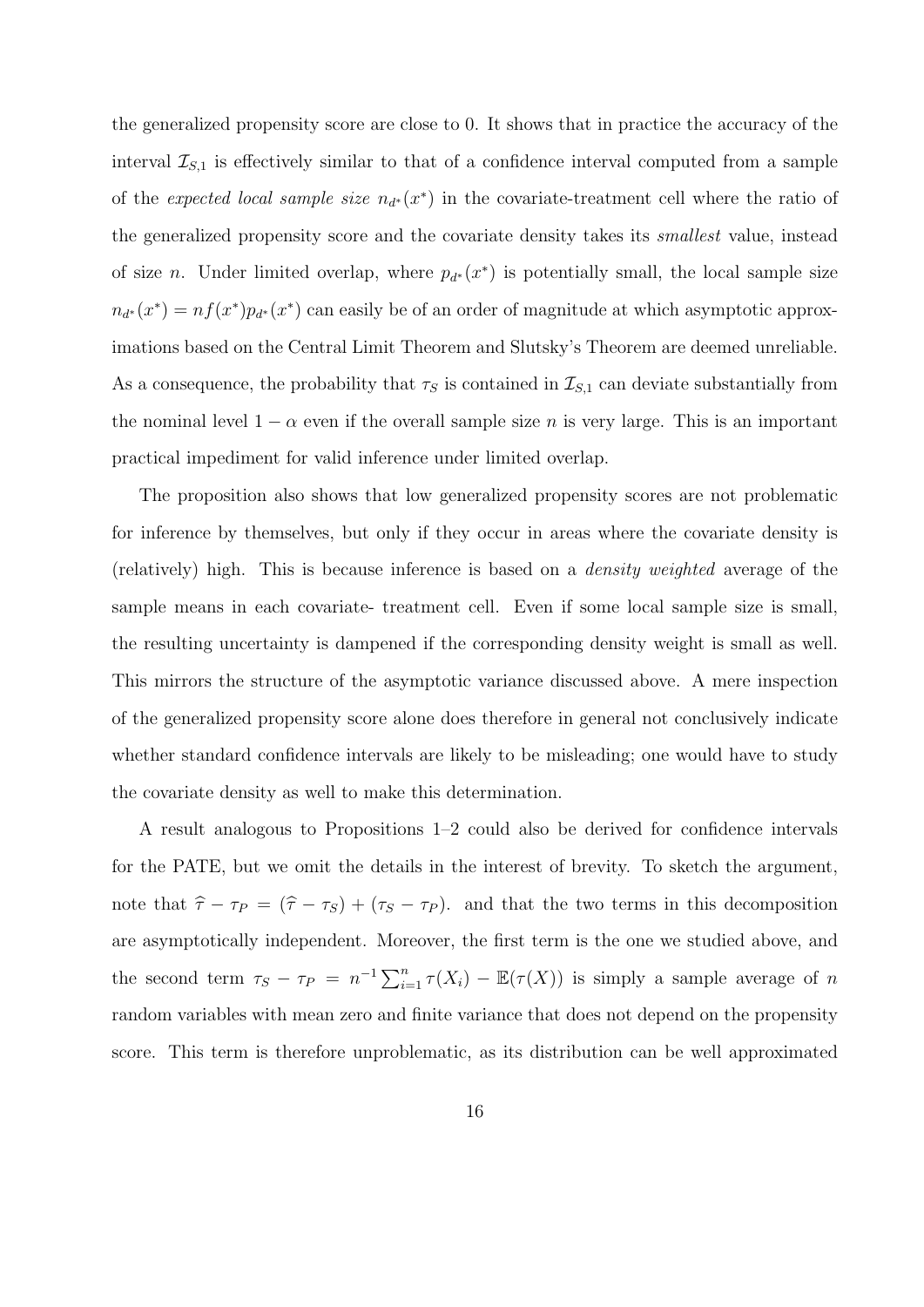the generalized propensity score are close to 0. It shows that in practice the accuracy of the interval  $\mathcal{I}_{S,1}$  is effectively similar to that of a confidence interval computed from a sample of the *expected local sample size*  $n_{d^*}(x^*)$  in the covariate-treatment cell where the ratio of the generalized propensity score and the covariate density takes its *smallest* value, instead of size *n*. Under limited overlap, where  $p_{d*}(x^*)$  is potentially small, the local sample size  $n_{d^*}(x^*) = nf(x^*)p_{d^*}(x^*)$  can easily be of an order of magnitude at which asymptotic approximations based on the Central Limit Theorem and Slutsky's Theorem are deemed unreliable. As a consequence, the probability that  $\tau_s$  is contained in  $\mathcal{I}_{S,1}$  can deviate substantially from the nominal level  $1 - \alpha$  even if the overall sample size *n* is very large. This is an important practical impediment for valid inference under limited overlap.

The proposition also shows that low generalized propensity scores are not problematic for inference by themselves, but only if they occur in areas where the covariate density is (relatively) high. This is because inference is based on a *density weighted* average of the sample means in each covariate- treatment cell. Even if some local sample size is small, the resulting uncertainty is dampened if the corresponding density weight is small as well. This mirrors the structure of the asymptotic variance discussed above. A mere inspection of the generalized propensity score alone does therefore in general not conclusively indicate whether standard confidence intervals are likely to be misleading; one would have to study the covariate density as well to make this determination.

A result analogous to Propositions 1–2 could also be derived for confidence intervals for the PATE, but we omit the details in the interest of brevity. To sketch the argument, note that  $\hat{\tau} - \tau_P = (\hat{\tau} - \tau_S) + (\tau_S - \tau_P)$ . and that the two terms in this decomposition are asymptotically independent. Moreover, the first term is the one we studied above, and the second term  $\tau_S - \tau_P = n^{-1} \sum_{i=1}^n \tau(X_i) - \mathbb{E}(\tau(X))$  is simply a sample average of *n* random variables with mean zero and finite variance that does not depend on the propensity score. This term is therefore unproblematic, as its distribution can be well approximated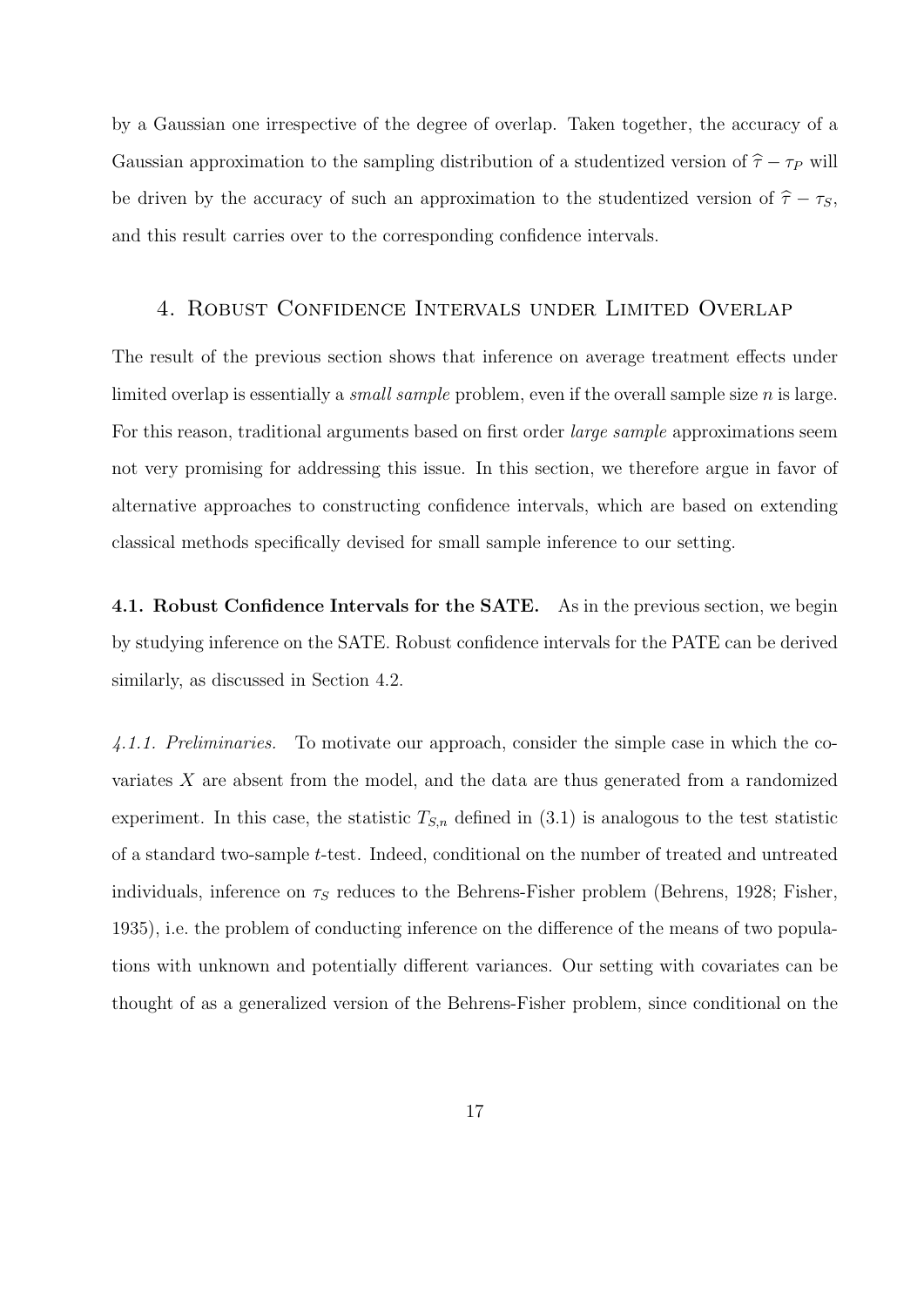by a Gaussian one irrespective of the degree of overlap. Taken together, the accuracy of a Gaussian approximation to the sampling distribution of a studentized version of  $\hat{\tau} - \tau_P$  will be driven by the accuracy of such an approximation to the studentized version of  $\hat{\tau} - \tau_s$ , and this result carries over to the corresponding confidence intervals.

#### 4. Robust Confidence Intervals under Limited Overlap

The result of the previous section shows that inference on average treatment effects under limited overlap is essentially a *small sample* problem, even if the overall sample size *n* is large. For this reason, traditional arguments based on first order *large sample* approximations seem not very promising for addressing this issue. In this section, we therefore argue in favor of alternative approaches to constructing confidence intervals, which are based on extending classical methods specifically devised for small sample inference to our setting.

**4.1. Robust Confidence Intervals for the SATE.** As in the previous section, we begin by studying inference on the SATE. Robust confidence intervals for the PATE can be derived similarly, as discussed in Section 4.2.

*4.1.1. Preliminaries.* To motivate our approach, consider the simple case in which the covariates *X* are absent from the model, and the data are thus generated from a randomized experiment. In this case, the statistic  $T_{S,n}$  defined in  $(3.1)$  is analogous to the test statistic of a standard two-sample *t*-test. Indeed, conditional on the number of treated and untreated individuals, inference on  $\tau_S$  reduces to the Behrens-Fisher problem (Behrens, 1928; Fisher, 1935), i.e. the problem of conducting inference on the difference of the means of two populations with unknown and potentially different variances. Our setting with covariates can be thought of as a generalized version of the Behrens-Fisher problem, since conditional on the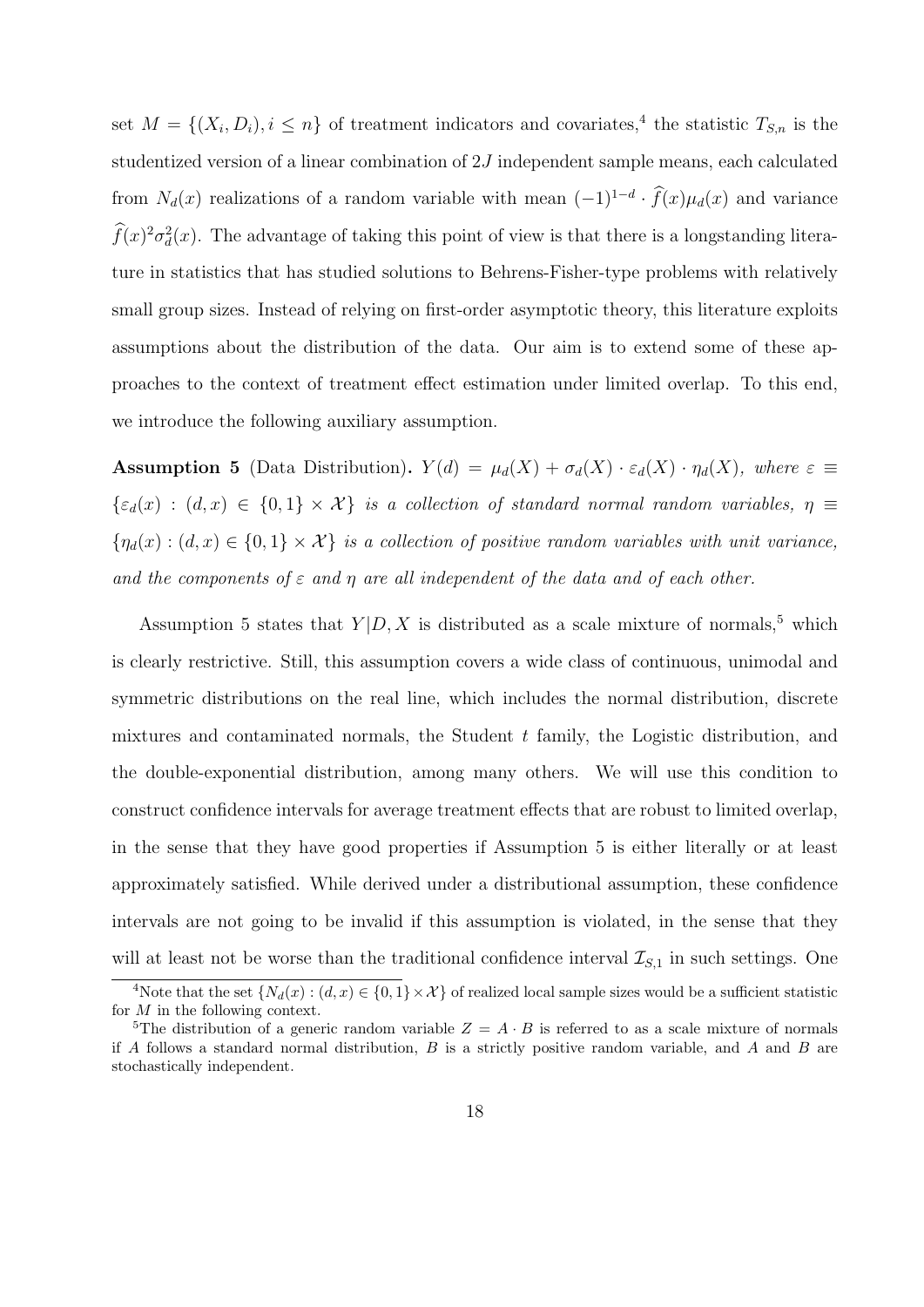set  $M = \{(X_i, D_i), i \leq n\}$  of treatment indicators and covariates,<sup>4</sup> the statistic  $T_{S,n}$  is the studentized version of a linear combination of 2*J* independent sample means, each calculated from *N*<sup>*d*</sup>(*x*) realizations of a random variable with mean  $(-1)^{1-d} \cdot \hat{f}(x) \mu_d(x)$  and variance  $f(x)^2 \sigma_d^2(x)$ . The advantage of taking this point of view is that there is a longstanding literature in statistics that has studied solutions to Behrens-Fisher-type problems with relatively small group sizes. Instead of relying on first-order asymptotic theory, this literature exploits assumptions about the distribution of the data. Our aim is to extend some of these approaches to the context of treatment effect estimation under limited overlap. To this end, we introduce the following auxiliary assumption.

**Assumption 5** (Data Distribution).  $Y(d) = \mu_d(X) + \sigma_d(X) \cdot \varepsilon_d(X) \cdot \eta_d(X)$ , where  $\varepsilon \equiv$  ${$  ${ \varepsilon_d(x) : (d,x) \in \{0,1\} \times X }$  *is a collection of standard normal random variables,*  $n \equiv$  ${n_d(x) : (d, x) \in \{0, 1\} \times \mathcal{X}}$  *is a collection of positive random variables with unit variance, and the components of ε and η are all independent of the data and of each other.*

Assumption 5 states that  $Y|D, X$  is distributed as a scale mixture of normals,<sup>5</sup> which is clearly restrictive. Still, this assumption covers a wide class of continuous, unimodal and symmetric distributions on the real line, which includes the normal distribution, discrete mixtures and contaminated normals, the Student *t* family, the Logistic distribution, and the double-exponential distribution, among many others. We will use this condition to construct confidence intervals for average treatment effects that are robust to limited overlap, in the sense that they have good properties if Assumption 5 is either literally or at least approximately satisfied. While derived under a distributional assumption, these confidence intervals are not going to be invalid if this assumption is violated, in the sense that they will at least not be worse than the traditional confidence interval  $\mathcal{I}_{S,1}$  in such settings. One

<sup>&</sup>lt;sup>4</sup>Note that the set  $\{N_d(x): (d, x) \in \{0, 1\} \times \mathcal{X}\}\$  of realized local sample sizes would be a sufficient statistic for *M* in the following context.

<sup>&</sup>lt;sup>5</sup>The distribution of a generic random variable  $Z = A \cdot B$  is referred to as a scale mixture of normals if *A* follows a standard normal distribution, *B* is a strictly positive random variable, and *A* and *B* are stochastically independent.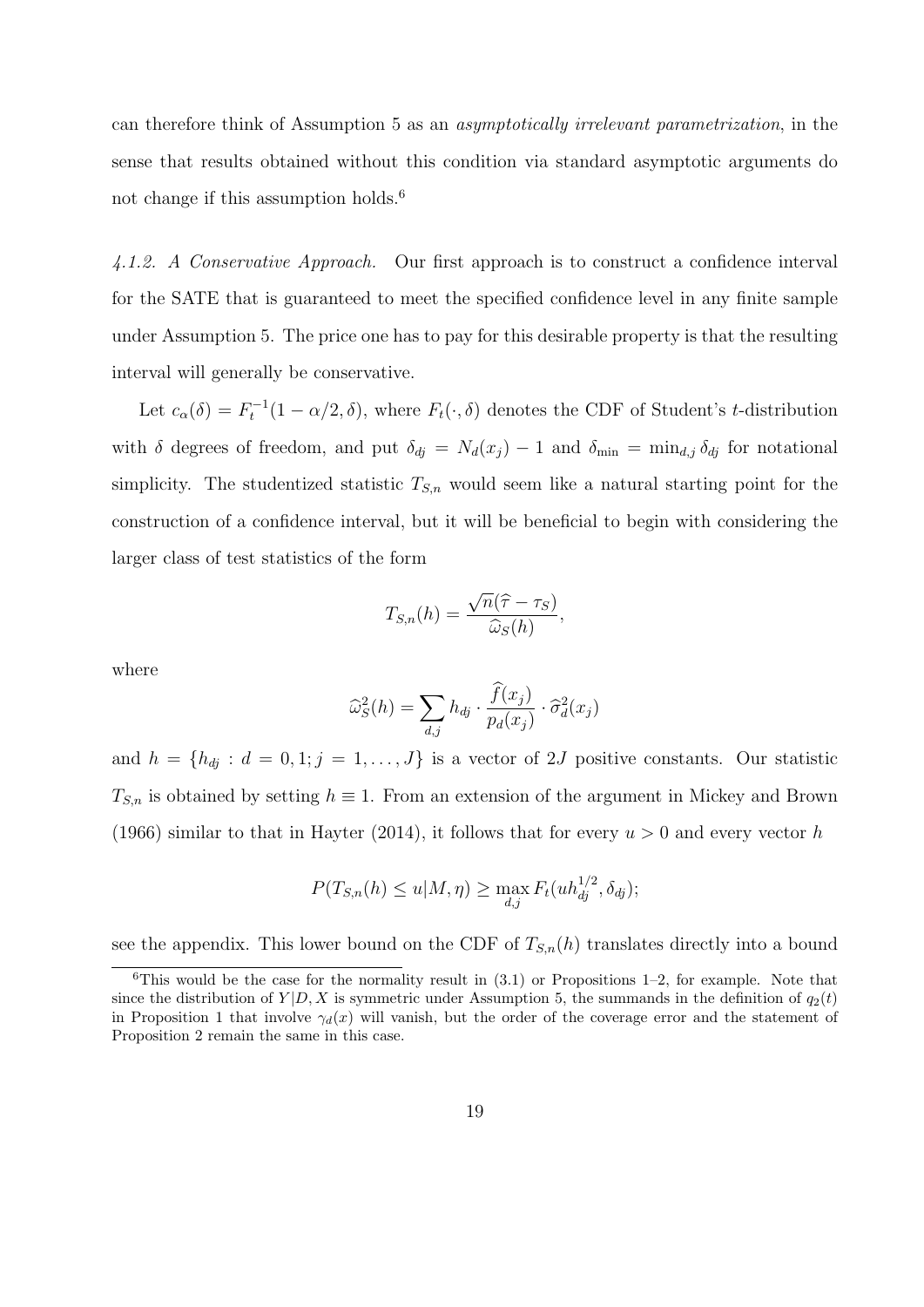can therefore think of Assumption 5 as an *asymptotically irrelevant parametrization*, in the sense that results obtained without this condition via standard asymptotic arguments do not change if this assumption holds.<sup>6</sup>

*4.1.2. A Conservative Approach.* Our first approach is to construct a confidence interval for the SATE that is guaranteed to meet the specified confidence level in any finite sample under Assumption 5. The price one has to pay for this desirable property is that the resulting interval will generally be conservative.

Let  $c_{\alpha}(\delta) = F_t^{-1}(1 - \alpha/2, \delta)$ , where  $F_t(\cdot, \delta)$  denotes the CDF of Student's *t*-distribution with *δ* degrees of freedom, and put  $\delta_{dj} = N_d(x_j) - 1$  and  $\delta_{\min} = \min_{d,j} \delta_{dj}$  for notational simplicity. The studentized statistic  $T_{S,n}$  would seem like a natural starting point for the construction of a confidence interval, but it will be beneficial to begin with considering the larger class of test statistics of the form

$$
T_{S,n}(h) = \frac{\sqrt{n}(\widehat{\tau} - \tau_S)}{\widehat{\omega}_S(h)},
$$

where

$$
\widehat{\omega}_S^2(h) = \sum_{d,j} h_{dj} \cdot \frac{f(x_j)}{p_d(x_j)} \cdot \widehat{\sigma}_d^2(x_j)
$$

and  $h = \{h_{dj} : d = 0, 1; j = 1, \ldots, J\}$  is a vector of 2*J* positive constants. Our statistic  $T_{S,n}$  is obtained by setting  $h \equiv 1$ . From an extension of the argument in Mickey and Brown (1966) similar to that in Hayter (2014), it follows that for every  $u > 0$  and every vector *h* 

$$
P(T_{S,n}(h) \le u|M,\eta) \ge \max_{d,j} F_t(uh_{dj}^{1/2},\delta_{dj});
$$

see the appendix. This lower bound on the CDF of  $T_{S,n}(h)$  translates directly into a bound

<sup>&</sup>lt;sup>6</sup>This would be the case for the normality result in  $(3.1)$  or Propositions 1–2, for example. Note that since the distribution of  $Y|D, X$  is symmetric under Assumption 5, the summands in the definition of  $q_2(t)$ in Proposition 1 that involve  $\gamma_d(x)$  will vanish, but the order of the coverage error and the statement of Proposition 2 remain the same in this case.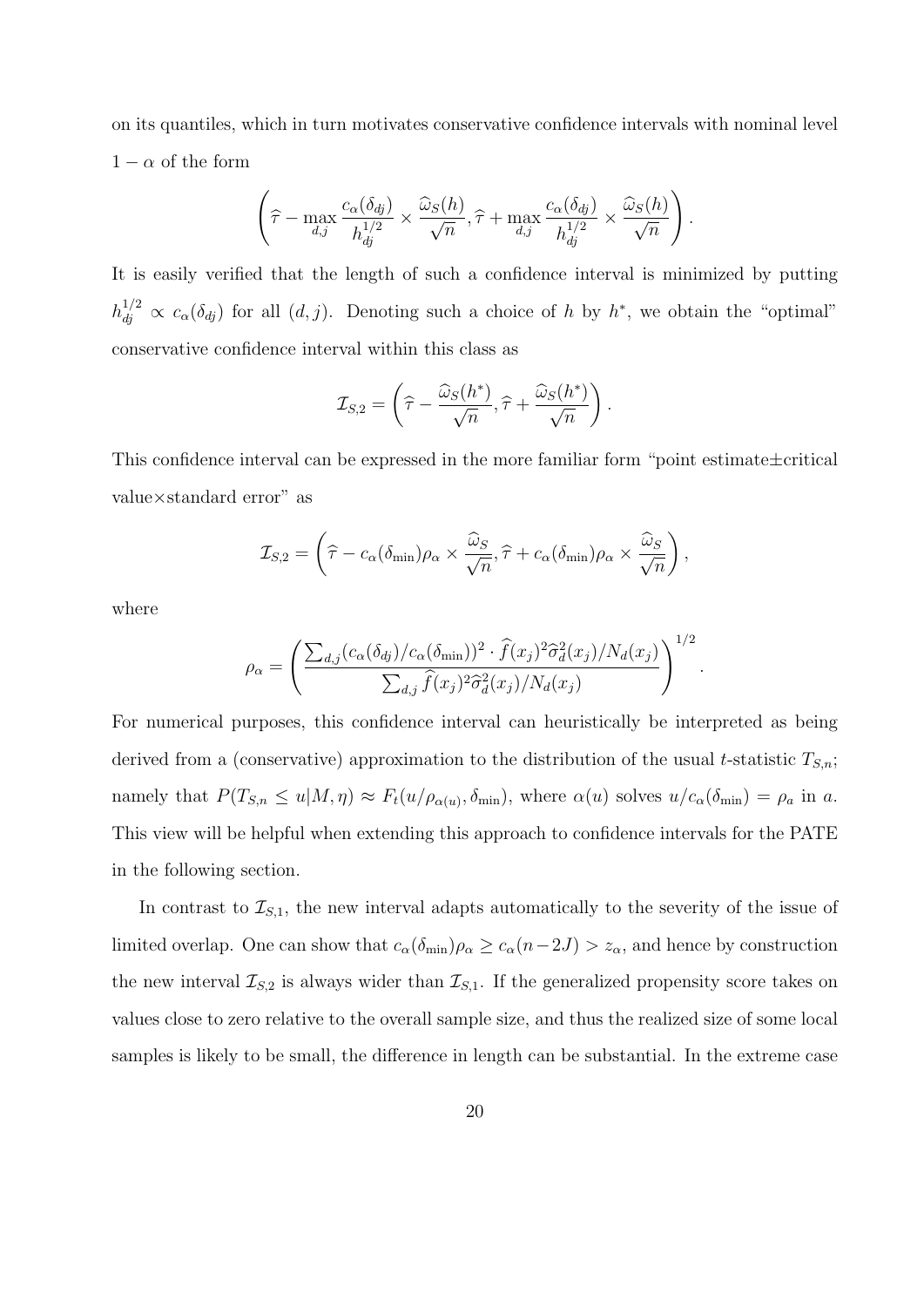on its quantiles, which in turn motivates conservative confidence intervals with nominal level  $1 - \alpha$  of the form

$$
\left(\widehat{\tau} - \max_{d,j} \frac{c_{\alpha}(\delta_{dj})}{h_{dj}^{1/2}} \times \frac{\widehat{\omega}_S(h)}{\sqrt{n}}, \widehat{\tau} + \max_{d,j} \frac{c_{\alpha}(\delta_{dj})}{h_{dj}^{1/2}} \times \frac{\widehat{\omega}_S(h)}{\sqrt{n}}\right)
$$

*.*

*.*

It is easily verified that the length of such a confidence interval is minimized by putting  $h_{dj}^{1/2} \propto c_{\alpha}(\delta_{dj})$  for all  $(d, j)$ . Denoting such a choice of *h* by  $h^*$ , we obtain the "optimal" conservative confidence interval within this class as

$$
\mathcal{I}_{S,2} = \left(\widehat{\tau} - \frac{\widehat{\omega}_S(h^*)}{\sqrt{n}}, \widehat{\tau} + \frac{\widehat{\omega}_S(h^*)}{\sqrt{n}}\right).
$$

This confidence interval can be expressed in the more familiar form "point estimate*±*critical value*×*standard error" as

$$
\mathcal{I}_{S,2} = \left(\widehat{\tau} - c_{\alpha}(\delta_{\min})\rho_{\alpha} \times \frac{\widehat{\omega}_{S}}{\sqrt{n}}, \widehat{\tau} + c_{\alpha}(\delta_{\min})\rho_{\alpha} \times \frac{\widehat{\omega}_{S}}{\sqrt{n}}\right),\,
$$

where

$$
\rho_{\alpha} = \left(\frac{\sum_{d,j} (c_{\alpha}(\delta_{dj})/c_{\alpha}(\delta_{\min}))^2 \cdot \hat{f}(x_j)^2 \hat{\sigma}_d^2(x_j)/N_d(x_j)}{\sum_{d,j} \hat{f}(x_j)^2 \hat{\sigma}_d^2(x_j)/N_d(x_j)}\right)^{1/2}
$$

For numerical purposes, this confidence interval can heuristically be interpreted as being derived from a (conservative) approximation to the distribution of the usual *t*-statistic *TS,n*; namely that  $P(T_{S,n} \leq u | M, \eta) \approx F_t(u/\rho_{\alpha(u)}, \delta_{\min})$ , where  $\alpha(u)$  solves  $u/c_{\alpha}(\delta_{\min}) = \rho_a$  in a. This view will be helpful when extending this approach to confidence intervals for the PATE in the following section.

In contrast to  $\mathcal{I}_{S,1}$ , the new interval adapts automatically to the severity of the issue of limited overlap. One can show that  $c_{\alpha}(\delta_{\min})\rho_{\alpha} \ge c_{\alpha}(n-2J) > z_{\alpha}$ , and hence by construction the new interval  $\mathcal{I}_{S,2}$  is always wider than  $\mathcal{I}_{S,1}$ . If the generalized propensity score takes on values close to zero relative to the overall sample size, and thus the realized size of some local samples is likely to be small, the difference in length can be substantial. In the extreme case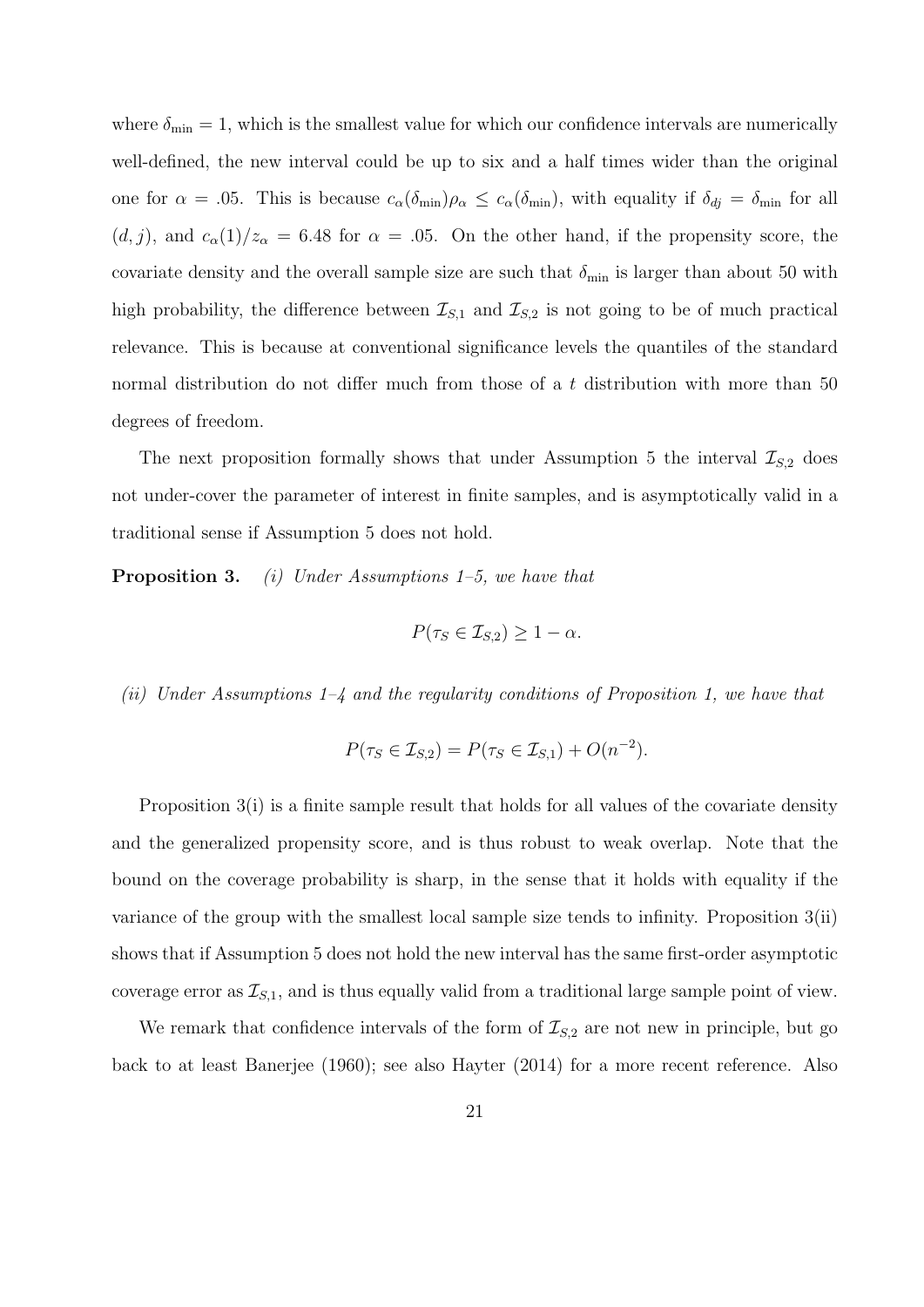where  $\delta_{\min} = 1$ , which is the smallest value for which our confidence intervals are numerically well-defined, the new interval could be up to six and a half times wider than the original one for  $\alpha = .05$ . This is because  $c_{\alpha}(\delta_{\min})\rho_{\alpha} \leq c_{\alpha}(\delta_{\min})$ , with equality if  $\delta_{dj} = \delta_{\min}$  for all  $(d, j)$ , and  $c_{\alpha}(1)/z_{\alpha} = 6.48$  for  $\alpha = .05$ . On the other hand, if the propensity score, the covariate density and the overall sample size are such that  $\delta_{\min}$  is larger than about 50 with high probability, the difference between  $\mathcal{I}_{S,1}$  and  $\mathcal{I}_{S,2}$  is not going to be of much practical relevance. This is because at conventional significance levels the quantiles of the standard normal distribution do not differ much from those of a *t* distribution with more than 50 degrees of freedom.

The next proposition formally shows that under Assumption 5 the interval  $\mathcal{I}_{S,2}$  does not under-cover the parameter of interest in finite samples, and is asymptotically valid in a traditional sense if Assumption 5 does not hold.

**Proposition 3.** *(i) Under Assumptions 1–5, we have that*

$$
P(\tau_S \in \mathcal{I}_{S,2}) \ge 1 - \alpha.
$$

*(ii) Under Assumptions 1–4 and the regularity conditions of Proposition 1, we have that*

$$
P(\tau_S \in \mathcal{I}_{S,2}) = P(\tau_S \in \mathcal{I}_{S,1}) + O(n^{-2}).
$$

Proposition 3(i) is a finite sample result that holds for all values of the covariate density and the generalized propensity score, and is thus robust to weak overlap. Note that the bound on the coverage probability is sharp, in the sense that it holds with equality if the variance of the group with the smallest local sample size tends to infinity. Proposition 3(ii) shows that if Assumption 5 does not hold the new interval has the same first-order asymptotic coverage error as *IS,*1, and is thus equally valid from a traditional large sample point of view.

We remark that confidence intervals of the form of  $\mathcal{I}_{S,2}$  are not new in principle, but go back to at least Banerjee (1960); see also Hayter (2014) for a more recent reference. Also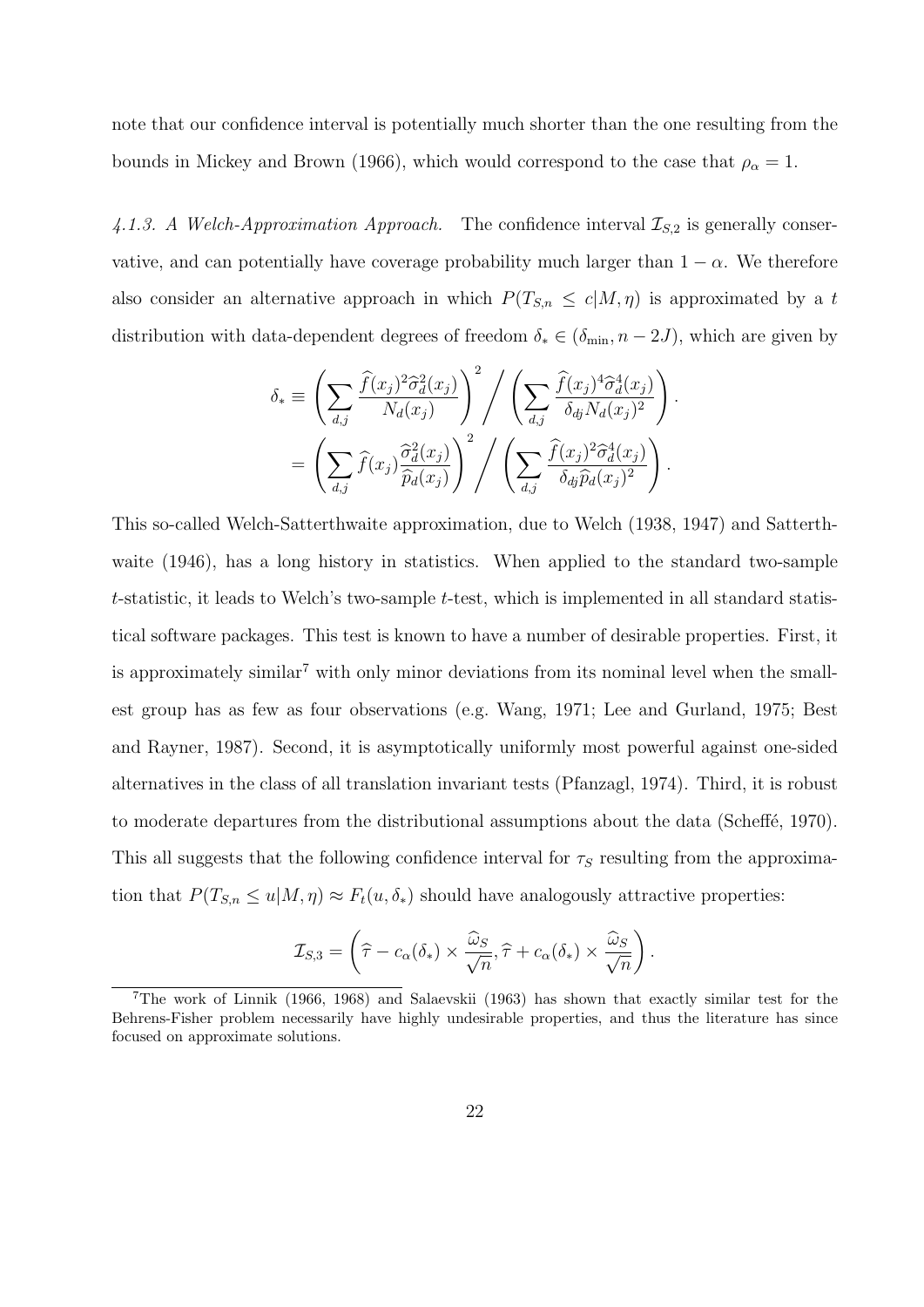note that our confidence interval is potentially much shorter than the one resulting from the bounds in Mickey and Brown (1966), which would correspond to the case that  $\rho_{\alpha} = 1$ .

*4.1.3. A Welch-Approximation Approach.* The confidence interval *IS,*<sup>2</sup> is generally conservative, and can potentially have coverage probability much larger than  $1 - \alpha$ . We therefore also consider an alternative approach in which  $P(T_{S,n} \leq c | M, \eta)$  is approximated by a t distribution with data-dependent degrees of freedom  $\delta_* \in (\delta_{\min}, n-2J)$ , which are given by

$$
\delta_{*} \equiv \left(\sum_{d,j} \frac{\widehat{f}(x_j)^2 \widehat{\sigma}_d^2(x_j)}{N_d(x_j)}\right)^2 / \left(\sum_{d,j} \frac{\widehat{f}(x_j)^4 \widehat{\sigma}_d^4(x_j)}{\delta_{dj} N_d(x_j)^2}\right).
$$

$$
= \left(\sum_{d,j} \widehat{f}(x_j) \frac{\widehat{\sigma}_d^2(x_j)}{\widehat{p}_d(x_j)}\right)^2 / \left(\sum_{d,j} \frac{\widehat{f}(x_j)^2 \widehat{\sigma}_d^4(x_j)}{\delta_{dj} \widehat{p}_d(x_j)^2}\right).
$$

This so-called Welch-Satterthwaite approximation, due to Welch (1938, 1947) and Satterthwaite (1946), has a long history in statistics. When applied to the standard two-sample *t*-statistic, it leads to Welch's two-sample *t*-test, which is implemented in all standard statistical software packages. This test is known to have a number of desirable properties. First, it is approximately similar<sup>7</sup> with only minor deviations from its nominal level when the smallest group has as few as four observations (e.g. Wang, 1971; Lee and Gurland, 1975; Best and Rayner, 1987). Second, it is asymptotically uniformly most powerful against one-sided alternatives in the class of all translation invariant tests (Pfanzagl, 1974). Third, it is robust to moderate departures from the distributional assumptions about the data (Scheffé, 1970). This all suggests that the following confidence interval for  $\tau<sub>S</sub>$  resulting from the approximation that  $P(T_{S,n} \leq u | M, \eta) \approx F_t(u, \delta_*)$  should have analogously attractive properties:

$$
\mathcal{I}_{S,3} = \left(\widehat{\tau} - c_{\alpha}(\delta_*) \times \frac{\widehat{\omega}_S}{\sqrt{n}}, \widehat{\tau} + c_{\alpha}(\delta_*) \times \frac{\widehat{\omega}_S}{\sqrt{n}}\right).
$$

<sup>7</sup>The work of Linnik (1966, 1968) and Salaevskii (1963) has shown that exactly similar test for the Behrens-Fisher problem necessarily have highly undesirable properties, and thus the literature has since focused on approximate solutions.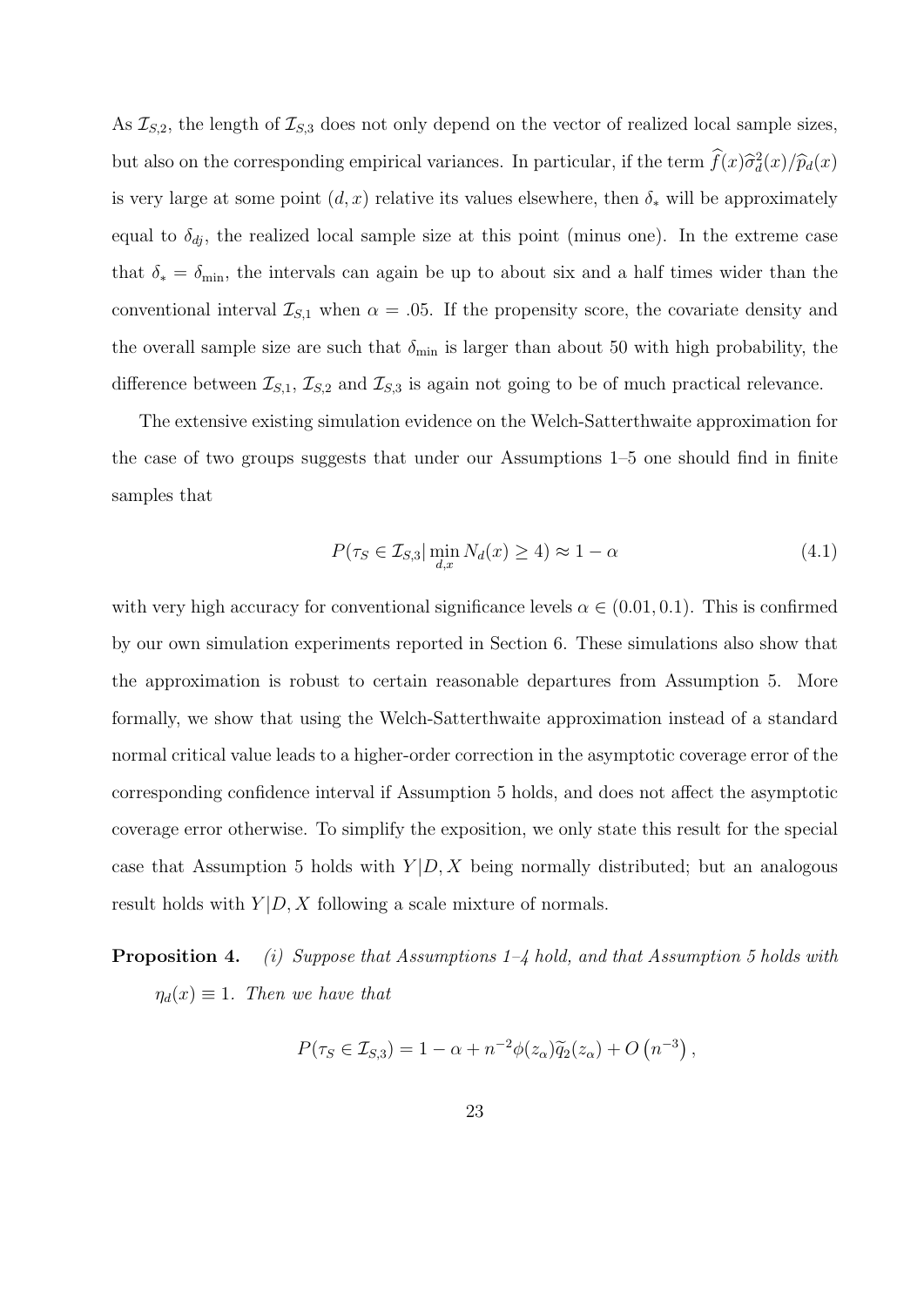As  $\mathcal{I}_{S,2}$ , the length of  $\mathcal{I}_{S,3}$  does not only depend on the vector of realized local sample sizes, but also on the corresponding empirical variances. In particular, if the term  $\hat{f}(x)\hat{\sigma}_d^2(x)/\hat{p}_d(x)$ is very large at some point  $(d, x)$  relative its values elsewhere, then  $\delta_*$  will be approximately equal to  $\delta_{dj}$ , the realized local sample size at this point (minus one). In the extreme case that  $\delta_* = \delta_{\min}$ , the intervals can again be up to about six and a half times wider than the conventional interval  $\mathcal{I}_{S,1}$  when  $\alpha = .05$ . If the propensity score, the covariate density and the overall sample size are such that  $\delta_{\min}$  is larger than about 50 with high probability, the difference between  $\mathcal{I}_{S,1}$ ,  $\mathcal{I}_{S,2}$  and  $\mathcal{I}_{S,3}$  is again not going to be of much practical relevance.

The extensive existing simulation evidence on the Welch-Satterthwaite approximation for the case of two groups suggests that under our Assumptions 1–5 one should find in finite samples that

$$
P(\tau_S \in \mathcal{I}_{S,3} | \min_{d,x} N_d(x) \ge 4) \approx 1 - \alpha \tag{4.1}
$$

with very high accuracy for conventional significance levels  $\alpha \in (0.01, 0.1)$ . This is confirmed by our own simulation experiments reported in Section 6. These simulations also show that the approximation is robust to certain reasonable departures from Assumption 5. More formally, we show that using the Welch-Satterthwaite approximation instead of a standard normal critical value leads to a higher-order correction in the asymptotic coverage error of the corresponding confidence interval if Assumption 5 holds, and does not affect the asymptotic coverage error otherwise. To simplify the exposition, we only state this result for the special case that Assumption 5 holds with  $Y|D, X$  being normally distributed; but an analogous result holds with  $Y|D, X$  following a scale mixture of normals.

**Proposition 4.** *(i) Suppose that Assumptions 1–4 hold, and that Assumption 5 holds with*  $\eta_d(x) \equiv 1$ *. Then we have that* 

$$
P(\tau_S \in \mathcal{I}_{S,3}) = 1 - \alpha + n^{-2} \phi(z_\alpha) \widetilde{q}_2(z_\alpha) + O\left(n^{-3}\right),
$$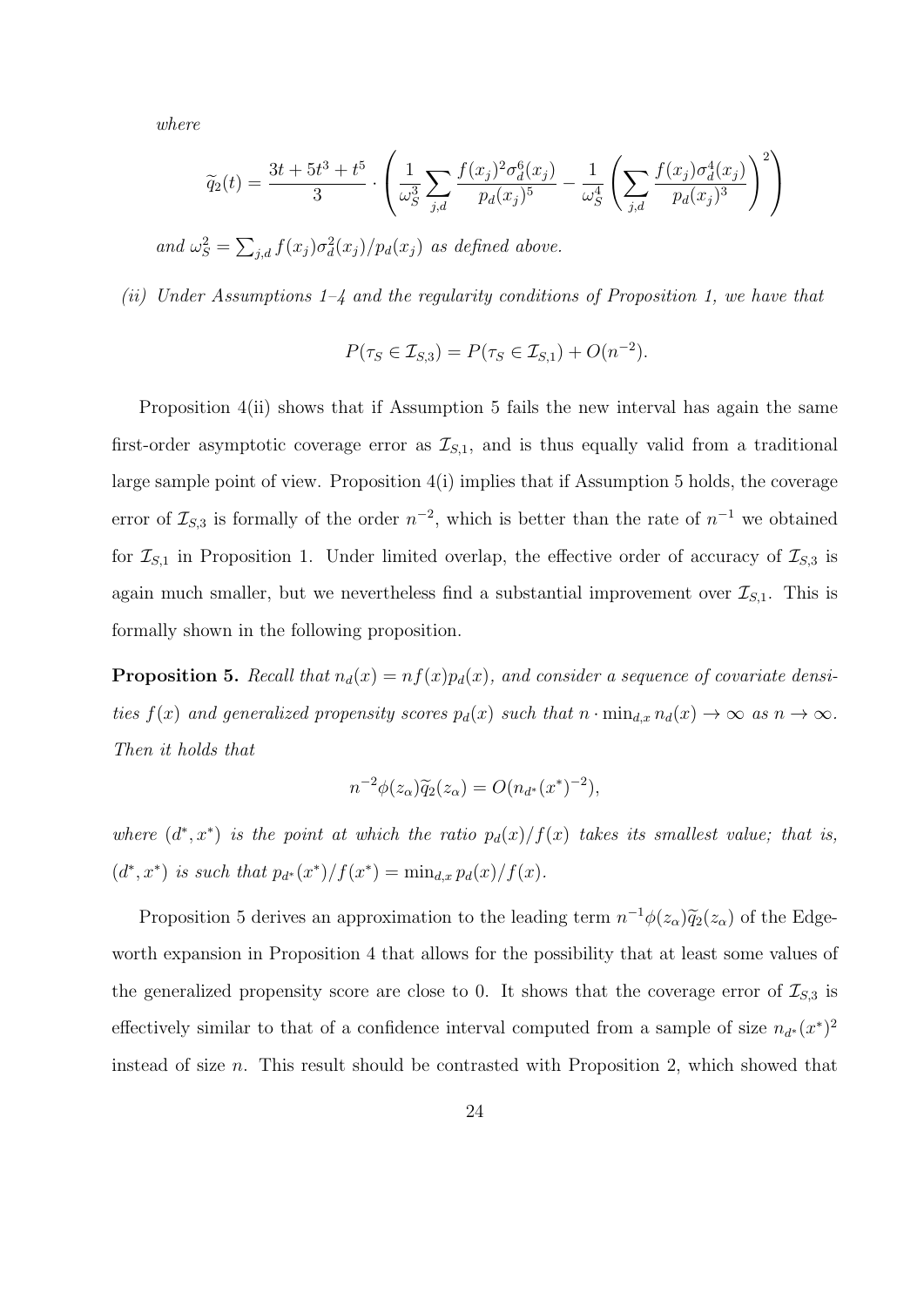*where*

$$
\widetilde{q}_2(t) = \frac{3t + 5t^3 + t^5}{3} \cdot \left( \frac{1}{\omega_S^3} \sum_{j,d} \frac{f(x_j)^2 \sigma_d^6(x_j)}{p_d(x_j)^5} - \frac{1}{\omega_S^4} \left( \sum_{j,d} \frac{f(x_j) \sigma_d^4(x_j)}{p_d(x_j)^3} \right)^2 \right)
$$

*and*  $\omega_S^2 = \sum_{j,d} f(x_j) \sigma_d^2(x_j) / p_d(x_j)$  *as defined above.* 

*(ii) Under Assumptions 1–4 and the regularity conditions of Proposition 1, we have that*

$$
P(\tau_S \in \mathcal{I}_{S,3}) = P(\tau_S \in \mathcal{I}_{S,1}) + O(n^{-2}).
$$

Proposition 4(ii) shows that if Assumption 5 fails the new interval has again the same first-order asymptotic coverage error as  $\mathcal{I}_{S,1}$ , and is thus equally valid from a traditional large sample point of view. Proposition 4(i) implies that if Assumption 5 holds, the coverage error of  $\mathcal{I}_{S,3}$  is formally of the order  $n^{-2}$ , which is better than the rate of  $n^{-1}$  we obtained for  $\mathcal{I}_{S,1}$  in Proposition 1. Under limited overlap, the effective order of accuracy of  $\mathcal{I}_{S,3}$  is again much smaller, but we nevertheless find a substantial improvement over  $\mathcal{I}_{S,1}$ . This is formally shown in the following proposition.

**Proposition 5.** Recall that  $n_d(x) = nf(x)p_d(x)$ , and consider a sequence of covariate densi*ties*  $f(x)$  *and generalized propensity scores*  $p_d(x)$  *such that*  $n \cdot \min_{d,x} n_d(x) \to \infty$  *as*  $n \to \infty$ *. Then it holds that*

$$
n^{-2}\phi(z_{\alpha})\widetilde{q}_2(z_{\alpha})=O(n_{d^*}(x^*)^{-2}),
$$

*where*  $(d^*, x^*)$  *is the point at which the ratio*  $p_d(x)/f(x)$  *takes its smallest value; that is,*  $(d^*, x^*)$  *is such that*  $p_{d^*}(x^*)/f(x^*) = \min_{d,x} p_d(x)/f(x)$ .

Proposition 5 derives an approximation to the leading term  $n^{-1}\phi(z_\alpha)\tilde{q}_2(z_\alpha)$  of the Edgeworth expansion in Proposition 4 that allows for the possibility that at least some values of the generalized propensity score are close to 0. It shows that the coverage error of  $\mathcal{I}_{S,3}$  is effectively similar to that of a confidence interval computed from a sample of size  $n_{d^*}(x^*)^2$ instead of size *n*. This result should be contrasted with Proposition 2, which showed that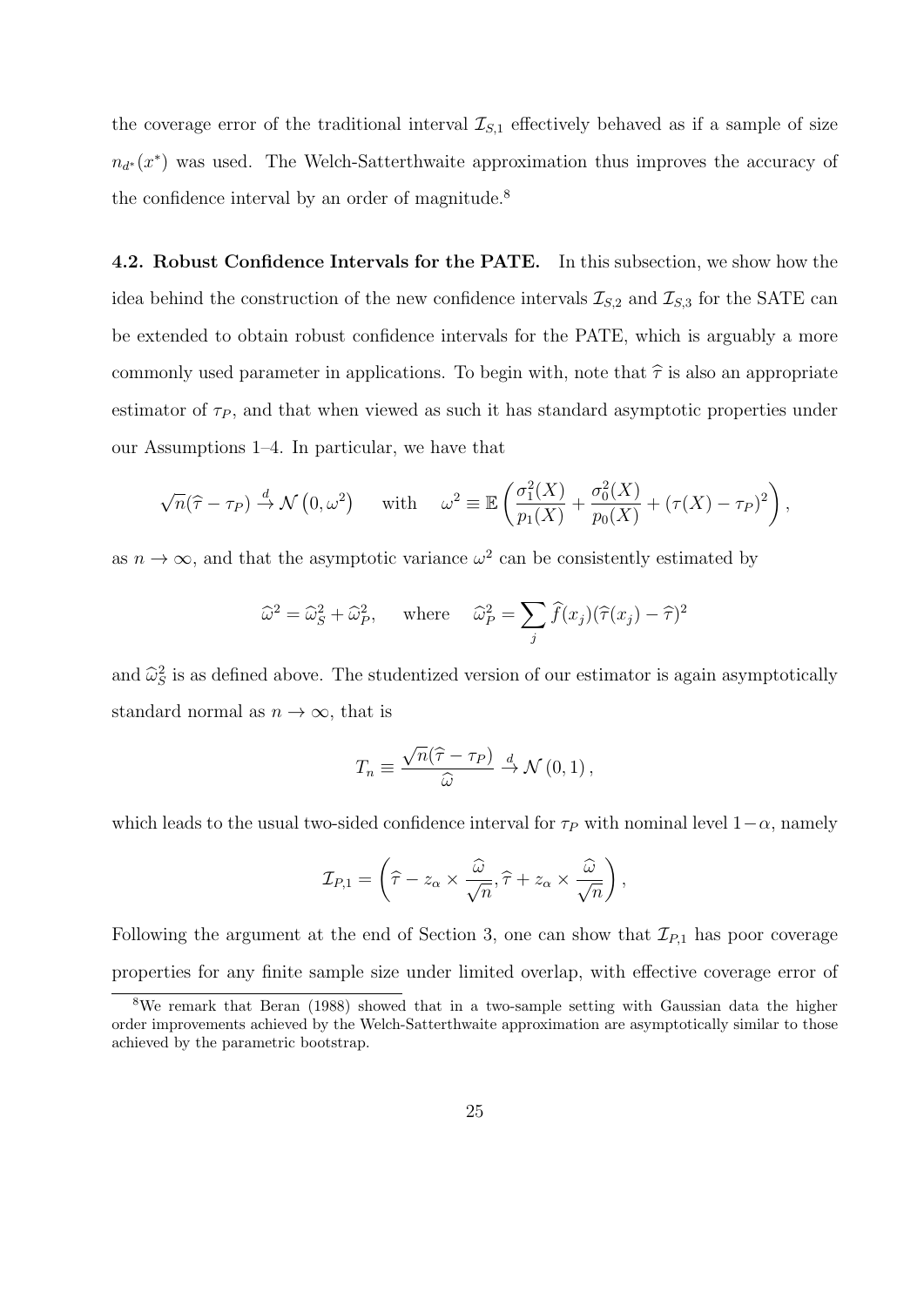the coverage error of the traditional interval  $\mathcal{I}_{S,1}$  effectively behaved as if a sample of size  $n_{d^*}(x^*)$  was used. The Welch-Satterthwaite approximation thus improves the accuracy of the confidence interval by an order of magnitude.<sup>8</sup>

**4.2. Robust Confidence Intervals for the PATE.** In this subsection, we show how the idea behind the construction of the new confidence intervals  $\mathcal{I}_{S,2}$  and  $\mathcal{I}_{S,3}$  for the SATE can be extended to obtain robust confidence intervals for the PATE, which is arguably a more commonly used parameter in applications. To begin with, note that  $\hat{\tau}$  is also an appropriate estimator of  $\tau_P$ , and that when viewed as such it has standard asymptotic properties under our Assumptions 1–4. In particular, we have that

$$
\sqrt{n}(\widehat{\tau}-\tau_P) \stackrel{d}{\to} \mathcal{N}\left(0,\omega^2\right) \quad \text{with} \quad \omega^2 \equiv \mathbb{E}\left(\frac{\sigma_1^2(X)}{p_1(X)} + \frac{\sigma_0^2(X)}{p_0(X)} + (\tau(X)-\tau_P)^2\right),
$$

as  $n \to \infty$ , and that the asymptotic variance  $\omega^2$  can be consistently estimated by

$$
\widehat{\omega}^2 = \widehat{\omega}_S^2 + \widehat{\omega}_P^2, \quad \text{where} \quad \widehat{\omega}_P^2 = \sum_j \widehat{f}(x_j)(\widehat{\tau}(x_j) - \widehat{\tau})^2
$$

and  $\widehat{\omega}_S^2$  is as defined above. The studentized version of our estimator is again asymptotically standard normal as  $n \to \infty$ , that is

$$
T_n \equiv \frac{\sqrt{n}(\hat{\tau} - \tau_P)}{\hat{\omega}} \stackrel{d}{\rightarrow} \mathcal{N}(0, 1) ,
$$

which leads to the usual two-sided confidence interval for  $\tau_P$  with nominal level  $1-\alpha$ , namely

$$
\mathcal{I}_{P,1} = \left(\widehat{\tau} - z_{\alpha} \times \frac{\widehat{\omega}}{\sqrt{n}}, \widehat{\tau} + z_{\alpha} \times \frac{\widehat{\omega}}{\sqrt{n}}\right),\,
$$

Following the argument at the end of Section 3, one can show that  $\mathcal{I}_{P,1}$  has poor coverage properties for any finite sample size under limited overlap, with effective coverage error of

<sup>8</sup>We remark that Beran (1988) showed that in a two-sample setting with Gaussian data the higher order improvements achieved by the Welch-Satterthwaite approximation are asymptotically similar to those achieved by the parametric bootstrap.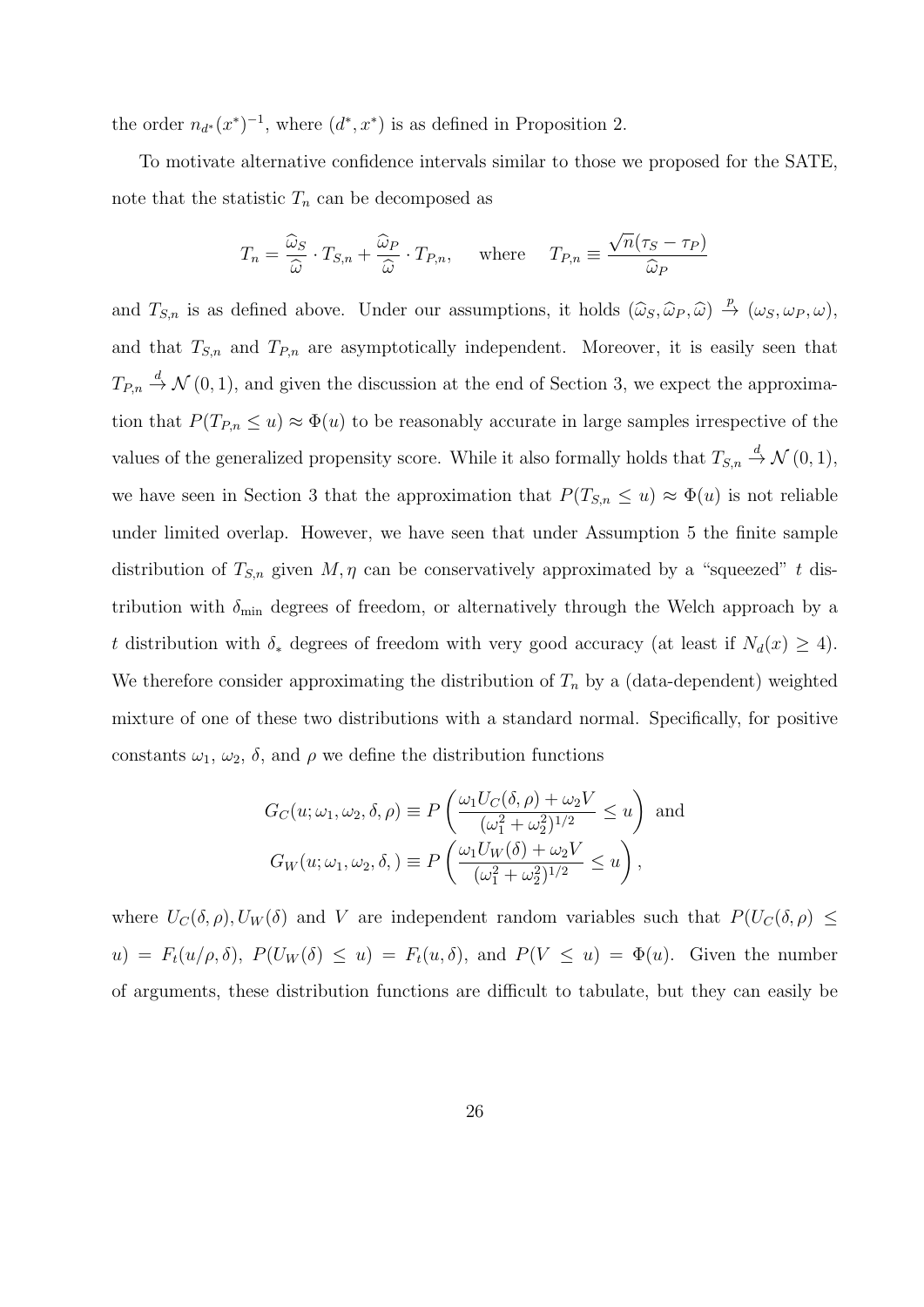the order  $n_{d^*}(x^*)^{-1}$ , where  $(d^*, x^*)$  is as defined in Proposition 2.

To motivate alternative confidence intervals similar to those we proposed for the SATE, note that the statistic  $T_n$  can be decomposed as

$$
T_n = \frac{\widehat{\omega}_S}{\widehat{\omega}} \cdot T_{S,n} + \frac{\widehat{\omega}_P}{\widehat{\omega}} \cdot T_{P,n}, \quad \text{where} \quad T_{P,n} \equiv \frac{\sqrt{n}(\tau_S - \tau_P)}{\widehat{\omega}_P}
$$

and  $T_{S,n}$  is as defined above. Under our assumptions, it holds  $(\widehat{\omega}_S, \widehat{\omega}_P, \widehat{\omega}) \stackrel{p}{\rightarrow} (\omega_S, \omega_P, \omega)$ , and that  $T_{S,n}$  and  $T_{P,n}$  are asymptotically independent. Moreover, it is easily seen that  $T_{P,n} \stackrel{d}{\rightarrow} \mathcal{N}(0,1)$ , and given the discussion at the end of Section 3, we expect the approximation that  $P(T_{P,n} \le u) \approx \Phi(u)$  to be reasonably accurate in large samples irrespective of the values of the generalized propensity score. While it also formally holds that  $T_{S,n} \stackrel{d}{\rightarrow} \mathcal{N}(0,1)$ , we have seen in Section 3 that the approximation that  $P(T_{S,n} \le u) \approx \Phi(u)$  is not reliable under limited overlap. However, we have seen that under Assumption 5 the finite sample distribution of  $T_{S,n}$  given  $M, \eta$  can be conservatively approximated by a "squeezed" t distribution with  $\delta_{\min}$  degrees of freedom, or alternatively through the Welch approach by a *t* distribution with  $\delta_*$  degrees of freedom with very good accuracy (at least if  $N_d(x) \geq 4$ ). We therefore consider approximating the distribution of  $T<sub>n</sub>$  by a (data-dependent) weighted mixture of one of these two distributions with a standard normal. Specifically, for positive constants  $\omega_1$ ,  $\omega_2$ ,  $\delta$ , and  $\rho$  we define the distribution functions

$$
G_C(u; \omega_1, \omega_2, \delta, \rho) \equiv P\left(\frac{\omega_1 U_C(\delta, \rho) + \omega_2 V}{(\omega_1^2 + \omega_2^2)^{1/2}} \le u\right) \text{ and}
$$
  

$$
G_W(u; \omega_1, \omega_2, \delta) \equiv P\left(\frac{\omega_1 U_W(\delta) + \omega_2 V}{(\omega_1^2 + \omega_2^2)^{1/2}} \le u\right),
$$

where  $U_C(\delta, \rho)$ ,  $U_W(\delta)$  and *V* are independent random variables such that  $P(U_C(\delta, \rho) \leq$  $u$ ) =  $F_t(u/\rho, \delta)$ ,  $P(U_W(\delta) \le u) = F_t(u, \delta)$ , and  $P(V \le u) = \Phi(u)$ . Given the number of arguments, these distribution functions are difficult to tabulate, but they can easily be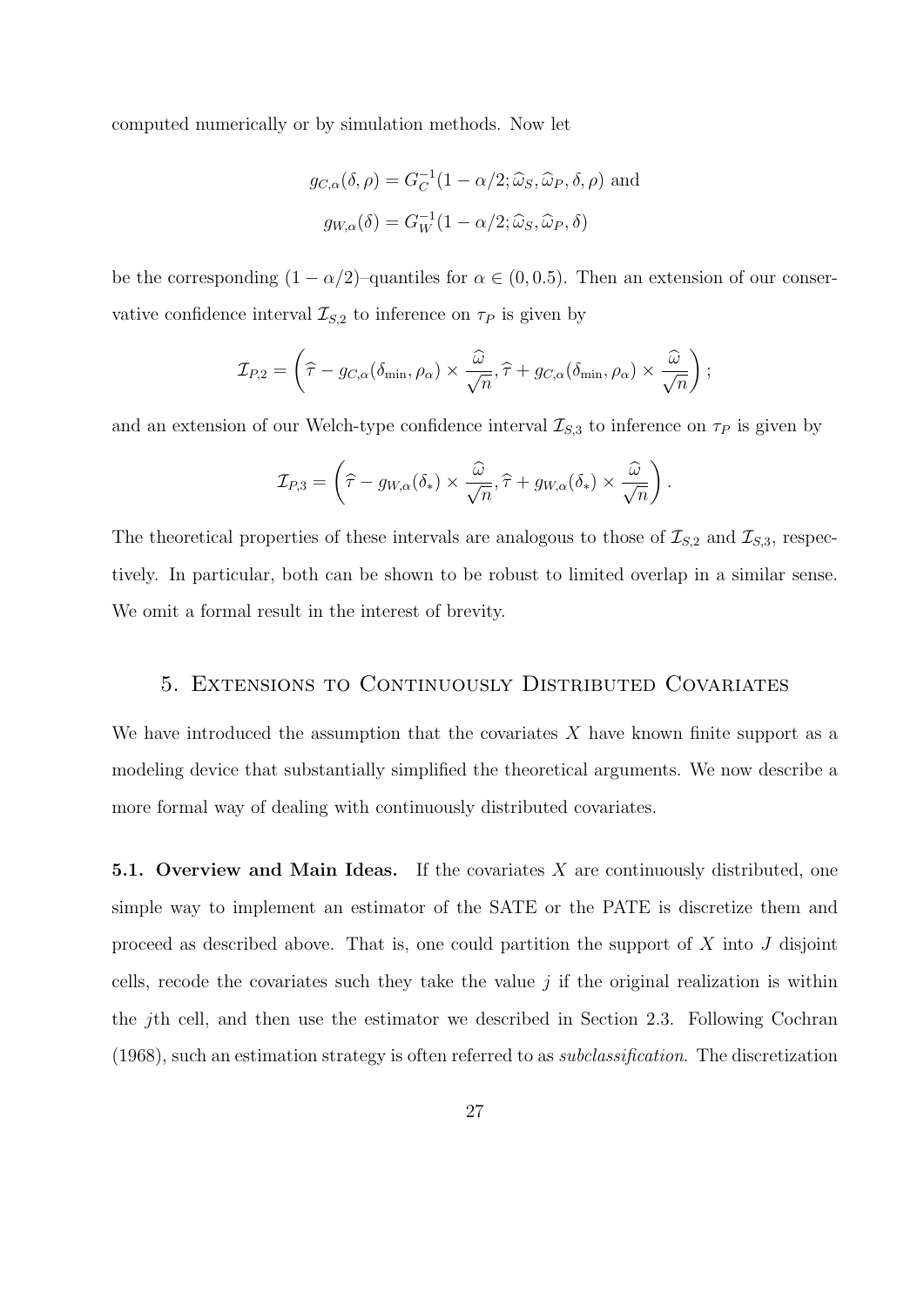computed numerically or by simulation methods. Now let

$$
g_{C,\alpha}(\delta,\rho) = G_C^{-1}(1-\alpha/2; \widehat{\omega}_S, \widehat{\omega}_P, \delta, \rho)
$$
 and  

$$
g_{W,\alpha}(\delta) = G_W^{-1}(1-\alpha/2; \widehat{\omega}_S, \widehat{\omega}_P, \delta)
$$

be the corresponding  $(1 - \alpha/2)$ –quantiles for  $\alpha \in (0, 0.5)$ . Then an extension of our conservative confidence interval  $\mathcal{I}_{S,2}$  to inference on  $\tau_P$  is given by

$$
\mathcal{I}_{P,2} = \left(\widehat{\tau} - g_{C,\alpha}(\delta_{\min}, \rho_{\alpha}) \times \frac{\widehat{\omega}}{\sqrt{n}}, \widehat{\tau} + g_{C,\alpha}(\delta_{\min}, \rho_{\alpha}) \times \frac{\widehat{\omega}}{\sqrt{n}}\right);
$$

and an extension of our Welch-type confidence interval  $\mathcal{I}_{S,3}$  to inference on  $\tau_P$  is given by

$$
\mathcal{I}_{P,3} = \left(\widehat{\tau} - g_{W,\alpha}(\delta_*) \times \frac{\widehat{\omega}}{\sqrt{n}}, \widehat{\tau} + g_{W,\alpha}(\delta_*) \times \frac{\widehat{\omega}}{\sqrt{n}}\right).
$$

The theoretical properties of these intervals are analogous to those of  $\mathcal{I}_{S,2}$  and  $\mathcal{I}_{S,3}$ , respectively. In particular, both can be shown to be robust to limited overlap in a similar sense. We omit a formal result in the interest of brevity.

#### 5. Extensions to Continuously Distributed Covariates

We have introduced the assumption that the covariates *X* have known finite support as a modeling device that substantially simplified the theoretical arguments. We now describe a more formal way of dealing with continuously distributed covariates.

**5.1. Overview and Main Ideas.** If the covariates *X* are continuously distributed, one simple way to implement an estimator of the SATE or the PATE is discretize them and proceed as described above. That is, one could partition the support of *X* into *J* disjoint cells, recode the covariates such they take the value  $j$  if the original realization is within the *j*th cell, and then use the estimator we described in Section 2.3. Following Cochran (1968), such an estimation strategy is often referred to as *subclassification*. The discretization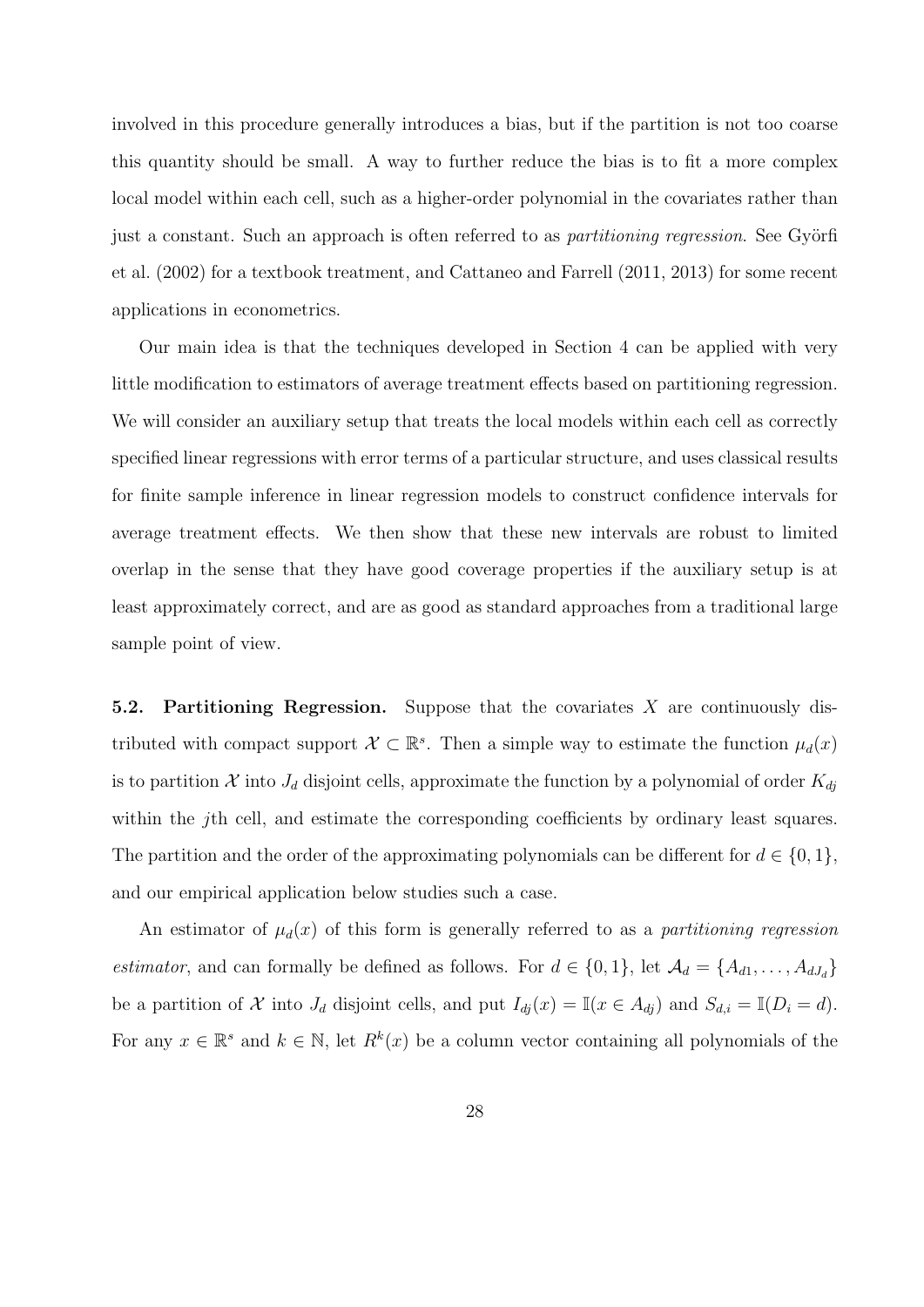involved in this procedure generally introduces a bias, but if the partition is not too coarse this quantity should be small. A way to further reduce the bias is to fit a more complex local model within each cell, such as a higher-order polynomial in the covariates rather than just a constant. Such an approach is often referred to as *partitioning regression*. See Györfi et al. (2002) for a textbook treatment, and Cattaneo and Farrell (2011, 2013) for some recent applications in econometrics.

Our main idea is that the techniques developed in Section 4 can be applied with very little modification to estimators of average treatment effects based on partitioning regression. We will consider an auxiliary setup that treats the local models within each cell as correctly specified linear regressions with error terms of a particular structure, and uses classical results for finite sample inference in linear regression models to construct confidence intervals for average treatment effects. We then show that these new intervals are robust to limited overlap in the sense that they have good coverage properties if the auxiliary setup is at least approximately correct, and are as good as standard approaches from a traditional large sample point of view.

**5.2. Partitioning Regression.** Suppose that the covariates *X* are continuously distributed with compact support  $\mathcal{X} \subset \mathbb{R}^s$ . Then a simple way to estimate the function  $\mu_d(x)$ is to partition *X* into  $J_d$  disjoint cells, approximate the function by a polynomial of order  $K_{dj}$ within the *j*th cell, and estimate the corresponding coefficients by ordinary least squares. The partition and the order of the approximating polynomials can be different for  $d \in \{0, 1\}$ , and our empirical application below studies such a case.

An estimator of  $\mu_d(x)$  of this form is generally referred to as a *partitioning regression estimator*, and can formally be defined as follows. For  $d \in \{0, 1\}$ , let  $\mathcal{A}_d = \{A_{d1}, \ldots, A_{dJ_d}\}$ be a partition of *X* into *J<sub>d</sub>* disjoint cells, and put  $I_{dj}(x) = \mathbb{I}(x \in A_{dj})$  and  $S_{d,i} = \mathbb{I}(D_i = d)$ . For any  $x \in \mathbb{R}^s$  and  $k \in \mathbb{N}$ , let  $R^k(x)$  be a column vector containing all polynomials of the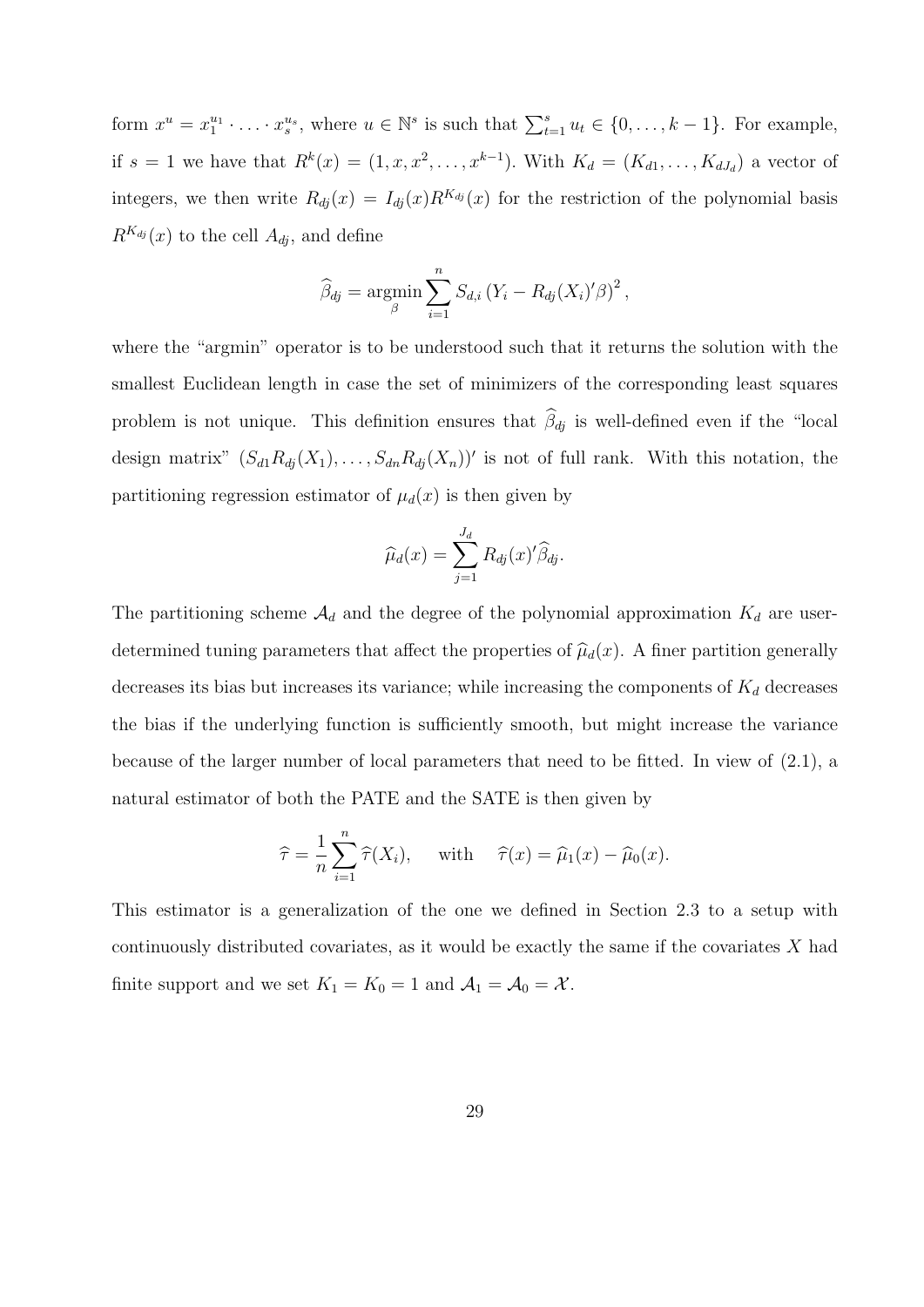form  $x^u = x_1^{u_1} \cdot \ldots \cdot x_s^{u_s}$ , where  $u \in \mathbb{N}^s$  is such that  $\sum_{t=1}^s u_t \in \{0, \ldots, k-1\}$ . For example, if  $s = 1$  we have that  $R^k(x) = (1, x, x^2, \dots, x^{k-1})$ . With  $K_d = (K_{d1}, \dots, K_{dJ_d})$  a vector of integers, we then write  $R_{dj}(x) = I_{dj}(x)R^{K_{dj}}(x)$  for the restriction of the polynomial basis  $R^{K_{dj}}(x)$  to the cell  $A_{dj}$ , and define

$$
\widehat{\beta}_{dj} = \underset{\beta}{\text{argmin}} \sum_{i=1}^{n} S_{d,i} \left( Y_i - R_{dj} (X_i)' \beta \right)^2,
$$

where the "argmin" operator is to be understood such that it returns the solution with the smallest Euclidean length in case the set of minimizers of the corresponding least squares problem is not unique. This definition ensures that  $\hat{\beta}_{dj}$  is well-defined even if the "local design matrix"  $(S_{d1}R_{dj}(X_1), \ldots, S_{dn}R_{dj}(X_n))'$  is not of full rank. With this notation, the partitioning regression estimator of  $\mu_d(x)$  is then given by

$$
\widehat{\mu}_d(x) = \sum_{j=1}^{J_d} R_{dj}(x)^j \widehat{\beta}_{dj}.
$$

The partitioning scheme  $A_d$  and the degree of the polynomial approximation  $K_d$  are userdetermined tuning parameters that affect the properties of  $\hat{\mu}_d(x)$ . A finer partition generally decreases its bias but increases its variance; while increasing the components of  $K_d$  decreases the bias if the underlying function is sufficiently smooth, but might increase the variance because of the larger number of local parameters that need to be fitted. In view of (2.1), a natural estimator of both the PATE and the SATE is then given by

$$
\widehat{\tau} = \frac{1}{n} \sum_{i=1}^{n} \widehat{\tau}(X_i), \quad \text{with} \quad \widehat{\tau}(x) = \widehat{\mu}_1(x) - \widehat{\mu}_0(x).
$$

This estimator is a generalization of the one we defined in Section 2.3 to a setup with continuously distributed covariates, as it would be exactly the same if the covariates *X* had finite support and we set  $K_1 = K_0 = 1$  and  $\mathcal{A}_1 = \mathcal{A}_0 = \mathcal{X}$ .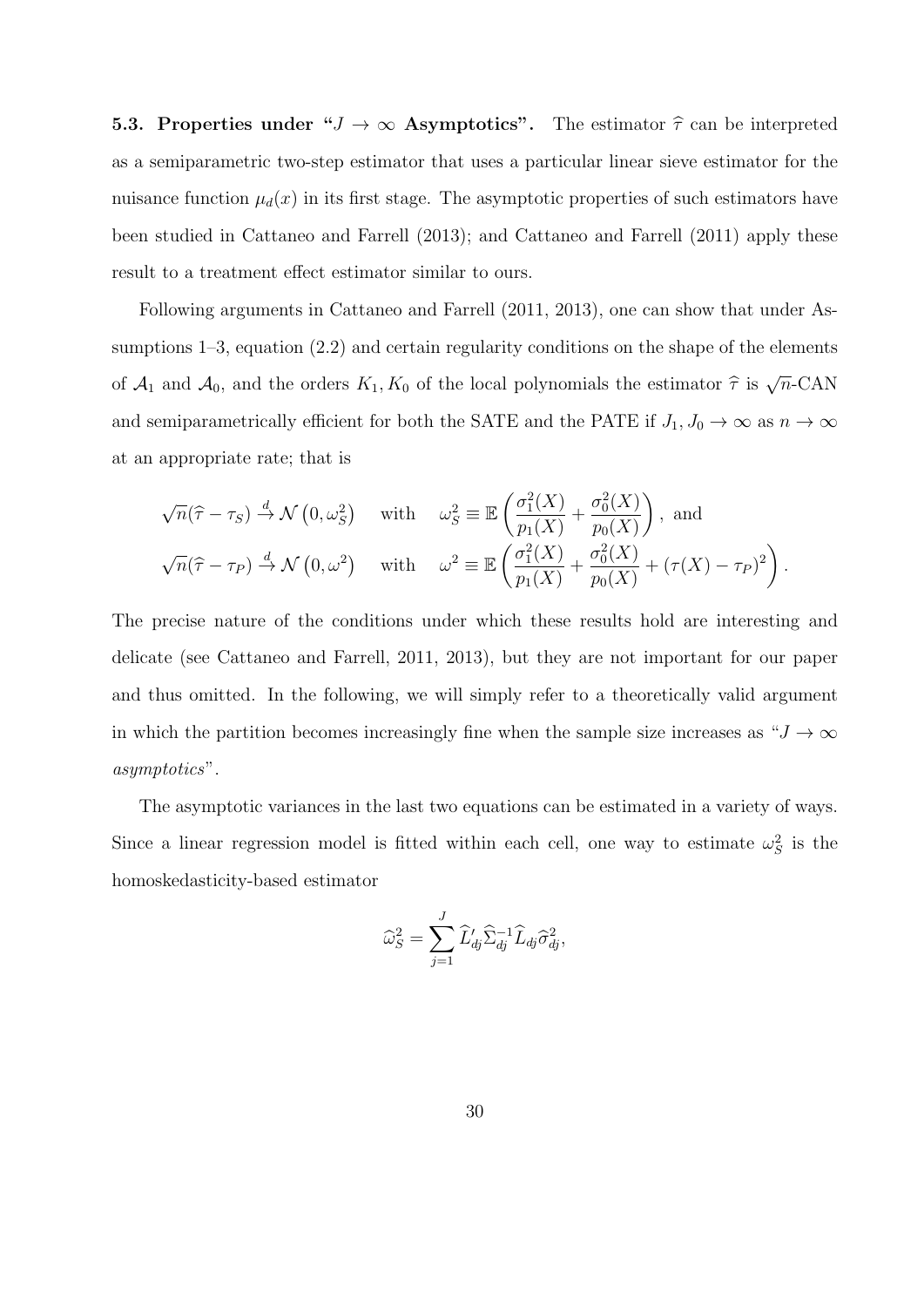**5.3. Properties under "** $J \rightarrow \infty$  **Asymptotics".** The estimator  $\hat{\tau}$  can be interpreted as a semiparametric two-step estimator that uses a particular linear sieve estimator for the nuisance function  $\mu_d(x)$  in its first stage. The asymptotic properties of such estimators have been studied in Cattaneo and Farrell (2013); and Cattaneo and Farrell (2011) apply these result to a treatment effect estimator similar to ours.

Following arguments in Cattaneo and Farrell (2011, 2013), one can show that under Assumptions 1–3, equation (2.2) and certain regularity conditions on the shape of the elements of  $A_1$  and  $A_0$ , and the orders  $K_1, K_0$  of the local polynomials the estimator  $\hat{\tau}$  is  $\sqrt{\frac{F(1)}{F(1)}}$ *n*-CAN and semiparametrically efficient for both the SATE and the PATE if  $J_1, J_0 \to \infty$  as  $n \to \infty$ at an appropriate rate; that is

$$
\sqrt{n}(\hat{\tau} - \tau_S) \stackrel{d}{\rightarrow} \mathcal{N}\left(0, \omega_S^2\right) \quad \text{with} \quad \omega_S^2 \equiv \mathbb{E}\left(\frac{\sigma_1^2(X)}{p_1(X)} + \frac{\sigma_0^2(X)}{p_0(X)}\right), \text{ and}
$$

$$
\sqrt{n}(\hat{\tau} - \tau_P) \stackrel{d}{\rightarrow} \mathcal{N}\left(0, \omega^2\right) \quad \text{with} \quad \omega^2 \equiv \mathbb{E}\left(\frac{\sigma_1^2(X)}{p_1(X)} + \frac{\sigma_0^2(X)}{p_0(X)} + (\tau(X) - \tau_P)^2\right).
$$

The precise nature of the conditions under which these results hold are interesting and delicate (see Cattaneo and Farrell, 2011, 2013), but they are not important for our paper and thus omitted. In the following, we will simply refer to a theoretically valid argument in which the partition becomes increasingly fine when the sample size increases as " $J \rightarrow \infty$ *asymptotics*".

The asymptotic variances in the last two equations can be estimated in a variety of ways. Since a linear regression model is fitted within each cell, one way to estimate  $\omega_S^2$  is the homoskedasticity-based estimator

$$
\widehat{\omega}_{S}^{2} = \sum_{j=1}^{J} \widehat{L}_{dj}^{\prime} \widehat{\Sigma}_{dj}^{-1} \widehat{L}_{dj} \widehat{\sigma}_{dj}^{2},
$$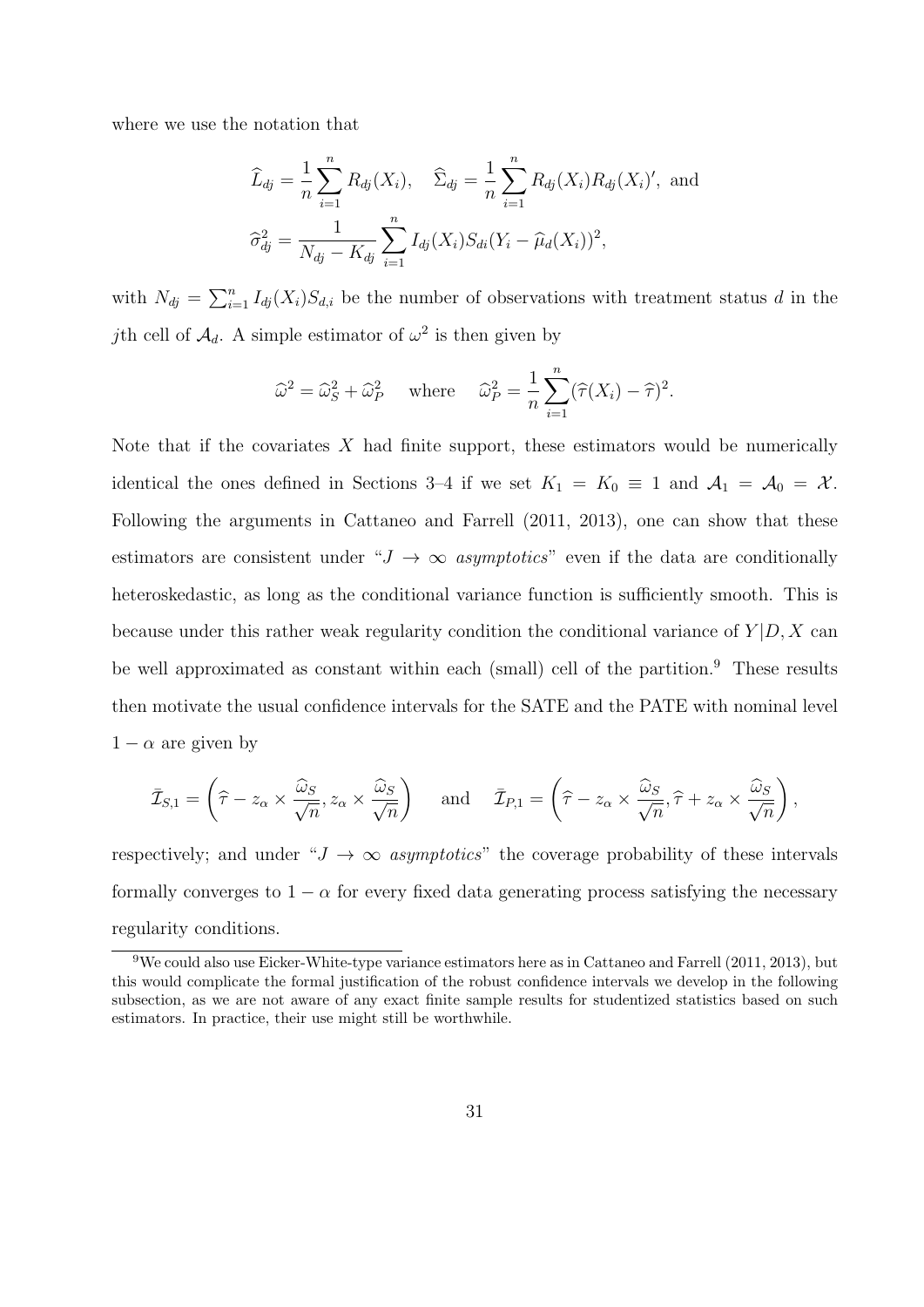where we use the notation that

$$
\widehat{L}_{dj} = \frac{1}{n} \sum_{i=1}^{n} R_{dj}(X_i), \quad \widehat{\Sigma}_{dj} = \frac{1}{n} \sum_{i=1}^{n} R_{dj}(X_i) R_{dj}(X_i)', \text{ and}
$$

$$
\widehat{\sigma}_{dj}^2 = \frac{1}{N_{dj} - K_{dj}} \sum_{i=1}^{n} I_{dj}(X_i) S_{di}(Y_i - \widehat{\mu}_d(X_i))^2,
$$

with  $N_{dj} = \sum_{i=1}^{n} I_{dj}(X_i) S_{d,i}$  be the number of observations with treatment status *d* in the *j*th cell of  $\mathcal{A}_d$ . A simple estimator of  $\omega^2$  is then given by

$$
\widehat{\omega}^2 = \widehat{\omega}_S^2 + \widehat{\omega}_P^2 \quad \text{where} \quad \widehat{\omega}_P^2 = \frac{1}{n} \sum_{i=1}^n (\widehat{\tau}(X_i) - \widehat{\tau})^2.
$$

Note that if the covariates *X* had finite support, these estimators would be numerically identical the ones defined in Sections 3–4 if we set  $K_1 = K_0 \equiv 1$  and  $A_1 = A_0 = X$ . Following the arguments in Cattaneo and Farrell (2011, 2013), one can show that these estimators are consistent under " $J \rightarrow \infty$  *asymptotics*" even if the data are conditionally heteroskedastic, as long as the conditional variance function is sufficiently smooth. This is because under this rather weak regularity condition the conditional variance of *Y |D, X* can be well approximated as constant within each (small) cell of the partition.<sup>9</sup> These results then motivate the usual confidence intervals for the SATE and the PATE with nominal level  $1 - \alpha$  are given by

$$
\bar{\mathcal{I}}_{S,1} = \left(\widehat{\tau} - z_{\alpha} \times \frac{\widehat{\omega}_S}{\sqrt{n}}, z_{\alpha} \times \frac{\widehat{\omega}_S}{\sqrt{n}}\right) \quad \text{and} \quad \bar{\mathcal{I}}_{P,1} = \left(\widehat{\tau} - z_{\alpha} \times \frac{\widehat{\omega}_S}{\sqrt{n}}, \widehat{\tau} + z_{\alpha} \times \frac{\widehat{\omega}_S}{\sqrt{n}}\right),
$$

respectively; and under " $J \rightarrow \infty$  *asymptotics*" the coverage probability of these intervals formally converges to  $1 - \alpha$  for every fixed data generating process satisfying the necessary regularity conditions.

<sup>&</sup>lt;sup>9</sup>We could also use Eicker-White-type variance estimators here as in Cattaneo and Farrell (2011, 2013), but this would complicate the formal justification of the robust confidence intervals we develop in the following subsection, as we are not aware of any exact finite sample results for studentized statistics based on such estimators. In practice, their use might still be worthwhile.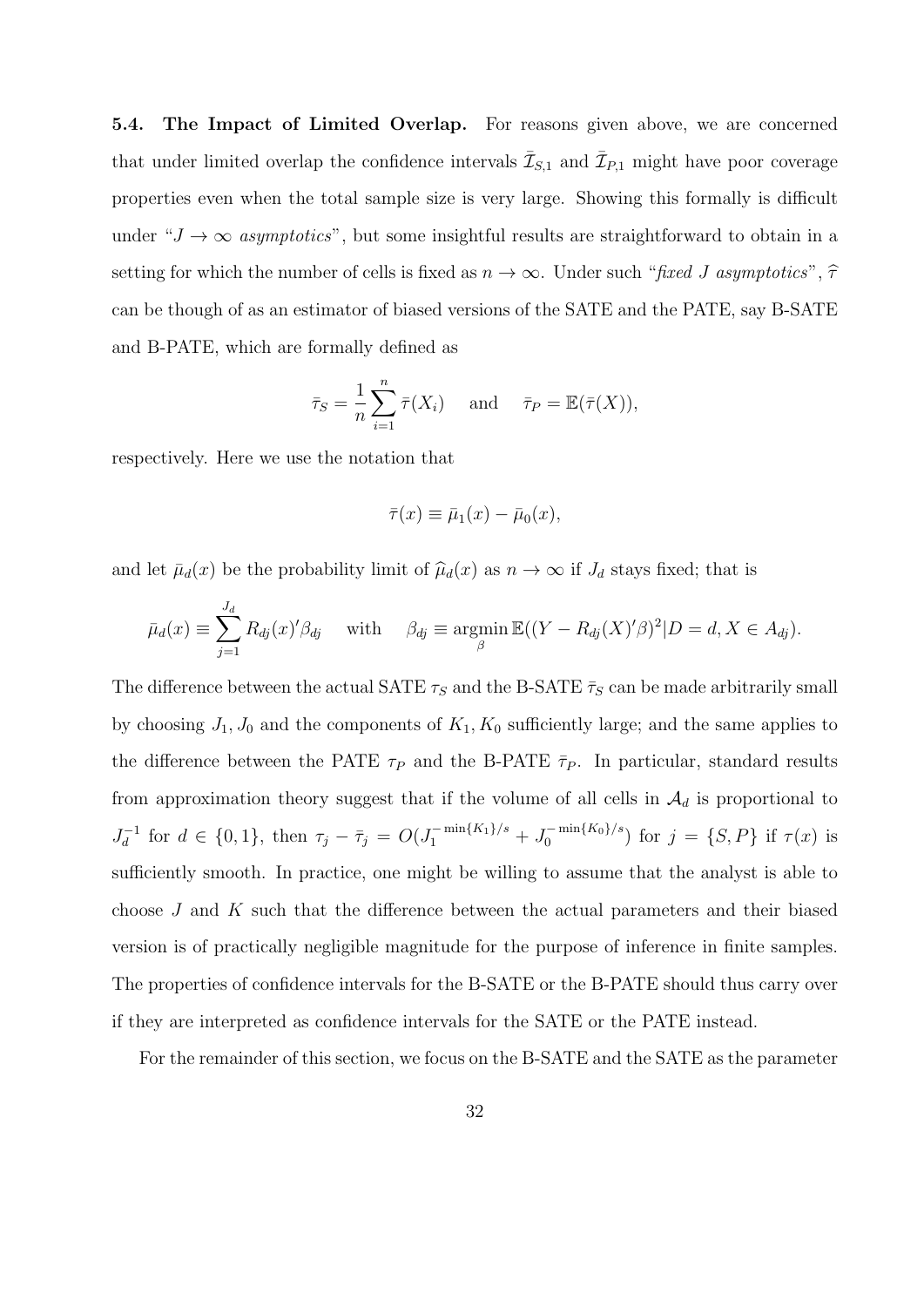**5.4. The Impact of Limited Overlap.** For reasons given above, we are concerned that under limited overlap the confidence intervals  $\bar{\mathcal{I}}_{S,1}$  and  $\bar{\mathcal{I}}_{P,1}$  might have poor coverage properties even when the total sample size is very large. Showing this formally is difficult under " $J \rightarrow \infty$  *asymptotics*", but some insightful results are straightforward to obtain in a setting for which the number of cells is fixed as  $n \to \infty$ . Under such "*fixed J asymptotics*",  $\hat{\tau}$ can be though of as an estimator of biased versions of the SATE and the PATE, say B-SATE and B-PATE, which are formally defined as

$$
\bar{\tau}_S = \frac{1}{n} \sum_{i=1}^n \bar{\tau}(X_i)
$$
 and  $\bar{\tau}_P = \mathbb{E}(\bar{\tau}(X)),$ 

respectively. Here we use the notation that

$$
\bar{\tau}(x) \equiv \bar{\mu}_1(x) - \bar{\mu}_0(x),
$$

and let  $\bar{\mu}_d(x)$  be the probability limit of  $\hat{\mu}_d(x)$  as  $n \to \infty$  if  $J_d$  stays fixed; that is

$$
\bar{\mu}_d(x) \equiv \sum_{j=1}^{J_d} R_{dj}(x)'\beta_{dj} \quad \text{with} \quad \beta_{dj} \equiv \operatorname*{argmin}_{\beta} \mathbb{E}((Y - R_{dj}(X)'\beta)^2 | D = d, X \in A_{dj}).
$$

The difference between the actual SATE  $\tau_S$  and the B-SATE  $\bar{\tau}_S$  can be made arbitrarily small by choosing  $J_1, J_0$  and the components of  $K_1, K_0$  sufficiently large; and the same applies to the difference between the PATE  $\tau_P$  and the B-PATE  $\bar{\tau}_P$ . In particular, standard results from approximation theory suggest that if the volume of all cells in  $A_d$  is proportional to  $J_d^{-1}$  $\tau_d^{-1}$  for  $d \in \{0,1\}$ , then  $\tau_j - \bar{\tau}_j = O(J_1^{-\min\{K_1\}/s} + J_0^{-\min\{K_0\}/s})$  $\int_{0}^{\pi} \min\{N_0\} / s$  for  $j = \{S, P\}$  if  $\tau(x)$  is sufficiently smooth. In practice, one might be willing to assume that the analyst is able to choose *J* and *K* such that the difference between the actual parameters and their biased version is of practically negligible magnitude for the purpose of inference in finite samples. The properties of confidence intervals for the B-SATE or the B-PATE should thus carry over if they are interpreted as confidence intervals for the SATE or the PATE instead.

For the remainder of this section, we focus on the B-SATE and the SATE as the parameter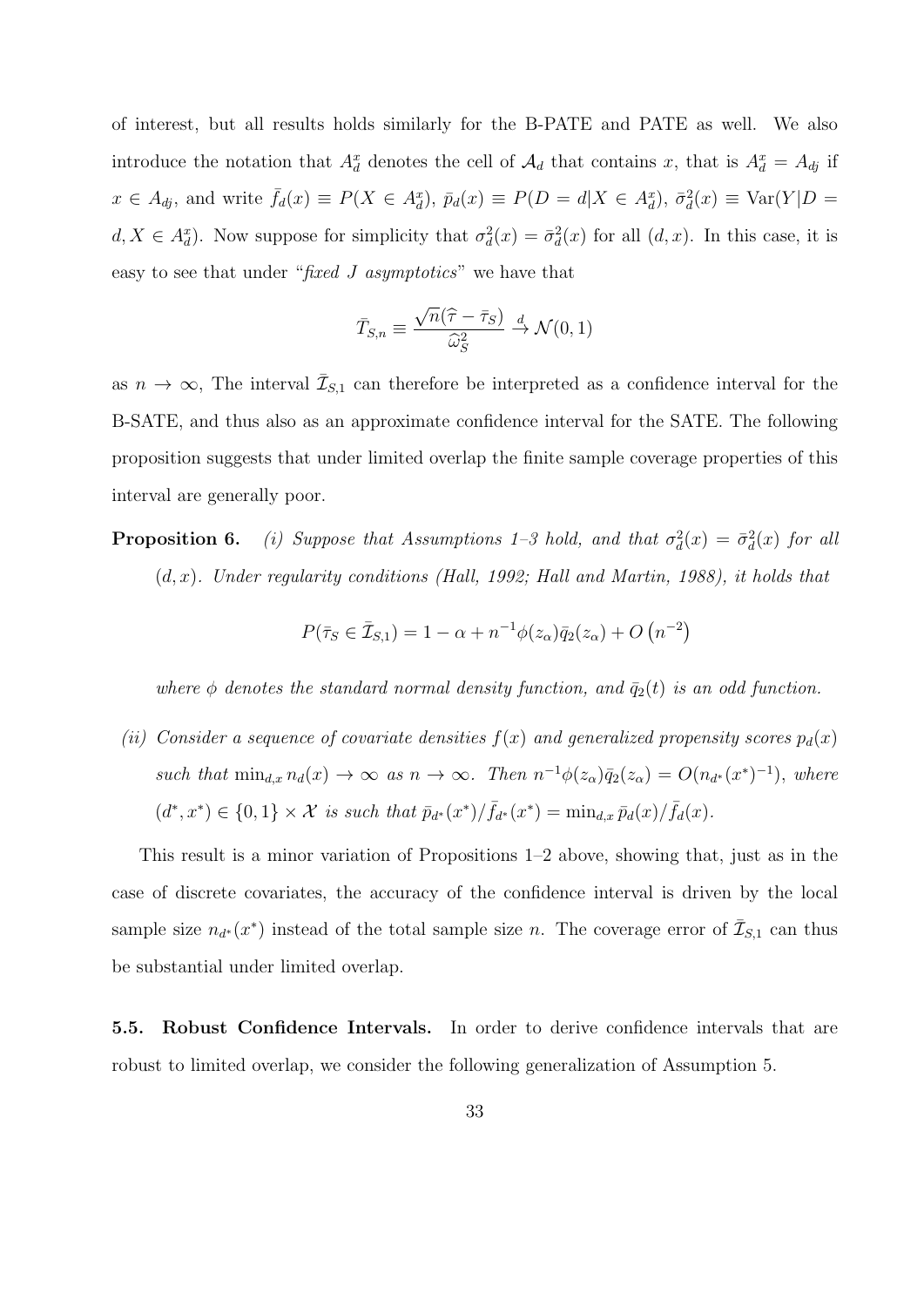of interest, but all results holds similarly for the B-PATE and PATE as well. We also introduce the notation that  $A_d^x$  denotes the cell of  $A_d$  that contains *x*, that is  $A_d^x = A_{dj}$  if  $x \in A_{dj}$ , and write  $\bar{f}_d(x) \equiv P(X \in A_d^x)$ ,  $\bar{p}_d(x) \equiv P(D = d | X \in A_d^x)$ ,  $\bar{\sigma}_d^2(x) \equiv \text{Var}(Y | D = d | X \in A_d^x)$  $d, X \in A_d^x$ ). Now suppose for simplicity that  $\sigma_d^2(x) = \bar{\sigma}_d^2(x)$  for all  $(d, x)$ . In this case, it is easy to see that under "*fixed J asymptotics*" we have that

$$
\bar{T}_{S,n} \equiv \frac{\sqrt{n}(\hat{\tau} - \bar{\tau}_S)}{\hat{\omega}_S^2} \stackrel{d}{\to} \mathcal{N}(0, 1)
$$

as  $n \to \infty$ , The interval  $\bar{\mathcal{I}}_{S,1}$  can therefore be interpreted as a confidence interval for the B-SATE, and thus also as an approximate confidence interval for the SATE. The following proposition suggests that under limited overlap the finite sample coverage properties of this interval are generally poor.

**Proposition 6.** *(i) Suppose that Assumptions 1–3 hold, and that*  $\sigma_d^2(x) = \bar{\sigma}_d^2(x)$  *for all* (*d, x*)*. Under regularity conditions (Hall, 1992; Hall and Martin, 1988), it holds that*

$$
P(\bar{\tau}_S \in \bar{\mathcal{I}}_{S,1}) = 1 - \alpha + n^{-1}\phi(z_\alpha)\bar{q}_2(z_\alpha) + O\left(n^{-2}\right)
$$

*where*  $\phi$  *denotes the standard normal density function, and*  $\bar{q}_2(t)$  *is an odd function.* 

*(ii) Consider a sequence of covariate densities*  $f(x)$  *and generalized propensity scores*  $p_d(x)$ such that  $\min_{d,x} n_d(x) \to \infty$  as  $n \to \infty$ . Then  $n^{-1}\phi(z_\alpha)\overline{q}_2(z_\alpha) = O(n_{d^*}(x^*)^{-1})$ , where  $(d^*, x^*) \in \{0, 1\} \times \mathcal{X}$  is such that  $\bar{p}_{d^*}(x^*) / \bar{f}_{d^*}(x^*) = \min_{d, x} \bar{p}_d(x) / \bar{f}_d(x)$ .

This result is a minor variation of Propositions 1–2 above, showing that, just as in the case of discrete covariates, the accuracy of the confidence interval is driven by the local sample size  $n_{d^*}(x^*)$  instead of the total sample size *n*. The coverage error of  $\overline{\mathcal{I}}_{S,1}$  can thus be substantial under limited overlap.

**5.5. Robust Confidence Intervals.** In order to derive confidence intervals that are robust to limited overlap, we consider the following generalization of Assumption 5.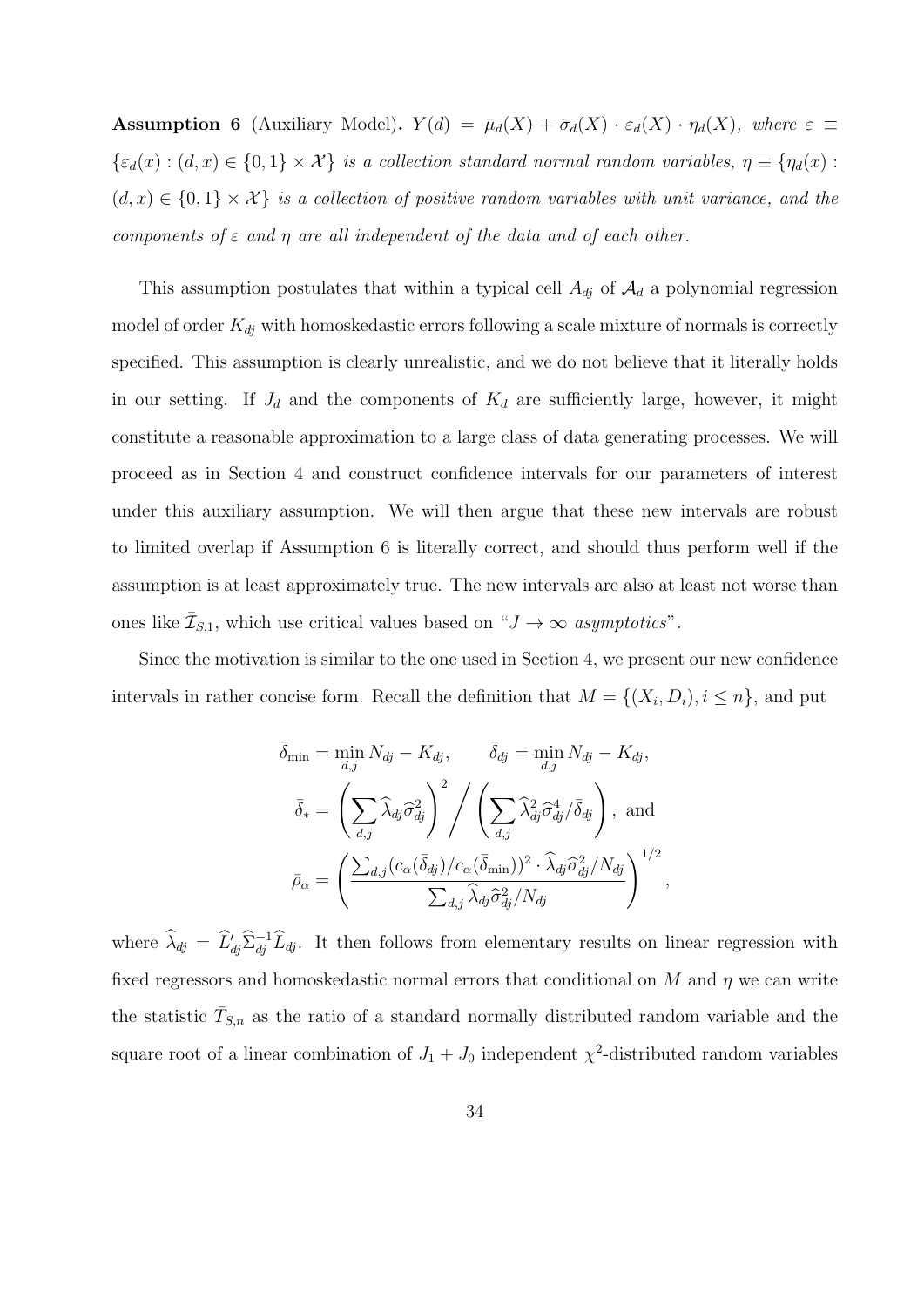**Assumption 6** (Auxiliary Model).  $Y(d) = \bar{\mu}_d(X) + \bar{\sigma}_d(X) \cdot \varepsilon_d(X) \cdot \eta_d(X)$ , where  $\varepsilon \equiv$  $\{\varepsilon_d(x): (d, x) \in \{0, 1\} \times \mathcal{X}\}\$ is a collection standard normal random variables,  $\eta \equiv \{\eta_d(x):$  $(d, x) \in \{0, 1\} \times \mathcal{X}$  *is a collection of positive random variables with unit variance, and the components of ε and η are all independent of the data and of each other.*

This assumption postulates that within a typical cell  $A_{dj}$  of  $A_d$  a polynomial regression model of order *Kdj* with homoskedastic errors following a scale mixture of normals is correctly specified. This assumption is clearly unrealistic, and we do not believe that it literally holds in our setting. If  $J_d$  and the components of  $K_d$  are sufficiently large, however, it might constitute a reasonable approximation to a large class of data generating processes. We will proceed as in Section 4 and construct confidence intervals for our parameters of interest under this auxiliary assumption. We will then argue that these new intervals are robust to limited overlap if Assumption 6 is literally correct, and should thus perform well if the assumption is at least approximately true. The new intervals are also at least not worse than ones like  $\bar{\mathcal{I}}_{S,1}$ , which use critical values based on " $J \to \infty$  *asymptotics*".

Since the motivation is similar to the one used in Section 4, we present our new confidence intervals in rather concise form. Recall the definition that  $M = \{(X_i, D_i), i \leq n\}$ , and put

$$
\bar{\delta}_{\min} = \min_{d,j} N_{dj} - K_{dj}, \qquad \bar{\delta}_{dj} = \min_{d,j} N_{dj} - K_{dj},
$$

$$
\bar{\delta}_{*} = \left(\sum_{d,j} \hat{\lambda}_{dj} \hat{\sigma}_{dj}^{2}\right)^{2} / \left(\sum_{d,j} \hat{\lambda}_{dj}^{2} \hat{\sigma}_{dj}^{4} / \bar{\delta}_{dj}\right), \text{ and}
$$

$$
\bar{\rho}_{\alpha} = \left(\frac{\sum_{d,j} (c_{\alpha}(\bar{\delta}_{dj})/c_{\alpha}(\bar{\delta}_{\min}))^{2} \cdot \hat{\lambda}_{dj} \hat{\sigma}_{dj}^{2} / N_{dj}}{\sum_{d,j} \hat{\lambda}_{dj} \hat{\sigma}_{dj}^{2} / N_{dj}}\right)^{1/2},
$$

where  $\hat{\lambda}_{dj} = \hat{L}'_{dj} \hat{\Sigma}_{dj}^{-1} \hat{L}_{dj}$ . It then follows from elementary results on linear regression with fixed regressors and homoskedastic normal errors that conditional on *M* and *η* we can write the statistic  $\bar{T}_{S,n}$  as the ratio of a standard normally distributed random variable and the square root of a linear combination of  $J_1 + J_0$  independent  $\chi^2$ -distributed random variables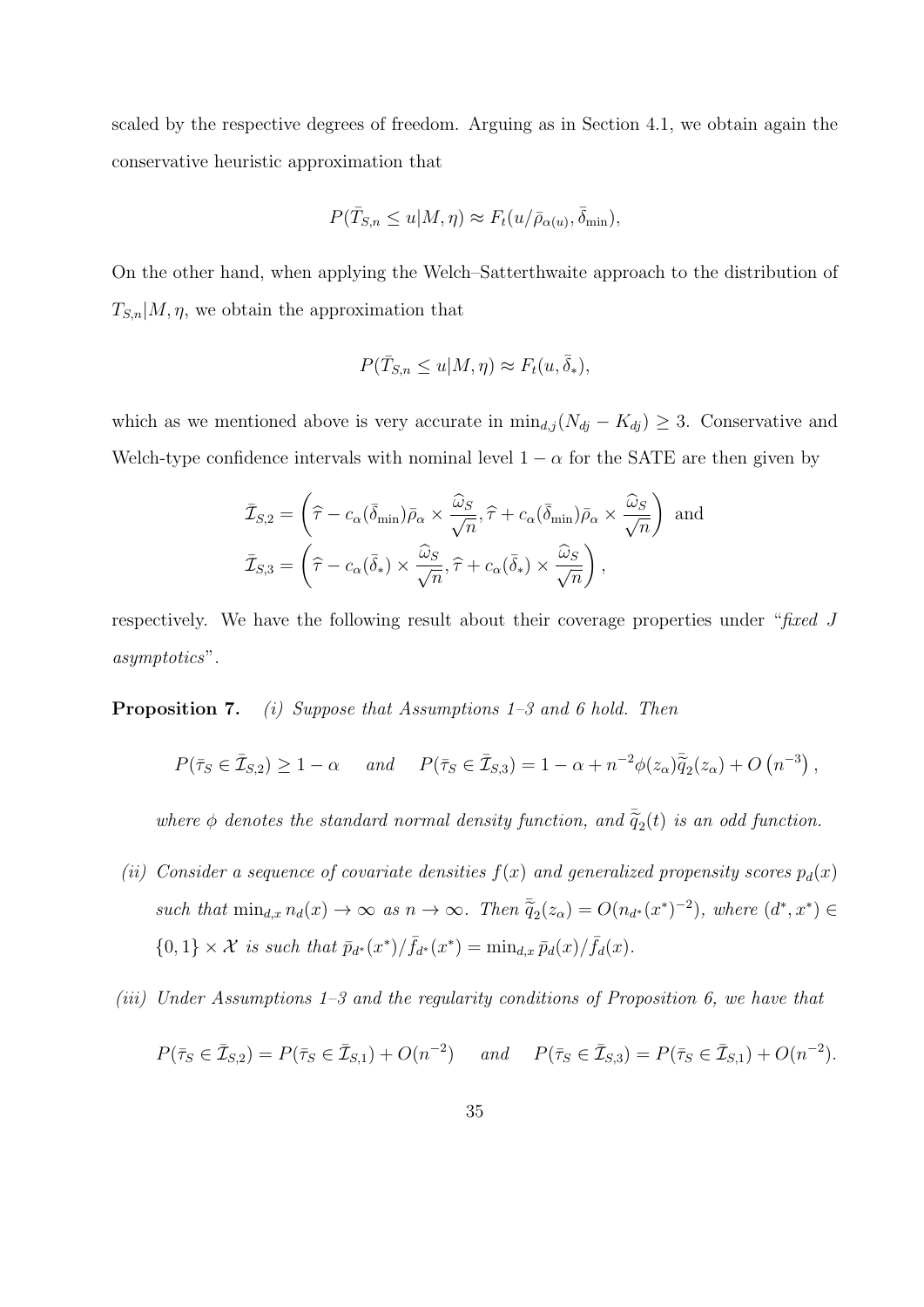scaled by the respective degrees of freedom. Arguing as in Section 4.1, we obtain again the conservative heuristic approximation that

$$
P(\bar{T}_{S,n} \le u | M, \eta) \approx F_t(u/\bar{\rho}_{\alpha(u)}, \bar{\delta}_{\min}),
$$

On the other hand, when applying the Welch–Satterthwaite approach to the distribution of  $T_{S,n}|M, \eta$ , we obtain the approximation that

$$
P(\bar{T}_{S,n} \le u | M, \eta) \approx F_t(u, \bar{\delta}_*),
$$

which as we mentioned above is very accurate in  $\min_{d,j}(N_{dj} - K_{dj}) \geq 3$ . Conservative and Welch-type confidence intervals with nominal level  $1 - \alpha$  for the SATE are then given by

$$
\bar{\mathcal{I}}_{S,2} = \left(\widehat{\tau} - c_{\alpha}(\bar{\delta}_{\min})\bar{\rho}_{\alpha} \times \frac{\widehat{\omega}_{S}}{\sqrt{n}}, \widehat{\tau} + c_{\alpha}(\bar{\delta}_{\min})\bar{\rho}_{\alpha} \times \frac{\widehat{\omega}_{S}}{\sqrt{n}}\right) \text{ and}
$$

$$
\bar{\mathcal{I}}_{S,3} = \left(\widehat{\tau} - c_{\alpha}(\bar{\delta}_{*}) \times \frac{\widehat{\omega}_{S}}{\sqrt{n}}, \widehat{\tau} + c_{\alpha}(\bar{\delta}_{*}) \times \frac{\widehat{\omega}_{S}}{\sqrt{n}}\right),
$$

respectively. We have the following result about their coverage properties under "*fixed J asymptotics*".

**Proposition 7.** *(i) Suppose that Assumptions 1–3 and 6 hold. Then*

$$
P(\bar{\tau}_S \in \bar{\mathcal{I}}_{S,2}) \ge 1 - \alpha \quad \text{and} \quad P(\bar{\tau}_S \in \bar{\mathcal{I}}_{S,3}) = 1 - \alpha + n^{-2} \phi(z_\alpha) \overline{\tilde{q}}_2(z_\alpha) + O\left(n^{-3}\right),
$$

*where*  $\phi$  *denotes the standard normal density function, and*  $\overline{\tilde{q}}_2(t)$  *is an odd function.* 

- *(ii) Consider a sequence of covariate densities*  $f(x)$  *and generalized propensity scores*  $p_d(x)$ such that  $\min_{d,x} n_d(x) \to \infty$  as  $n \to \infty$ . Then  $\overline{\tilde{q}}_2(z_\alpha) = O(n_{d^*}(x^*)^{-2})$ , where  $(d^*, x^*) \in$  $\{0,1\} \times \mathcal{X}$  is such that  $\bar{p}_{d^*}(x^*) / \bar{f}_{d^*}(x^*) = \min_{d,x} \bar{p}_d(x) / \bar{f}_d(x)$ .
- *(iii) Under Assumptions 1–3 and the regularity conditions of Proposition 6, we have that*

$$
P(\bar{\tau}_S \in \bar{\mathcal{I}}_{S,2}) = P(\bar{\tau}_S \in \bar{\mathcal{I}}_{S,1}) + O(n^{-2}) \quad \text{and} \quad P(\bar{\tau}_S \in \bar{\mathcal{I}}_{S,3}) = P(\bar{\tau}_S \in \bar{\mathcal{I}}_{S,1}) + O(n^{-2}).
$$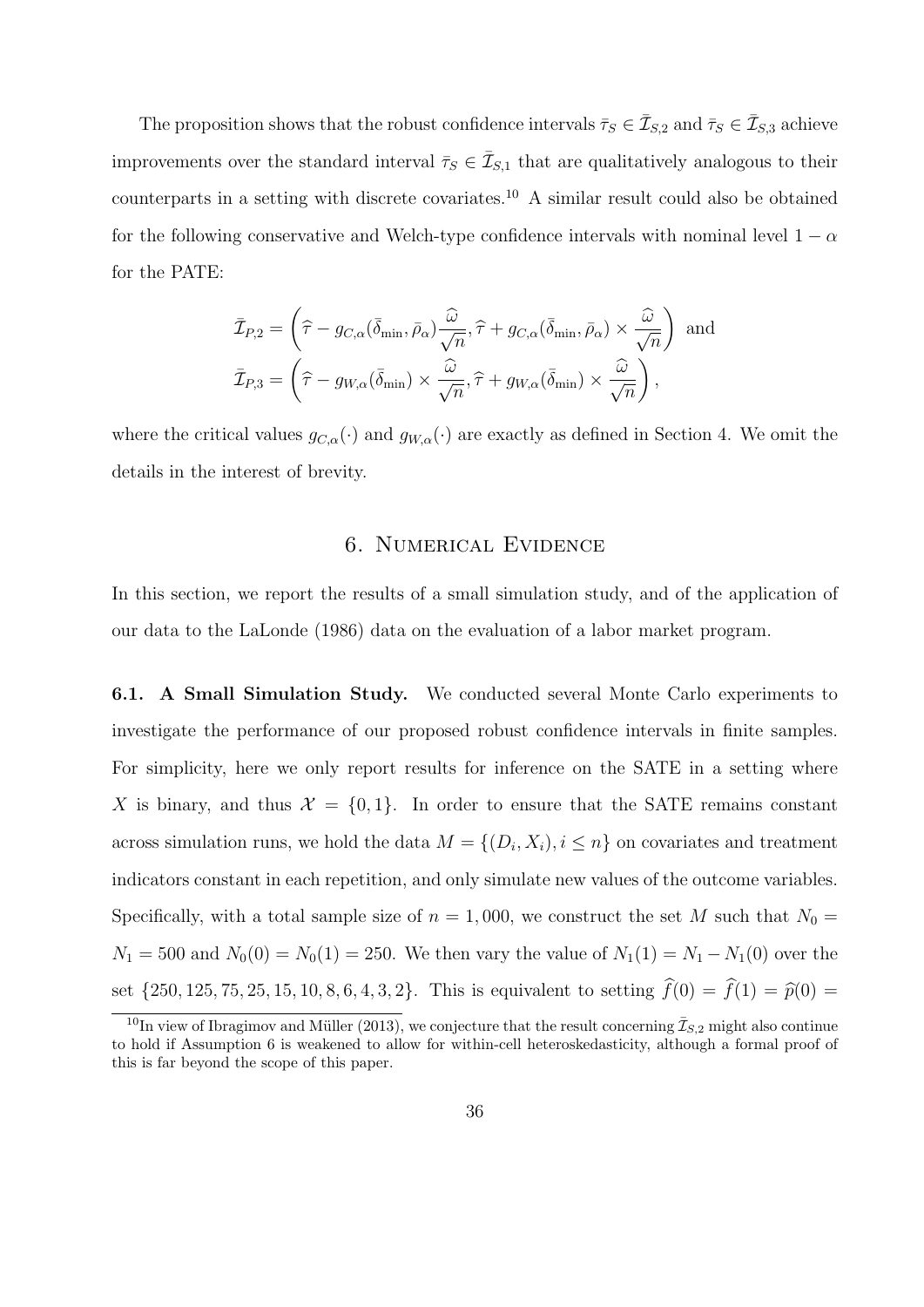The proposition shows that the robust confidence intervals  $\bar{\tau}_S \in \bar{\mathcal{I}}_{S,2}$  and  $\bar{\tau}_S \in \bar{\mathcal{I}}_{S,3}$  achieve improvements over the standard interval  $\bar{\tau}_S \in \bar{\mathcal{I}}_{S,1}$  that are qualitatively analogous to their counterparts in a setting with discrete covariates.<sup>10</sup> A similar result could also be obtained for the following conservative and Welch-type confidence intervals with nominal level  $1 - \alpha$ for the PATE:

$$
\bar{\mathcal{I}}_{P,2} = \left(\widehat{\tau} - g_{C,\alpha}(\bar{\delta}_{\min}, \bar{\rho}_{\alpha}) \frac{\widehat{\omega}}{\sqrt{n}}, \widehat{\tau} + g_{C,\alpha}(\bar{\delta}_{\min}, \bar{\rho}_{\alpha}) \times \frac{\widehat{\omega}}{\sqrt{n}}\right) \text{ and}
$$

$$
\bar{\mathcal{I}}_{P,3} = \left(\widehat{\tau} - g_{W,\alpha}(\bar{\delta}_{\min}) \times \frac{\widehat{\omega}}{\sqrt{n}}, \widehat{\tau} + g_{W,\alpha}(\bar{\delta}_{\min}) \times \frac{\widehat{\omega}}{\sqrt{n}}\right),
$$

where the critical values  $g_{C,\alpha}(\cdot)$  and  $g_{W,\alpha}(\cdot)$  are exactly as defined in Section 4. We omit the details in the interest of brevity.

#### 6. Numerical Evidence

In this section, we report the results of a small simulation study, and of the application of our data to the LaLonde (1986) data on the evaluation of a labor market program.

**6.1. A Small Simulation Study.** We conducted several Monte Carlo experiments to investigate the performance of our proposed robust confidence intervals in finite samples. For simplicity, here we only report results for inference on the SATE in a setting where X is binary, and thus  $\mathcal{X} = \{0, 1\}$ . In order to ensure that the SATE remains constant across simulation runs, we hold the data  $M = \{(D_i, X_i), i \leq n\}$  on covariates and treatment indicators constant in each repetition, and only simulate new values of the outcome variables. Specifically, with a total sample size of  $n = 1,000$ , we construct the set *M* such that  $N_0 =$  $N_1 = 500$  and  $N_0(0) = N_0(1) = 250$ . We then vary the value of  $N_1(1) = N_1 - N_1(0)$  over the set  $\{250, 125, 75, 25, 15, 10, 8, 6, 4, 3, 2\}$ . This is equivalent to setting  $\hat{f}(0) = \hat{f}(1) = \hat{p}(0)$ 

<sup>&</sup>lt;sup>10</sup>In view of Ibragimov and Müller (2013), we conjecture that the result concerning  $\bar{\mathcal{I}}_{S,2}$  might also continue to hold if Assumption 6 is weakened to allow for within-cell heteroskedasticity, although a formal proof of this is far beyond the scope of this paper.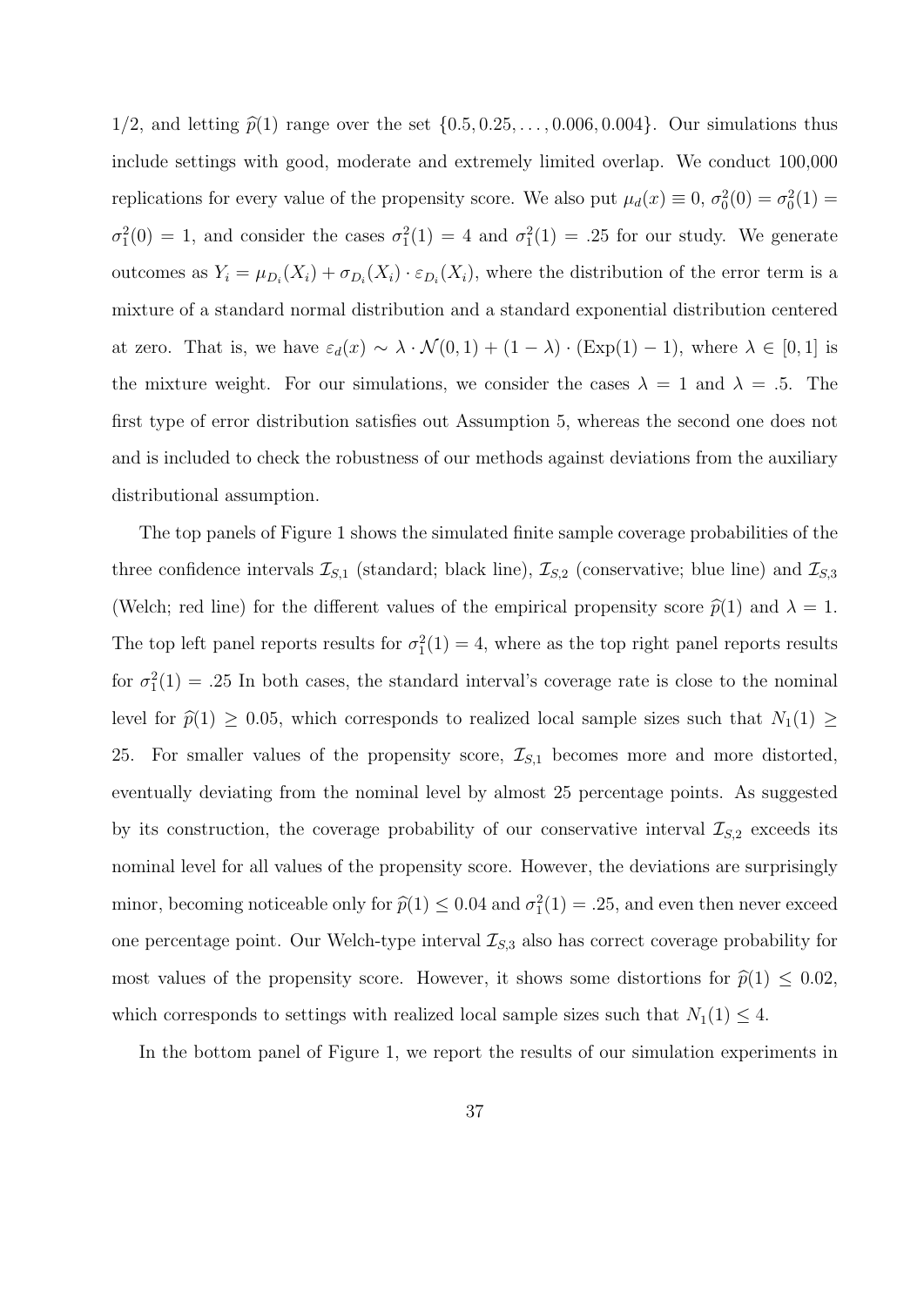1/2, and letting  $\hat{p}(1)$  range over the set  $\{0.5, 0.25, \ldots, 0.006, 0.004\}$ . Our simulations thus include settings with good, moderate and extremely limited overlap. We conduct 100,000 replications for every value of the propensity score. We also put  $\mu_d(x) \equiv 0$ ,  $\sigma_0^2(0) = \sigma_0^2(1)$  $\sigma_1^2(0) = 1$ , and consider the cases  $\sigma_1^2(1) = 4$  and  $\sigma_1^2(1) = .25$  for our study. We generate outcomes as  $Y_i = \mu_{D_i}(X_i) + \sigma_{D_i}(X_i) \cdot \varepsilon_{D_i}(X_i)$ , where the distribution of the error term is a mixture of a standard normal distribution and a standard exponential distribution centered at zero. That is, we have  $\varepsilon_d(x) \sim \lambda \cdot \mathcal{N}(0,1) + (1-\lambda) \cdot (\text{Exp}(1) - 1)$ , where  $\lambda \in [0,1]$  is the mixture weight. For our simulations, we consider the cases  $\lambda = 1$  and  $\lambda = .5$ . The first type of error distribution satisfies out Assumption 5, whereas the second one does not and is included to check the robustness of our methods against deviations from the auxiliary distributional assumption.

The top panels of Figure 1 shows the simulated finite sample coverage probabilities of the three confidence intervals  $\mathcal{I}_{S,1}$  (standard; black line),  $\mathcal{I}_{S,2}$  (conservative; blue line) and  $\mathcal{I}_{S,3}$ (Welch; red line) for the different values of the empirical propensity score  $\hat{p}(1)$  and  $\lambda = 1$ . The top left panel reports results for  $\sigma_1^2(1) = 4$ , where as the top right panel reports results for  $\sigma_1^2(1) = .25$  In both cases, the standard interval's coverage rate is close to the nominal level for  $\hat{p}(1) \ge 0.05$ , which corresponds to realized local sample sizes such that  $N_1(1) \ge$ 25. For smaller values of the propensity score,  $\mathcal{I}_{S,1}$  becomes more and more distorted, eventually deviating from the nominal level by almost 25 percentage points. As suggested by its construction, the coverage probability of our conservative interval  $\mathcal{I}_{S,2}$  exceeds its nominal level for all values of the propensity score. However, the deviations are surprisingly minor, becoming noticeable only for  $\hat{p}(1) \le 0.04$  and  $\sigma_1^2(1) = .25$ , and even then never exceed one percentage point. Our Welch-type interval  $\mathcal{I}_{S,3}$  also has correct coverage probability for most values of the propensity score. However, it shows some distortions for  $\hat{p}(1) \leq 0.02$ , which corresponds to settings with realized local sample sizes such that  $N_1(1) \leq 4$ .

In the bottom panel of Figure 1, we report the results of our simulation experiments in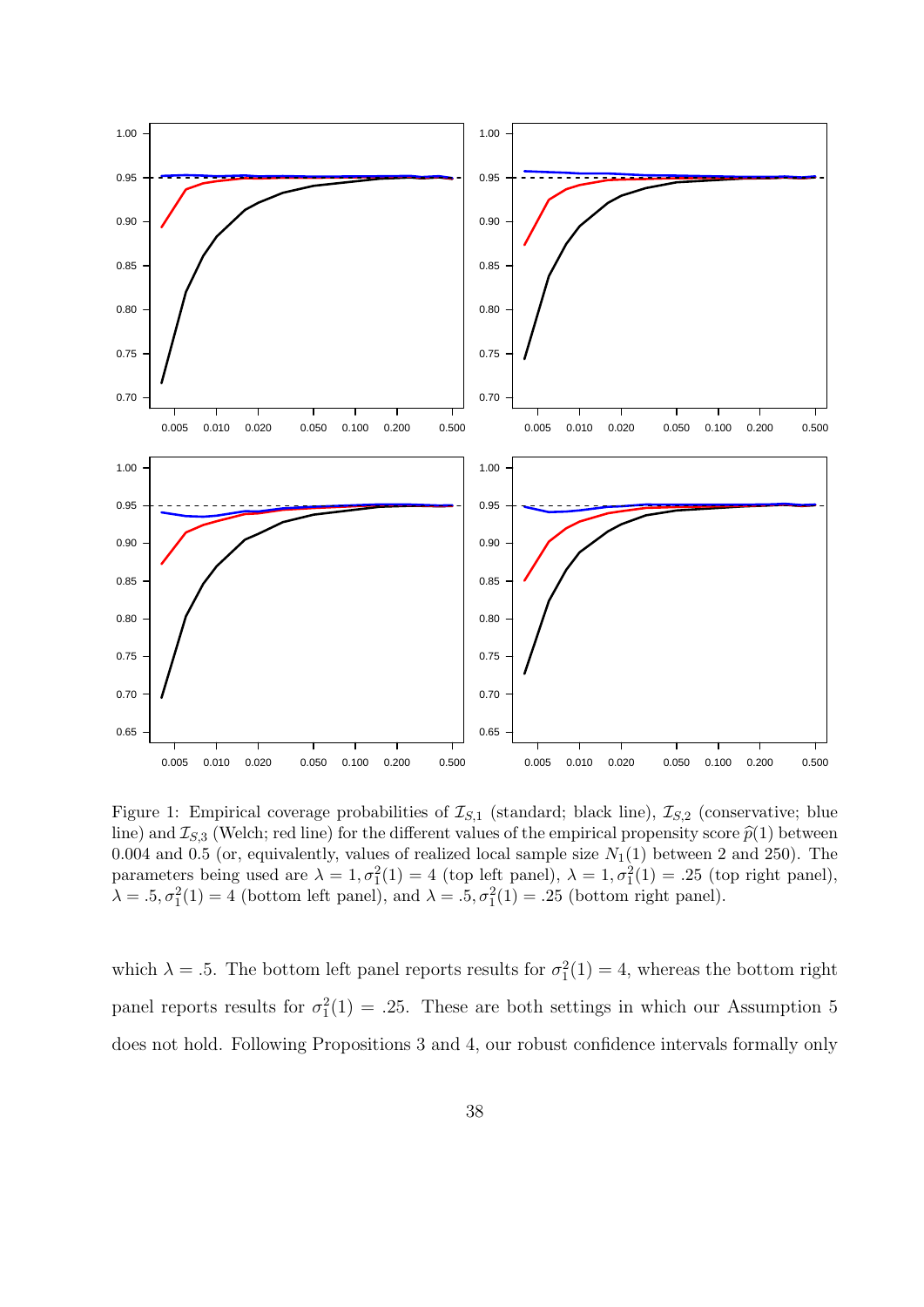

Figure 1: Empirical coverage probabilities of  $\mathcal{I}_{S,1}$  (standard; black line),  $\mathcal{I}_{S,2}$  (conservative; blue line) and  $\mathcal{I}_{S,3}$  (Welch; red line) for the different values of the empirical propensity score  $\hat{p}(1)$  between 0.004 and 0.5 (or, equivalently, values of realized local sample size  $N_1(1)$  between 2 and 250). The parameters being used are  $\lambda = 1, \sigma_1^2(1) = 4$  (top left panel),  $\lambda = 1, \sigma_1^2(1) = .25$  (top right panel),  $\lambda = .5, \sigma_1^2(1) = 4$  (bottom left panel), and  $\lambda = .5, \sigma_1^2(1) = .25$  (bottom right panel).

which  $\lambda = .5$ . The bottom left panel reports results for  $\sigma_1^2(1) = 4$ , whereas the bottom right panel reports results for  $\sigma_1^2(1) = .25$ . These are both settings in which our Assumption 5 does not hold. Following Propositions 3 and 4, our robust confidence intervals formally only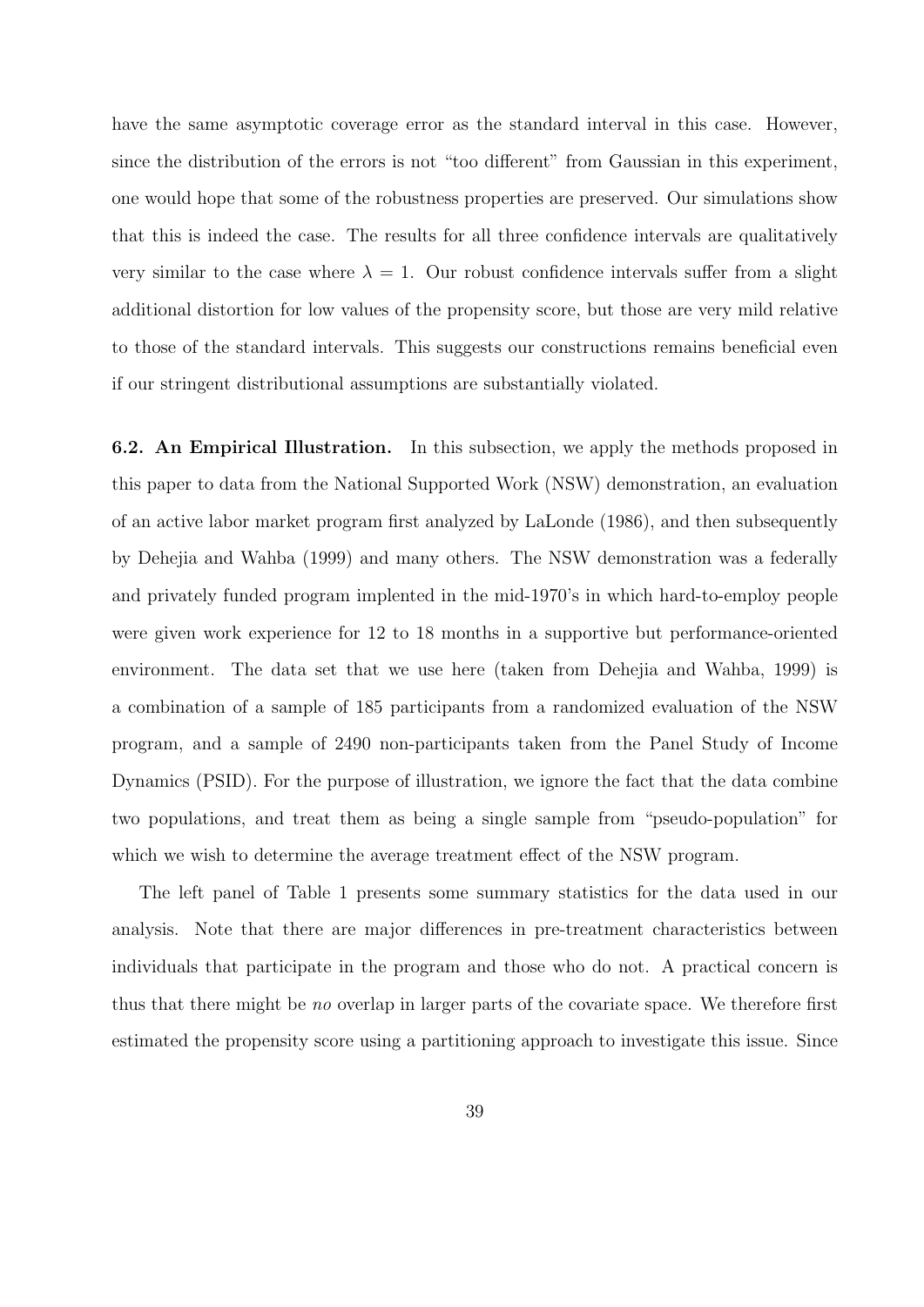have the same asymptotic coverage error as the standard interval in this case. However, since the distribution of the errors is not "too different" from Gaussian in this experiment, one would hope that some of the robustness properties are preserved. Our simulations show that this is indeed the case. The results for all three confidence intervals are qualitatively very similar to the case where  $\lambda = 1$ . Our robust confidence intervals suffer from a slight additional distortion for low values of the propensity score, but those are very mild relative to those of the standard intervals. This suggests our constructions remains beneficial even if our stringent distributional assumptions are substantially violated.

**6.2. An Empirical Illustration.** In this subsection, we apply the methods proposed in this paper to data from the National Supported Work (NSW) demonstration, an evaluation of an active labor market program first analyzed by LaLonde (1986), and then subsequently by Dehejia and Wahba (1999) and many others. The NSW demonstration was a federally and privately funded program implented in the mid-1970's in which hard-to-employ people were given work experience for 12 to 18 months in a supportive but performance-oriented environment. The data set that we use here (taken from Dehejia and Wahba, 1999) is a combination of a sample of 185 participants from a randomized evaluation of the NSW program, and a sample of 2490 non-participants taken from the Panel Study of Income Dynamics (PSID). For the purpose of illustration, we ignore the fact that the data combine two populations, and treat them as being a single sample from "pseudo-population" for which we wish to determine the average treatment effect of the NSW program.

The left panel of Table 1 presents some summary statistics for the data used in our analysis. Note that there are major differences in pre-treatment characteristics between individuals that participate in the program and those who do not. A practical concern is thus that there might be *no* overlap in larger parts of the covariate space. We therefore first estimated the propensity score using a partitioning approach to investigate this issue. Since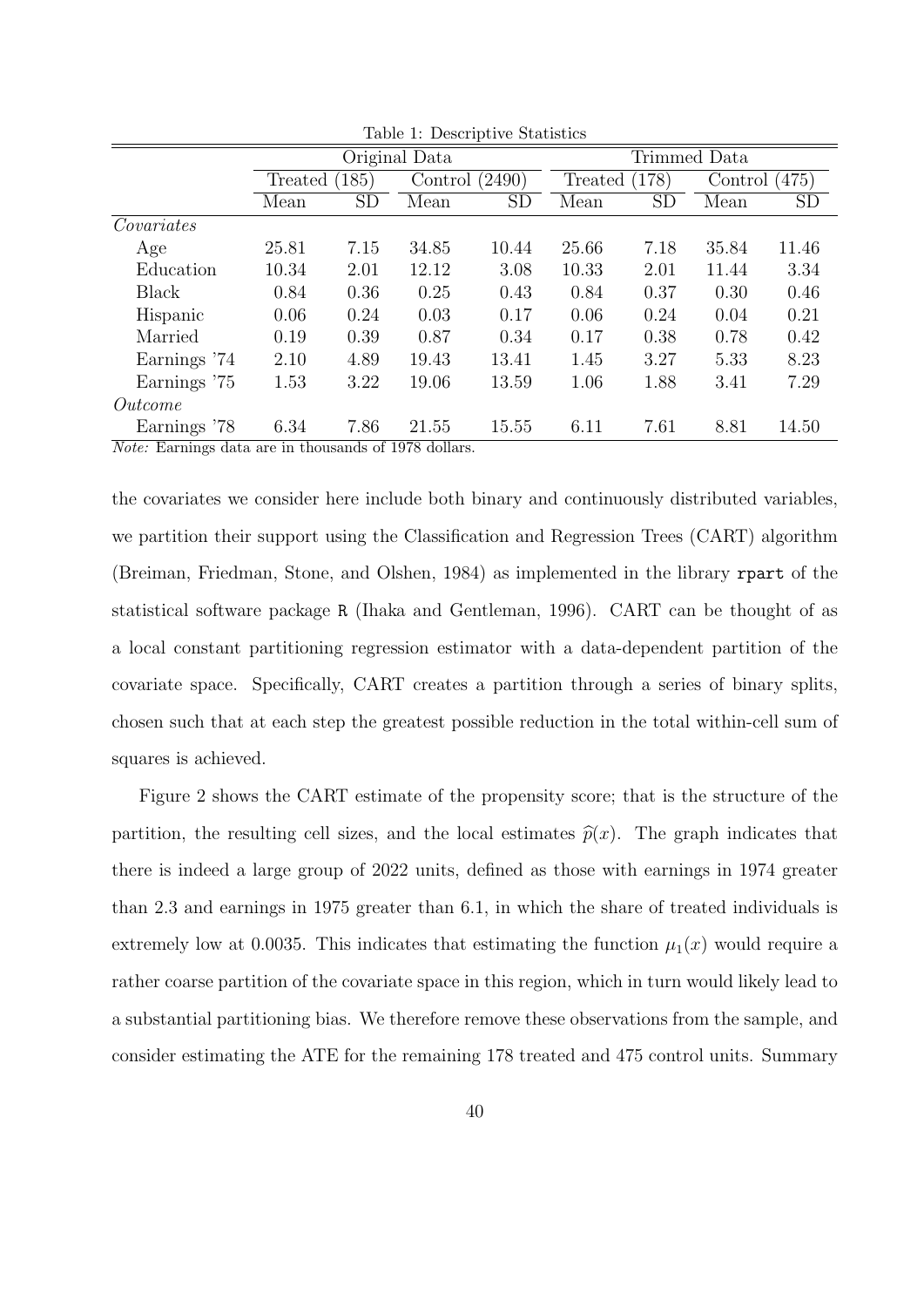| rapic 1. Descriptive practicies |           |                     |              |                 |                                            |                  |           |  |
|---------------------------------|-----------|---------------------|--------------|-----------------|--------------------------------------------|------------------|-----------|--|
| Original Data                   |           |                     | Trimmed Data |                 |                                            |                  |           |  |
| (185)<br>Treated                |           | (2490)<br>Control ( |              | 178)<br>Treated |                                            | (475)<br>Control |           |  |
| Mean                            | <b>SD</b> | Mean                | <b>SD</b>    | Mean            | <b>SD</b>                                  | Mean             | <b>SD</b> |  |
|                                 |           |                     |              |                 |                                            |                  |           |  |
| 25.81                           | 7.15      | 34.85               | 10.44        | 25.66           | 7.18                                       | 35.84            | 11.46     |  |
| 10.34                           | 2.01      | 12.12               | 3.08         | 10.33           | 2.01                                       | 11.44            | 3.34      |  |
| 0.84                            | 0.36      | 0.25                | 0.43         | 0.84            | 0.37                                       | 0.30             | 0.46      |  |
| 0.06                            | 0.24      | 0.03                | 0.17         | 0.06            | 0.24                                       | 0.04             | 0.21      |  |
| 0.19                            | 0.39      | 0.87                | 0.34         | 0.17            | 0.38                                       | 0.78             | 0.42      |  |
| 2.10                            | 4.89      | 19.43               | 13.41        | 1.45            | 3.27                                       | 5.33             | 8.23      |  |
| 1.53                            | 3.22      | 19.06               | 13.59        | 1.06            | 1.88                                       | 3.41             | 7.29      |  |
|                                 |           |                     |              |                 |                                            |                  |           |  |
| 6.34                            | 7.86      | 21.55               | 15.55        | 6.11            | 7.61                                       | 8.81             | 14.50     |  |
|                                 |           |                     |              |                 | $\cdot$ $\cdot$ $\cdot$<br>$0.40 \pm 0.11$ |                  |           |  |

Table 1: Descriptive Statistics

*Note:* Earnings data are in thousands of 1978 dollars.

the covariates we consider here include both binary and continuously distributed variables, we partition their support using the Classification and Regression Trees (CART) algorithm (Breiman, Friedman, Stone, and Olshen, 1984) as implemented in the library rpart of the statistical software package R (Ihaka and Gentleman, 1996). CART can be thought of as a local constant partitioning regression estimator with a data-dependent partition of the covariate space. Specifically, CART creates a partition through a series of binary splits, chosen such that at each step the greatest possible reduction in the total within-cell sum of squares is achieved.

Figure 2 shows the CART estimate of the propensity score; that is the structure of the partition, the resulting cell sizes, and the local estimates  $\hat{p}(x)$ . The graph indicates that there is indeed a large group of 2022 units, defined as those with earnings in 1974 greater than 2.3 and earnings in 1975 greater than 6.1, in which the share of treated individuals is extremely low at 0.0035. This indicates that estimating the function  $\mu_1(x)$  would require a rather coarse partition of the covariate space in this region, which in turn would likely lead to a substantial partitioning bias. We therefore remove these observations from the sample, and consider estimating the ATE for the remaining 178 treated and 475 control units. Summary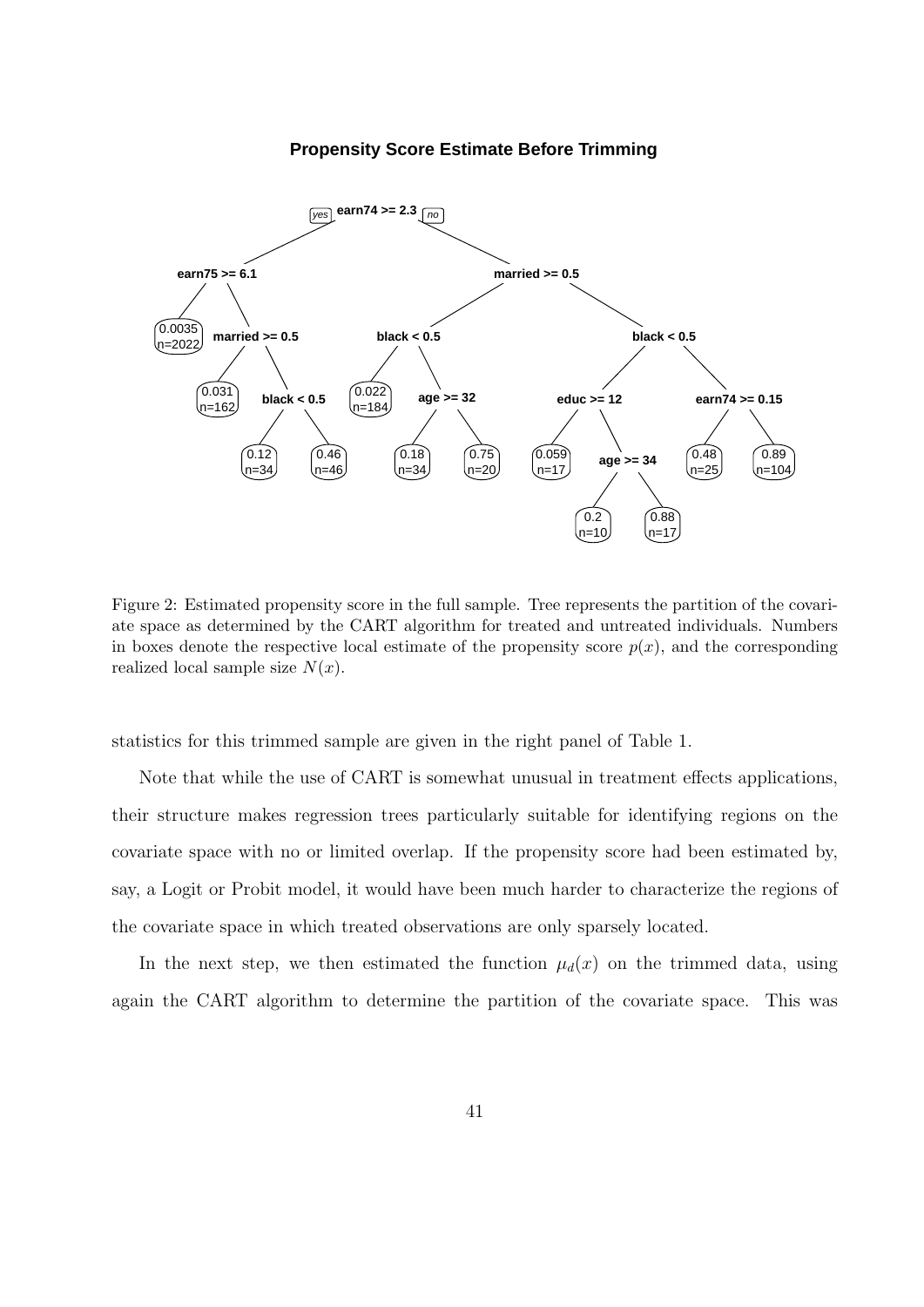#### **Propensity Score Estimate Before Trimming**



Figure 2: Estimated propensity score in the full sample. Tree represents the partition of the covariate space as determined by the CART algorithm for treated and untreated individuals. Numbers in boxes denote the respective local estimate of the propensity score  $p(x)$ , and the corresponding realized local sample size  $N(x)$ .

statistics for this trimmed sample are given in the right panel of Table 1.

Note that while the use of CART is somewhat unusual in treatment effects applications, their structure makes regression trees particularly suitable for identifying regions on the covariate space with no or limited overlap. If the propensity score had been estimated by, say, a Logit or Probit model, it would have been much harder to characterize the regions of the covariate space in which treated observations are only sparsely located.

In the next step, we then estimated the function  $\mu_d(x)$  on the trimmed data, using again the CART algorithm to determine the partition of the covariate space. This was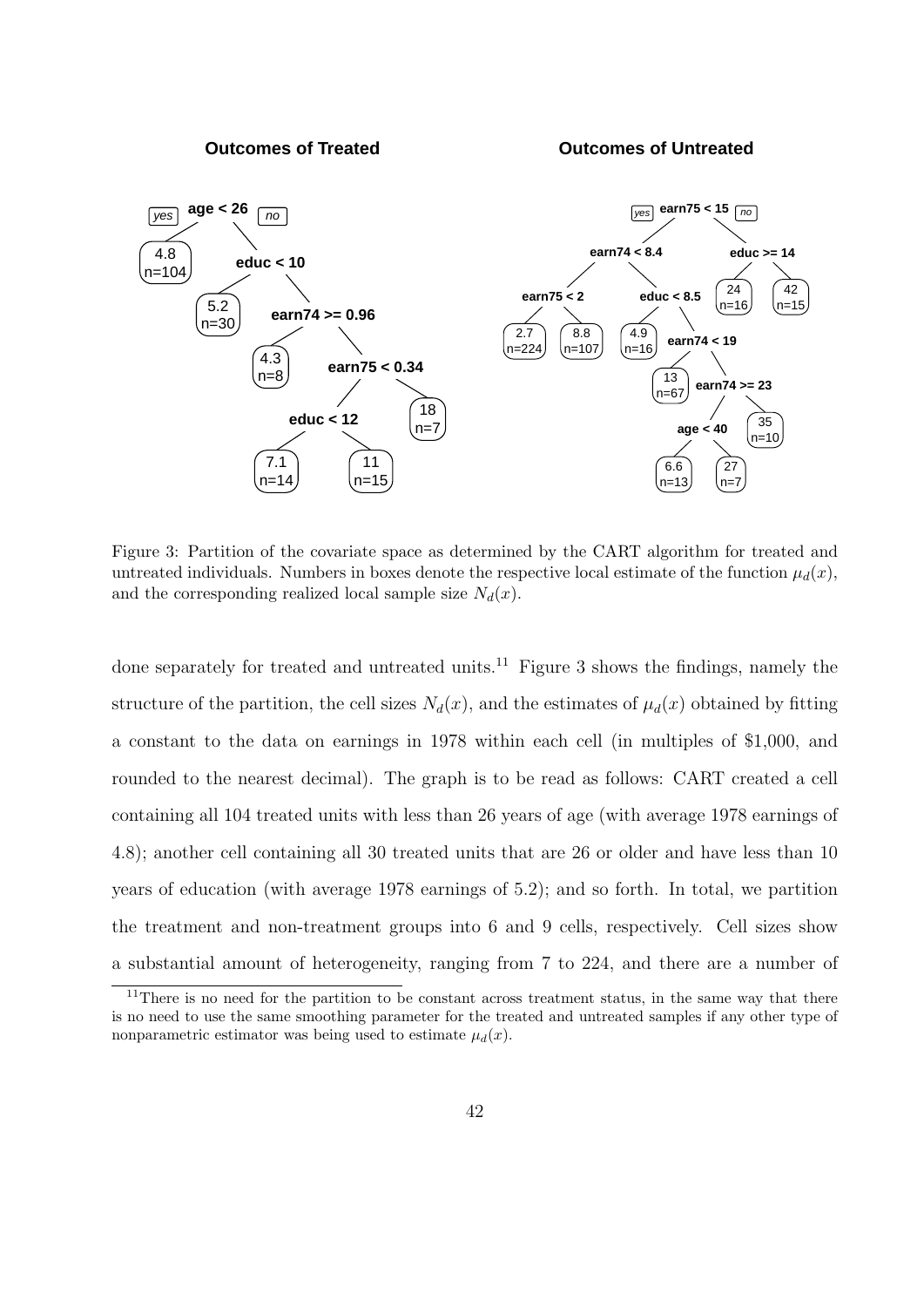**Outcomes of Treated**

**Outcomes of Untreated**



Figure 3: Partition of the covariate space as determined by the CART algorithm for treated and untreated individuals. Numbers in boxes denote the respective local estimate of the function  $\mu_d(x)$ , and the corresponding realized local sample size  $N_d(x)$ .

done separately for treated and untreated units.<sup>11</sup> Figure 3 shows the findings, namely the structure of the partition, the cell sizes  $N_d(x)$ , and the estimates of  $\mu_d(x)$  obtained by fitting a constant to the data on earnings in 1978 within each cell (in multiples of \$1,000, and rounded to the nearest decimal). The graph is to be read as follows: CART created a cell containing all 104 treated units with less than 26 years of age (with average 1978 earnings of 4*.*8); another cell containing all 30 treated units that are 26 or older and have less than 10 years of education (with average 1978 earnings of 5*.*2); and so forth. In total, we partition the treatment and non-treatment groups into 6 and 9 cells, respectively. Cell sizes show a substantial amount of heterogeneity, ranging from 7 to 224, and there are a number of

 $11$ There is no need for the partition to be constant across treatment status, in the same way that there is no need to use the same smoothing parameter for the treated and untreated samples if any other type of nonparametric estimator was being used to estimate  $\mu_d(x)$ .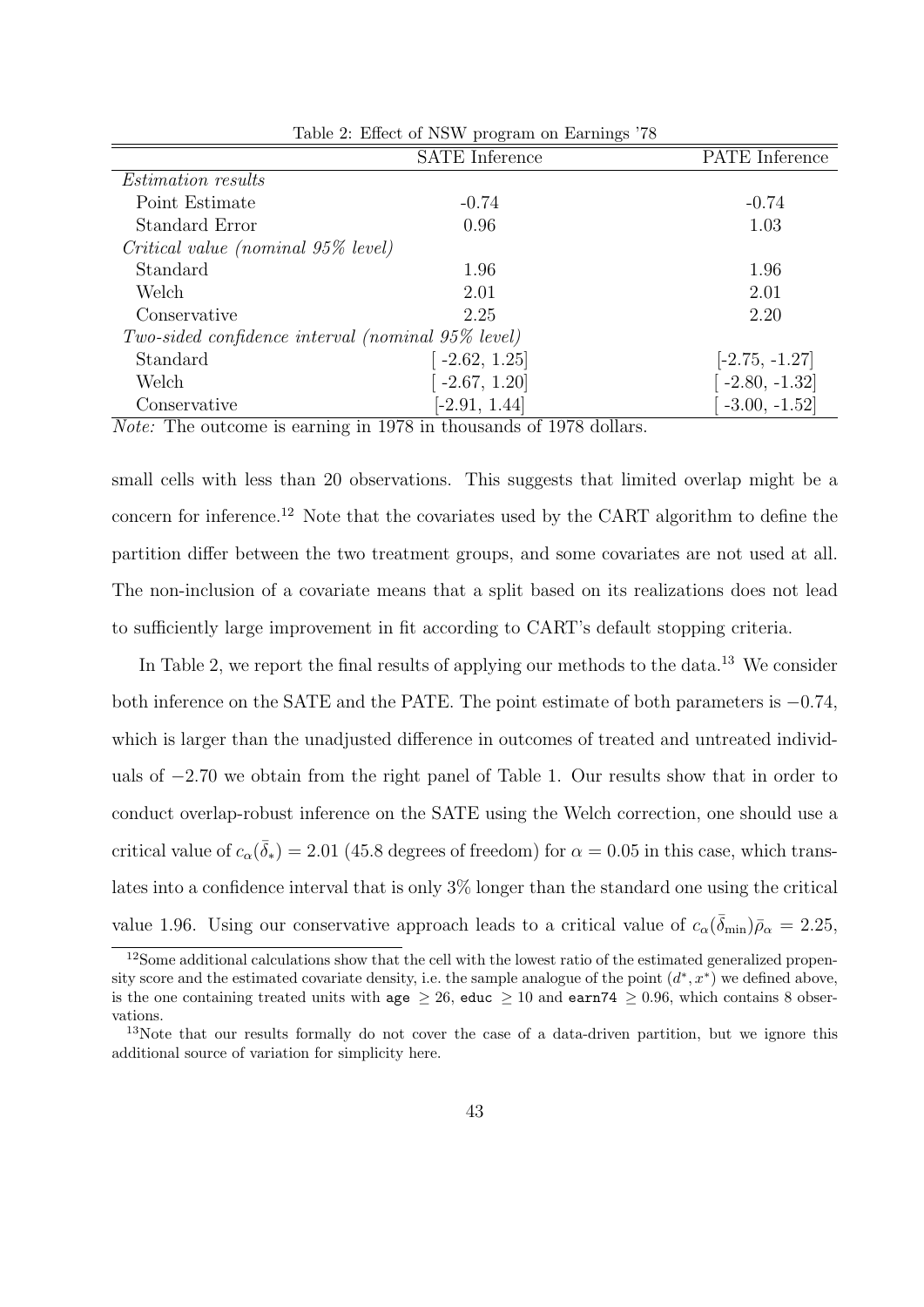|                                                   | <b>SATE</b> Inference | PATE Inference   |  |  |  |
|---------------------------------------------------|-----------------------|------------------|--|--|--|
| <i>Estimation results</i>                         |                       |                  |  |  |  |
| Point Estimate                                    | $-0.74$               | $-0.74$          |  |  |  |
| Standard Error                                    | 0.96                  | 1.03             |  |  |  |
| Critical value (nominal 95% level)                |                       |                  |  |  |  |
| Standard                                          | 1.96                  | 1.96             |  |  |  |
| Welch                                             | 2.01                  | 2.01             |  |  |  |
| Conservative                                      | 2.25                  | 2.20             |  |  |  |
| Two-sided confidence interval (nominal 95% level) |                       |                  |  |  |  |
| Standard                                          | $-2.62, 1.25$         | $[-2.75, -1.27]$ |  |  |  |
| Welch                                             | $-2.67, 1.20$         | $-2.80, -1.32]$  |  |  |  |
| Conservative                                      | $[-2.91, 1.44]$       | $-3.00, -1.52]$  |  |  |  |

Table 2: Effect of NSW program on Earnings '78

*Note:* The outcome is earning in 1978 in thousands of 1978 dollars.

small cells with less than 20 observations. This suggests that limited overlap might be a concern for inference.<sup>12</sup> Note that the covariates used by the CART algorithm to define the partition differ between the two treatment groups, and some covariates are not used at all. The non-inclusion of a covariate means that a split based on its realizations does not lead to sufficiently large improvement in fit according to CART's default stopping criteria.

In Table 2, we report the final results of applying our methods to the data.<sup>13</sup> We consider both inference on the SATE and the PATE. The point estimate of both parameters is *−*0*.*74, which is larger than the unadjusted difference in outcomes of treated and untreated individuals of *−*2*.*70 we obtain from the right panel of Table 1. Our results show that in order to conduct overlap-robust inference on the SATE using the Welch correction, one should use a critical value of  $c_{\alpha}(\bar{\delta}_*) = 2.01$  (45.8 degrees of freedom) for  $\alpha = 0.05$  in this case, which translates into a confidence interval that is only 3% longer than the standard one using the critical value 1.96. Using our conservative approach leads to a critical value of  $c_{\alpha}(\bar{\delta}_{min})\bar{\rho}_{\alpha} = 2.25$ ,

<sup>&</sup>lt;sup>12</sup>Some additional calculations show that the cell with the lowest ratio of the estimated generalized propensity score and the estimated covariate density, i.e. the sample analogue of the point  $(d^*, x^*)$  we defined above, is the one containing treated units with  $\text{age} \geq 26$ , educ  $\geq 10$  and earn74  $\geq 0.96$ , which contains 8 observations.

<sup>&</sup>lt;sup>13</sup>Note that our results formally do not cover the case of a data-driven partition, but we ignore this additional source of variation for simplicity here.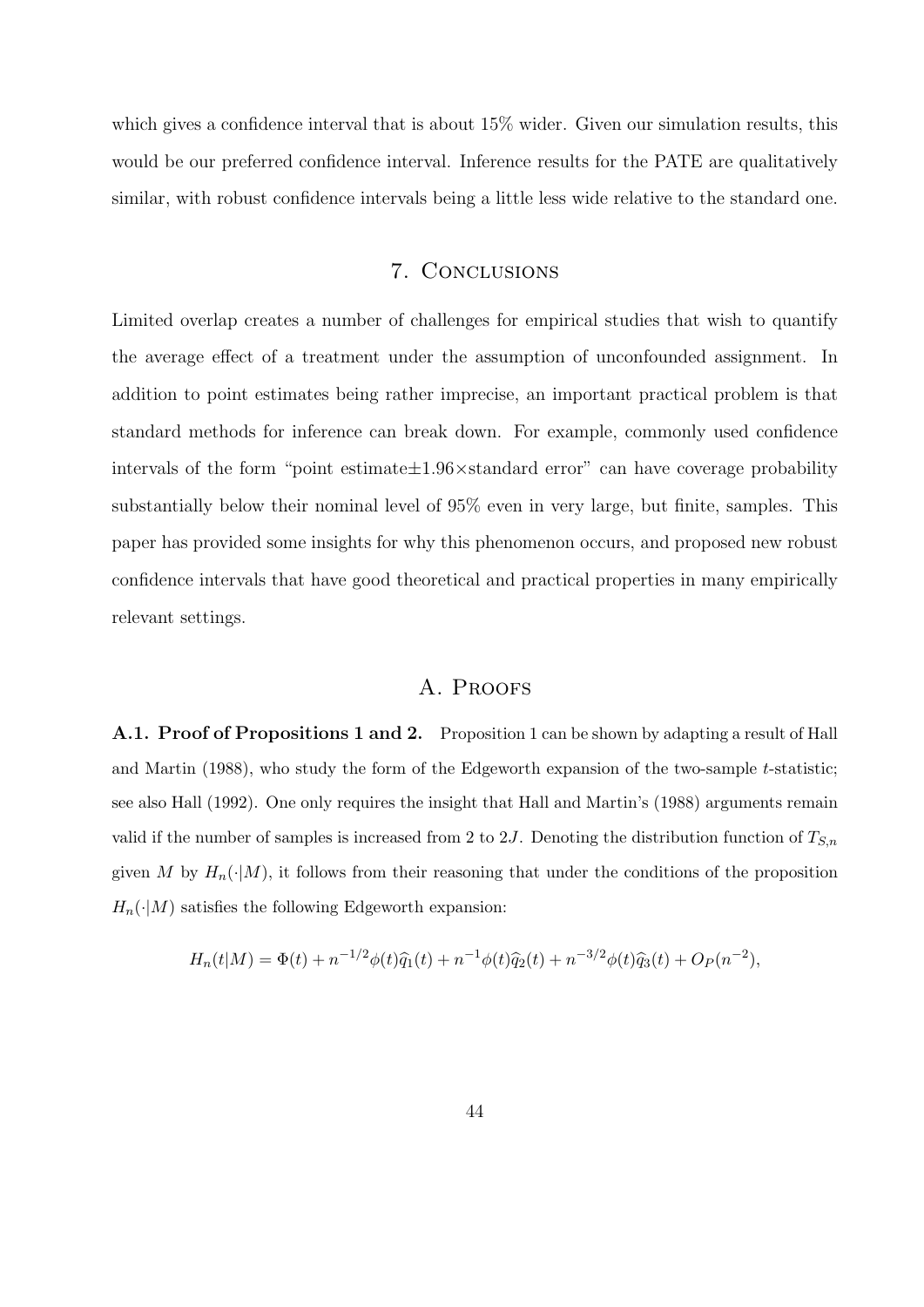which gives a confidence interval that is about 15% wider. Given our simulation results, this would be our preferred confidence interval. Inference results for the PATE are qualitatively similar, with robust confidence intervals being a little less wide relative to the standard one.

## 7. Conclusions

Limited overlap creates a number of challenges for empirical studies that wish to quantify the average effect of a treatment under the assumption of unconfounded assignment. In addition to point estimates being rather imprecise, an important practical problem is that standard methods for inference can break down. For example, commonly used confidence intervals of the form "point estimate*±*1.96*×*standard error" can have coverage probability substantially below their nominal level of 95% even in very large, but finite, samples. This paper has provided some insights for why this phenomenon occurs, and proposed new robust confidence intervals that have good theoretical and practical properties in many empirically relevant settings.

### A. PROOFS

**A.1. Proof of Propositions 1 and 2.** Proposition 1 can be shown by adapting a result of Hall and Martin (1988), who study the form of the Edgeworth expansion of the two-sample *t*-statistic; see also Hall (1992). One only requires the insight that Hall and Martin's (1988) arguments remain valid if the number of samples is increased from 2 to 2*J*. Denoting the distribution function of *TS,n* given *M* by  $H_n(\cdot|M)$ , it follows from their reasoning that under the conditions of the proposition  $H_n(\cdot | M)$  satisfies the following Edgeworth expansion:

$$
H_n(t|M) = \Phi(t) + n^{-1/2}\phi(t)\hat{q}_1(t) + n^{-1}\phi(t)\hat{q}_2(t) + n^{-3/2}\phi(t)\hat{q}_3(t) + O_P(n^{-2}),
$$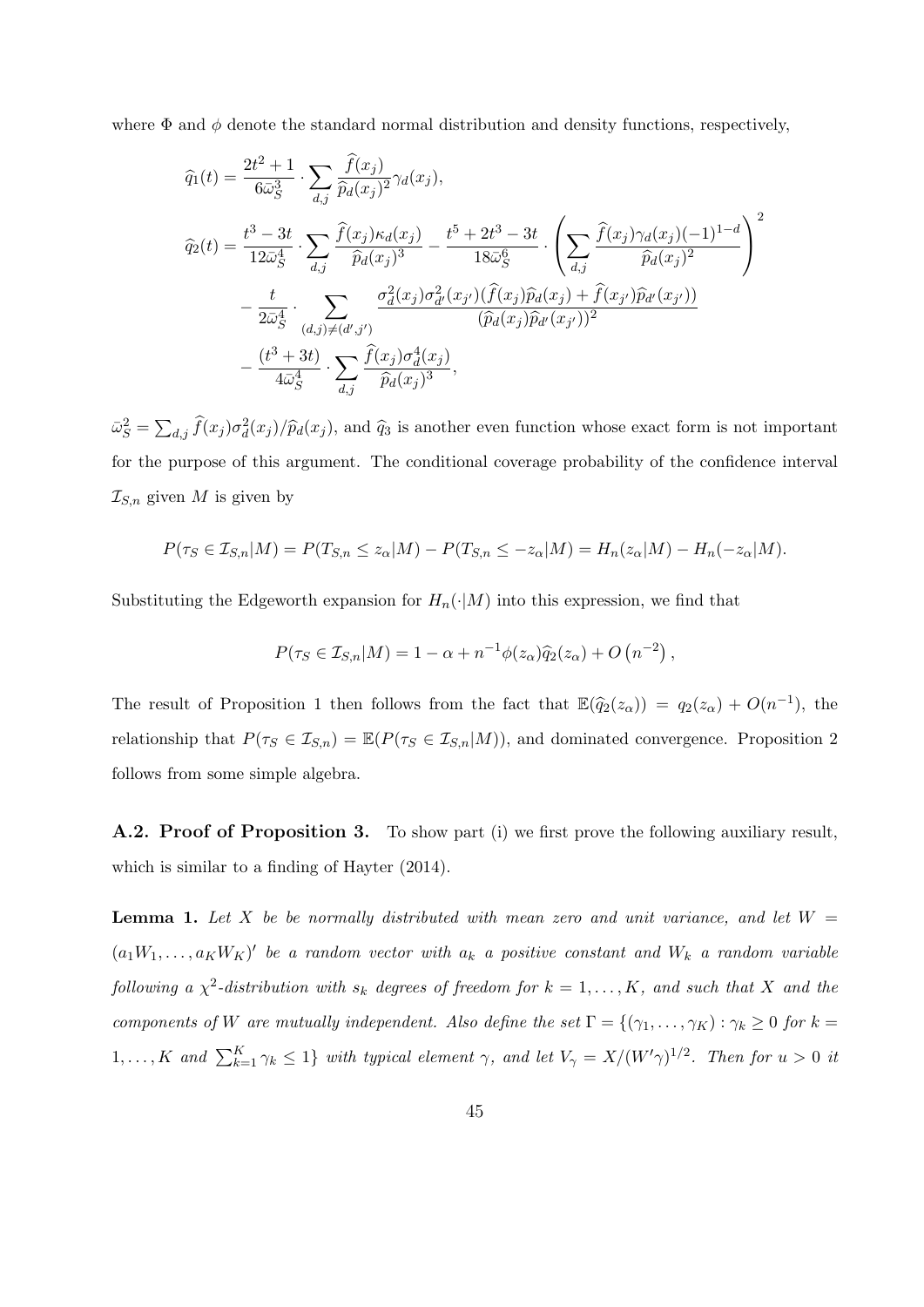where  $\Phi$  and  $\phi$  denote the standard normal distribution and density functions, respectively,

$$
\begin{split}\n\widehat{q}_{1}(t) &= \frac{2t^{2} + 1}{6\bar{\omega}_{S}^{3}} \cdot \sum_{d,j} \frac{\widehat{f}(x_{j})}{\widehat{p}_{d}(x_{j})^{2}} \gamma_{d}(x_{j}), \\
\widehat{q}_{2}(t) &= \frac{t^{3} - 3t}{12\bar{\omega}_{S}^{4}} \cdot \sum_{d,j} \frac{\widehat{f}(x_{j})\kappa_{d}(x_{j})}{\widehat{p}_{d}(x_{j})^{3}} - \frac{t^{5} + 2t^{3} - 3t}{18\bar{\omega}_{S}^{6}} \cdot \left(\sum_{d,j} \frac{\widehat{f}(x_{j})\gamma_{d}(x_{j})(-1)^{1-d}}{\widehat{p}_{d}(x_{j})^{2}}\right)^{2} \\
&\quad - \frac{t}{2\bar{\omega}_{S}^{4}} \cdot \sum_{(d,j)\neq (d',j')} \frac{\sigma_{d}^{2}(x_{j})\sigma_{d'}^{2}(x_{j'})\widehat{(f}(x_{j})\widehat{p}_{d}(x_{j}) + \widehat{f}(x_{j'})\widehat{p}_{d'}(x_{j'}))}{(\widehat{p}_{d}(x_{j})\widehat{p}_{d'}(x_{j'}))^2} \\
&\quad - \frac{(t^{3} + 3t)}{4\bar{\omega}_{S}^{4}} \cdot \sum_{d,j} \frac{\widehat{f}(x_{j})\sigma_{d}^{4}(x_{j})}{\widehat{p}_{d}(x_{j})^{3}},\n\end{split}
$$

 $\bar{\omega}_S^2 = \sum_{d,j} \hat{f}(x_j) \sigma_d^2(x_j) / \hat{p}_d(x_j)$ , and  $\hat{q}_3$  is another even function whose exact form is not important for the purpose of this argument. The conditional coverage probability of the confidence interval  $\mathcal{I}_{S,n}$  given *M* is given by

$$
P(\tau_S \in \mathcal{I}_{S,n}|M) = P(T_{S,n} \leq z_\alpha|M) - P(T_{S,n} \leq -z_\alpha|M) = H_n(z_\alpha|M) - H_n(-z_\alpha|M).
$$

Substituting the Edgeworth expansion for  $H_n(\cdot|M)$  into this expression, we find that

$$
P(\tau_S \in \mathcal{I}_{S,n}|M) = 1 - \alpha + n^{-1}\phi(z_\alpha)\widehat{q}_2(z_\alpha) + O\left(n^{-2}\right),
$$

The result of Proposition 1 then follows from the fact that  $\mathbb{E}(\hat{q}_2(z_\alpha)) = q_2(z_\alpha) + O(n^{-1})$ , the relationship that  $P(\tau_S \in \mathcal{I}_{S,n}) = \mathbb{E}(P(\tau_S \in \mathcal{I}_{S,n}|M))$ , and dominated convergence. Proposition 2 follows from some simple algebra.

**A.2. Proof of Proposition 3.** To show part (i) we first prove the following auxiliary result, which is similar to a finding of Hayter (2014).

**Lemma 1.** Let *X* be be normally distributed with mean zero and unit variance, and let  $W =$  $(a_1W_1, \ldots, a_KW_K)'$  be a random vector with  $a_k$  a positive constant and  $W_k$  a random variable  $f$ ollowing a  $\chi^2$ -distribution with  $s_k$  degrees of freedom for  $k = 1, ..., K$ , and such that X and the *components of W* are mutually independent. Also define the set  $\Gamma = \{(\gamma_1, \ldots, \gamma_K) : \gamma_k \geq 0 \text{ for } k = 1\}$  $1,\ldots,K$  and  $\sum_{k=1}^K \gamma_k \leq 1$  with typical element  $\gamma$ , and let  $V_{\gamma} = X/(W'\gamma)^{1/2}$ . Then for  $u > 0$  it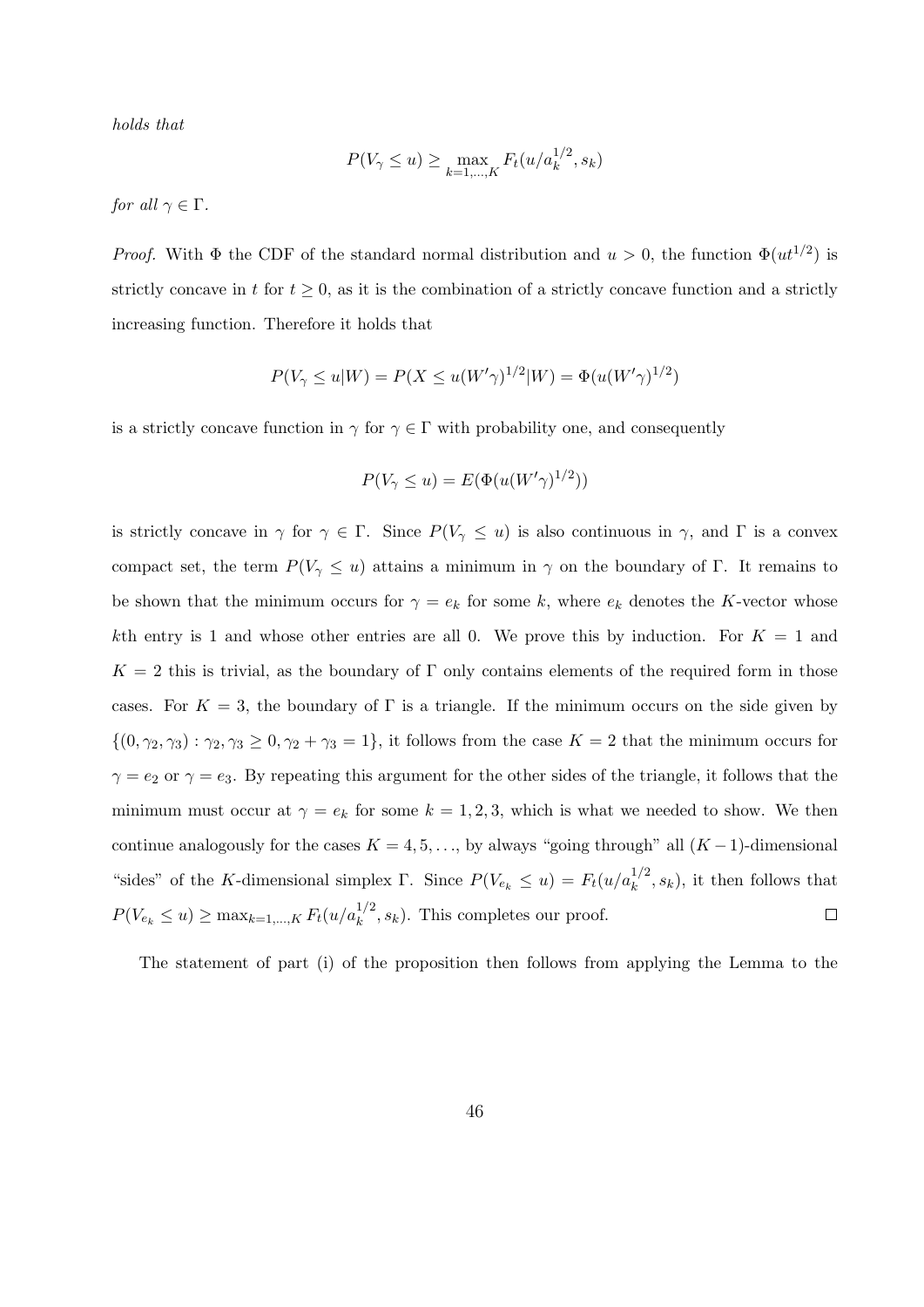*holds that*

$$
P(V_{\gamma} \le u) \ge \max_{k=1,...,K} F_t(u/a_k^{1/2}, s_k)
$$

*for all*  $\gamma \in \Gamma$ *.* 

*Proof.* With  $\Phi$  the CDF of the standard normal distribution and  $u > 0$ , the function  $\Phi(ut^{1/2})$  is strictly concave in  $t$  for  $t \geq 0$ , as it is the combination of a strictly concave function and a strictly increasing function. Therefore it holds that

$$
P(V_{\gamma} \le u|W) = P(X \le u(W' \gamma)^{1/2}|W) = \Phi(u(W' \gamma)^{1/2})
$$

is a strictly concave function in  $\gamma$  for  $\gamma \in \Gamma$  with probability one, and consequently

$$
P(V_{\gamma} \le u) = E(\Phi(u(W' \gamma)^{1/2}))
$$

is strictly concave in  $\gamma$  for  $\gamma \in \Gamma$ . Since  $P(V_{\gamma} \leq u)$  is also continuous in  $\gamma$ , and  $\Gamma$  is a convex compact set, the term  $P(V_\gamma \leq u)$  attains a minimum in  $\gamma$  on the boundary of Γ. It remains to be shown that the minimum occurs for  $\gamma = e_k$  for some *k*, where  $e_k$  denotes the *K*-vector whose *k*th entry is 1 and whose other entries are all 0. We prove this by induction. For  $K = 1$  and  $K = 2$  this is trivial, as the boundary of  $\Gamma$  only contains elements of the required form in those cases. For  $K = 3$ , the boundary of  $\Gamma$  is a triangle. If the minimum occurs on the side given by  ${(0, \gamma_2, \gamma_3) : \gamma_2, \gamma_3 \geq 0, \gamma_2 + \gamma_3 = 1}$ , it follows from the case  $K = 2$  that the minimum occurs for  $\gamma = e_2$  or  $\gamma = e_3$ . By repeating this argument for the other sides of the triangle, it follows that the minimum must occur at  $\gamma = e_k$  for some  $k = 1, 2, 3$ , which is what we needed to show. We then continue analogously for the cases  $K = 4, 5, \ldots$ , by always "going through" all  $(K-1)$ -dimensional "sides" of the *K*-dimensional simplex Γ. Since  $P(V_{e_k} \le u) = F_t(u/a_k^{1/2}, s_k)$ , it then follows that  $P(V_{e_k} \le u) \ge \max_{k=1,\dots,K} F_t(u/a_k^{1/2}, s_k)$ . This completes our proof.  $\Box$ 

The statement of part (i) of the proposition then follows from applying the Lemma to the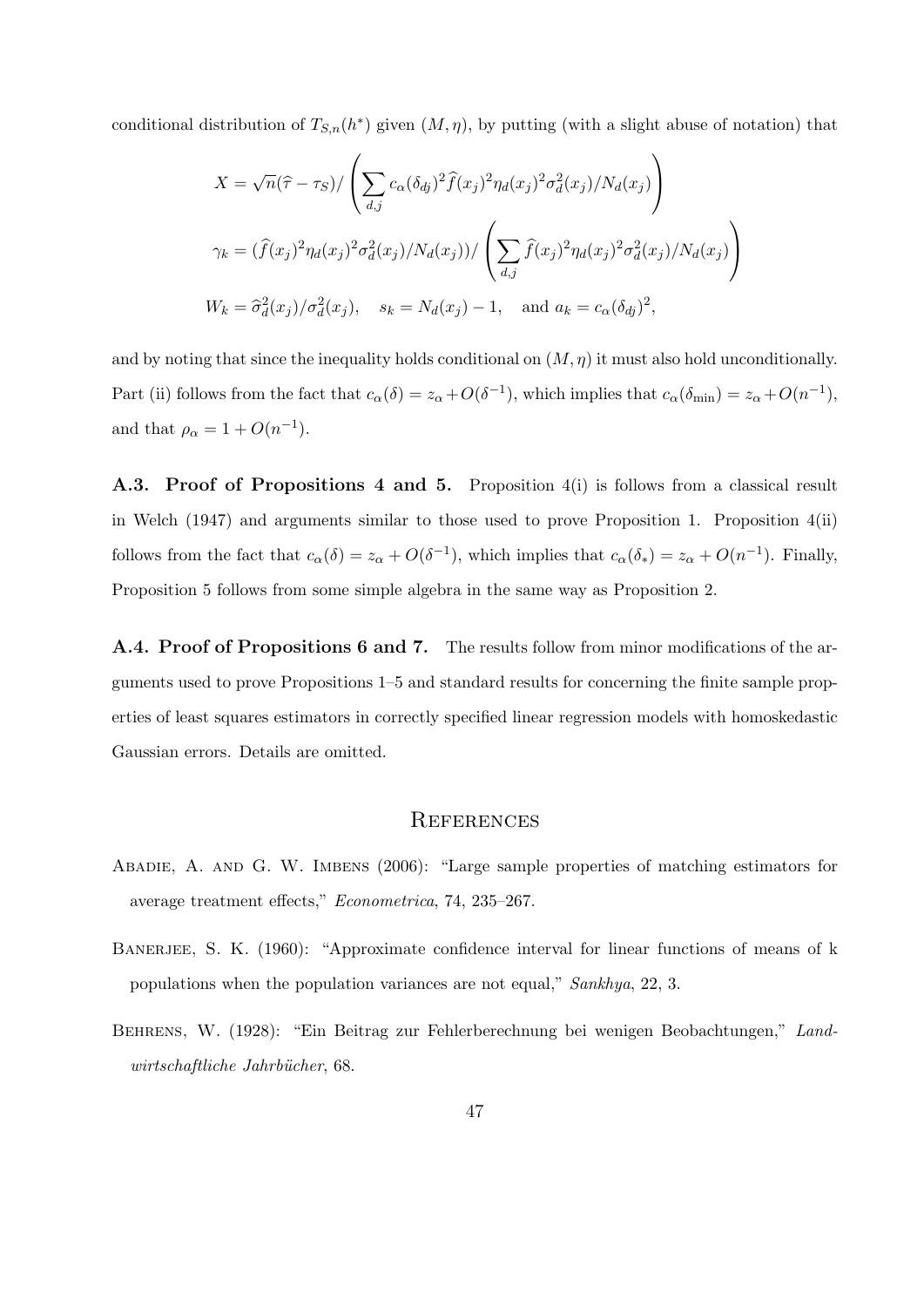conditional distribution of  $T_{S,n}(h^*)$  given  $(M, \eta)$ , by putting (with a slight abuse of notation) that

$$
X = \sqrt{n}(\hat{\tau} - \tau_S) / \left( \sum_{d,j} c_{\alpha} (\delta_{dj})^2 \hat{f}(x_j)^2 \eta_d(x_j)^2 \sigma_d^2(x_j) / N_d(x_j) \right)
$$
  

$$
\gamma_k = (\hat{f}(x_j)^2 \eta_d(x_j)^2 \sigma_d^2(x_j) / N_d(x_j)) / \left( \sum_{d,j} \hat{f}(x_j)^2 \eta_d(x_j)^2 \sigma_d^2(x_j) / N_d(x_j) \right)
$$
  

$$
W_k = \hat{\sigma}_d^2(x_j) / \sigma_d^2(x_j), \quad s_k = N_d(x_j) - 1, \text{ and } a_k = c_{\alpha} (\delta_{dj})^2,
$$

and by noting that since the inequality holds conditional on  $(M, \eta)$  it must also hold unconditionally. Part (ii) follows from the fact that  $c_{\alpha}(\delta) = z_{\alpha} + O(\delta^{-1})$ , which implies that  $c_{\alpha}(\delta_{\min}) = z_{\alpha} + O(n^{-1})$ , and that  $\rho_{\alpha} = 1 + O(n^{-1}).$ 

**A.3. Proof of Propositions 4 and 5.** Proposition 4(i) is follows from a classical result in Welch  $(1947)$  and arguments similar to those used to prove Proposition 1. Proposition  $4(ii)$ follows from the fact that  $c_{\alpha}(\delta) = z_{\alpha} + O(\delta^{-1})$ , which implies that  $c_{\alpha}(\delta_*) = z_{\alpha} + O(n^{-1})$ . Finally, Proposition 5 follows from some simple algebra in the same way as Proposition 2.

**A.4. Proof of Propositions 6 and 7.** The results follow from minor modifications of the arguments used to prove Propositions 1–5 and standard results for concerning the finite sample properties of least squares estimators in correctly specified linear regression models with homoskedastic Gaussian errors. Details are omitted.

#### **REFERENCES**

- Abadie, A. and G. W. Imbens (2006): "Large sample properties of matching estimators for average treatment effects," *Econometrica*, 74, 235–267.
- BANERJEE, S. K. (1960): "Approximate confidence interval for linear functions of means of k populations when the population variances are not equal," *Sankhya*, 22, 3.
- Behrens, W. (1928): "Ein Beitrag zur Fehlerberechnung bei wenigen Beobachtungen," *Landwirtschaftliche Jahrbücher*, 68.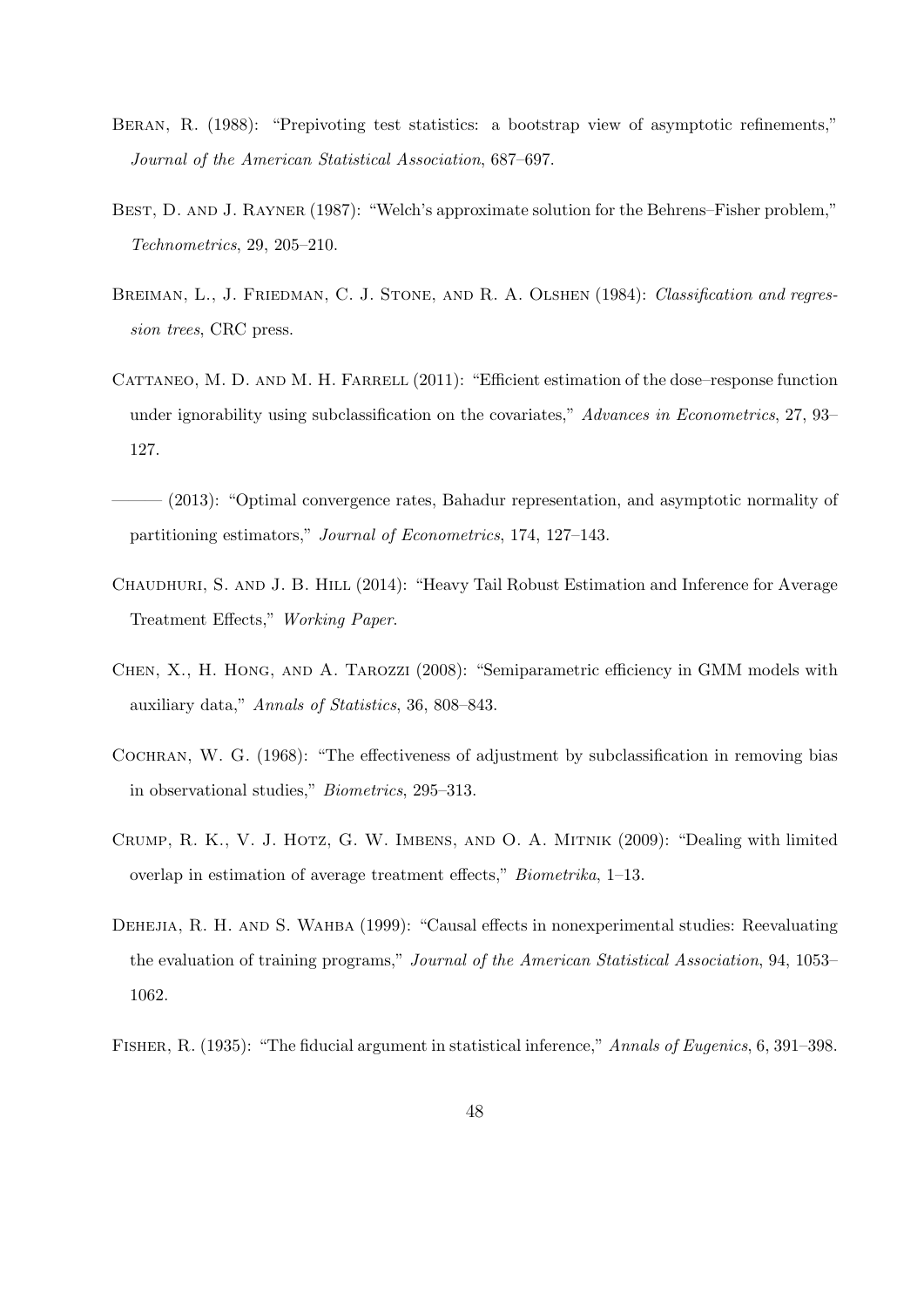- Beran, R. (1988): "Prepivoting test statistics: a bootstrap view of asymptotic refinements," *Journal of the American Statistical Association*, 687–697.
- BEST, D. AND J. RAYNER (1987): "Welch's approximate solution for the Behrens–Fisher problem," *Technometrics*, 29, 205–210.
- BREIMAN, L., J. FRIEDMAN, C. J. STONE, AND R. A. OLSHEN (1984): *Classification and regression trees*, CRC press.
- CATTANEO, M. D. AND M. H. FARRELL (2011): "Efficient estimation of the dose–response function under ignorability using subclassification on the covariates," *Advances in Econometrics*, 27, 93– 127.
- $(2013)$ : "Optimal convergence rates, Bahadur representation, and asymptotic normality of partitioning estimators," *Journal of Econometrics*, 174, 127–143.
- CHAUDHURI, S. AND J. B. HILL (2014): "Heavy Tail Robust Estimation and Inference for Average Treatment Effects," *Working Paper*.
- Chen, X., H. Hong, and A. Tarozzi (2008): "Semiparametric efficiency in GMM models with auxiliary data," *Annals of Statistics*, 36, 808–843.
- Cochran, W. G. (1968): "The effectiveness of adjustment by subclassification in removing bias in observational studies," *Biometrics*, 295–313.
- Crump, R. K., V. J. Hotz, G. W. Imbens, and O. A. Mitnik (2009): "Dealing with limited overlap in estimation of average treatment effects," *Biometrika*, 1–13.
- DEHEJIA, R. H. AND S. WAHBA (1999): "Causal effects in nonexperimental studies: Reevaluating the evaluation of training programs," *Journal of the American Statistical Association*, 94, 1053– 1062.
- Fisher, R. (1935): "The fiducial argument in statistical inference," *Annals of Eugenics*, 6, 391–398.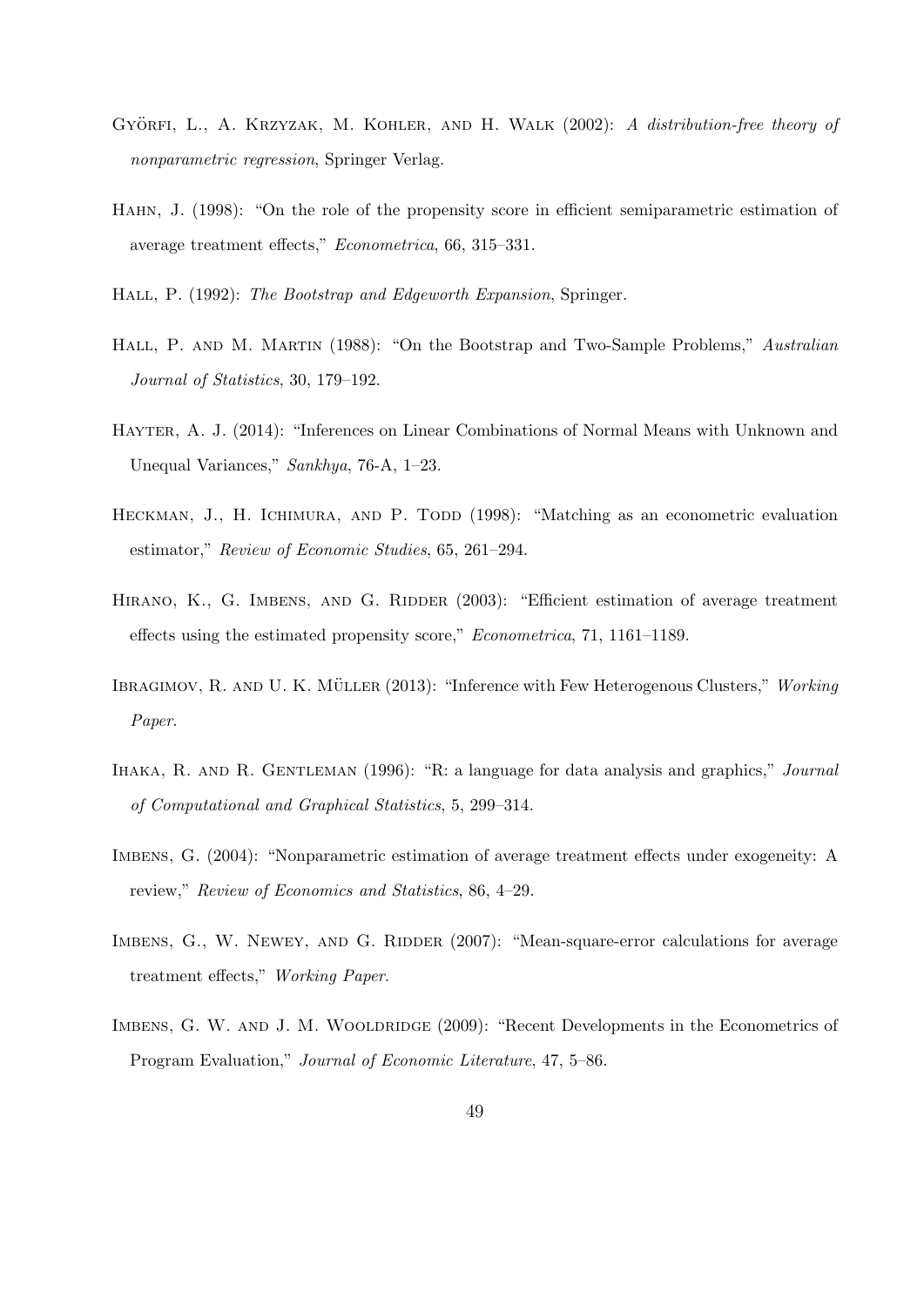- GYÖRFI, L., A. KRZYZAK, M. KOHLER, AND H. WALK  $(2002)$ : *A distribution-free theory of nonparametric regression*, Springer Verlag.
- Hahn, J. (1998): "On the role of the propensity score in efficient semiparametric estimation of average treatment effects," *Econometrica*, 66, 315–331.
- Hall, P. (1992): *The Bootstrap and Edgeworth Expansion*, Springer.
- Hall, P. and M. Martin (1988): "On the Bootstrap and Two-Sample Problems," *Australian Journal of Statistics*, 30, 179–192.
- Hayter, A. J. (2014): "Inferences on Linear Combinations of Normal Means with Unknown and Unequal Variances," *Sankhya*, 76-A, 1–23.
- HECKMAN, J., H. ICHIMURA, AND P. TODD (1998): "Matching as an econometric evaluation estimator," *Review of Economic Studies*, 65, 261–294.
- HIRANO, K., G. IMBENS, AND G. RIDDER (2003): "Efficient estimation of average treatment effects using the estimated propensity score," *Econometrica*, 71, 1161–1189.
- IBRAGIMOV, R. AND U. K. MÜLLER (2013): "Inference with Few Heterogenous Clusters," *Working Paper*.
- Ihaka, R. and R. Gentleman (1996): "R: a language for data analysis and graphics," *Journal of Computational and Graphical Statistics*, 5, 299–314.
- Imbens, G. (2004): "Nonparametric estimation of average treatment effects under exogeneity: A review," *Review of Economics and Statistics*, 86, 4–29.
- IMBENS, G., W. NEWEY, AND G. RIDDER (2007): "Mean-square-error calculations for average treatment effects," *Working Paper*.
- IMBENS, G. W. AND J. M. WOOLDRIDGE (2009): "Recent Developments in the Econometrics of Program Evaluation," *Journal of Economic Literature*, 47, 5–86.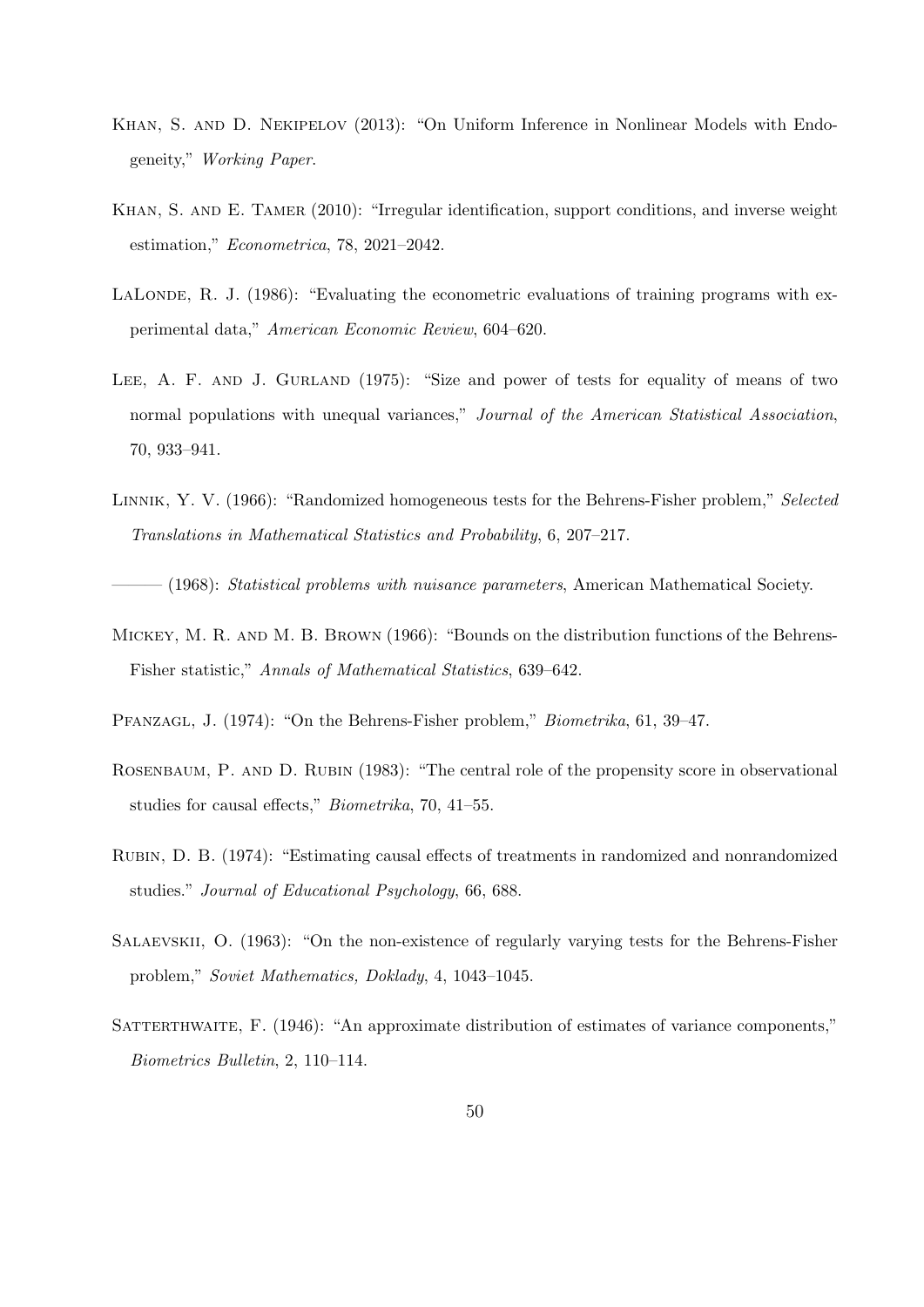- Khan, S. and D. Nekipelov (2013): "On Uniform Inference in Nonlinear Models with Endogeneity," *Working Paper*.
- Khan, S. and E. Tamer (2010): "Irregular identification, support conditions, and inverse weight estimation," *Econometrica*, 78, 2021–2042.
- LALONDE, R. J. (1986): "Evaluating the econometric evaluations of training programs with experimental data," *American Economic Review*, 604–620.
- LEE, A. F. AND J. GURLAND (1975): "Size and power of tests for equality of means of two normal populations with unequal variances," *Journal of the American Statistical Association*, 70, 933–941.
- Linnik, Y. V. (1966): "Randomized homogeneous tests for the Behrens-Fisher problem," *Selected Translations in Mathematical Statistics and Probability*, 6, 207–217.

——— (1968): *Statistical problems with nuisance parameters*, American Mathematical Society.

- MICKEY, M. R. AND M. B. BROWN (1966): "Bounds on the distribution functions of the Behrens-Fisher statistic," *Annals of Mathematical Statistics*, 639–642.
- Pfanzagl, J. (1974): "On the Behrens-Fisher problem," *Biometrika*, 61, 39–47.
- ROSENBAUM, P. AND D. RUBIN (1983): "The central role of the propensity score in observational studies for causal effects," *Biometrika*, 70, 41–55.
- Rubin, D. B. (1974): "Estimating causal effects of treatments in randomized and nonrandomized studies." *Journal of Educational Psychology*, 66, 688.
- Salaevskii, O. (1963): "On the non-existence of regularly varying tests for the Behrens-Fisher problem," *Soviet Mathematics, Doklady*, 4, 1043–1045.
- SATTERTHWAITE, F. (1946): "An approximate distribution of estimates of variance components," *Biometrics Bulletin*, 2, 110–114.